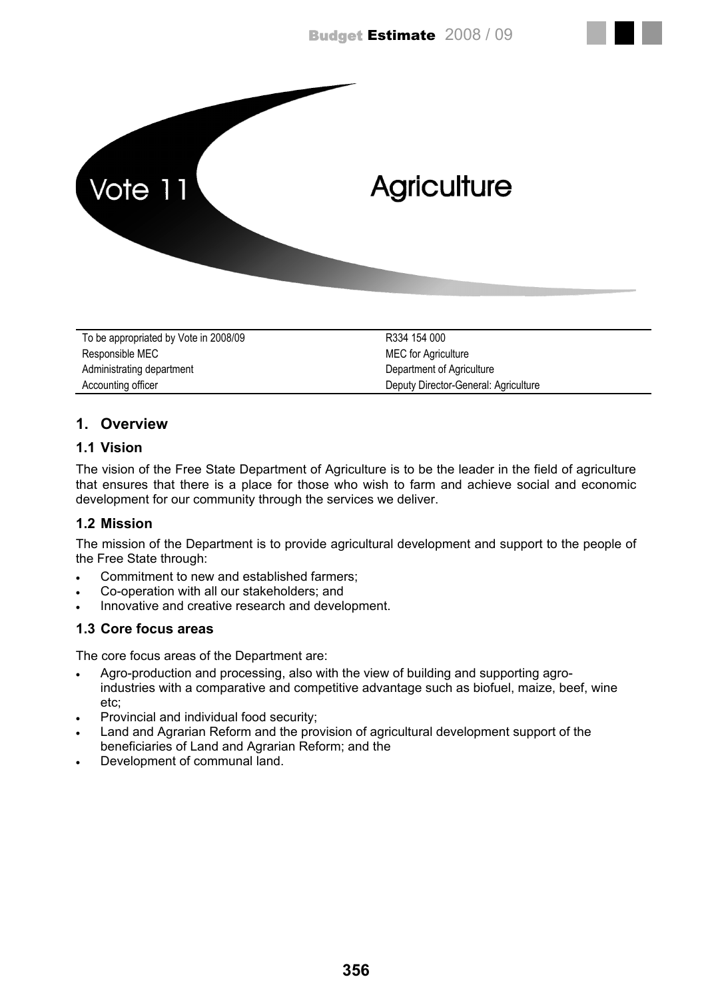

| To be appropriated by Vote in 2008/09 | R334 154 000                         |
|---------------------------------------|--------------------------------------|
| Responsible MEC                       | <b>MEC</b> for Agriculture           |
| Administrating department             | Department of Agriculture            |
| Accounting officer                    | Deputy Director-General: Agriculture |

# **1. Overview**

## **1.1 Vision**

The vision of the Free State Department of Agriculture is to be the leader in the field of agriculture that ensures that there is a place for those who wish to farm and achieve social and economic development for our community through the services we deliver.

# **1.2 Mission**

The mission of the Department is to provide agricultural development and support to the people of the Free State through:

- Commitment to new and established farmers;
- Co-operation with all our stakeholders; and
- Innovative and creative research and development.

## **1.3 Core focus areas**

The core focus areas of the Department are:

- Agro-production and processing, also with the view of building and supporting agro industries with a comparative and competitive advantage such as biofuel, maize, beef, wine etc;
- Provincial and individual food security;
- Land and Agrarian Reform and the provision of agricultural development support of the beneficiaries of Land and Agrarian Reform; and the
- Development of communal land.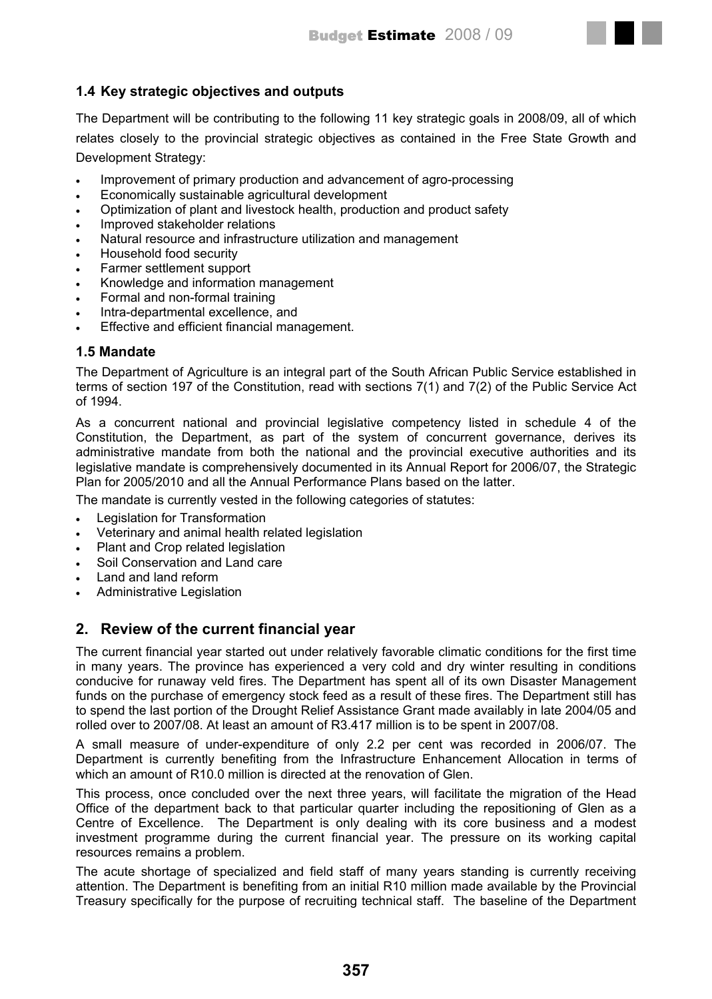# **1.4 Key strategic objectives and outputs**

The Department will be contributing to the following 11 key strategic goals in 2008/09, all of which relates closely to the provincial strategic objectives as contained in the Free State Growth and Development Strategy:

- Improvement of primary production and advancement of agro-processing
- Economically sustainable agricultural development
- Optimization of plant and livestock health, production and product safety
- Improved stakeholder relations
- Natural resource and infrastructure utilization and management
- Household food security
- Farmer settlement support
- Knowledge and information management
- Formal and non-formal training
- Intra-departmental excellence, and
- Effective and efficient financial management.

## **1.5 Mandate**

The Department of Agriculture is an integral part of the South African Public Service established in terms of section 197 of the Constitution, read with sections 7(1) and 7(2) of the Public Service Act of 1994.

As a concurrent national and provincial legislative competency listed in schedule 4 of the Constitution, the Department, as part of the system of concurrent governance, derives its administrative mandate from both the national and the provincial executive authorities and its legislative mandate is comprehensively documented in its Annual Report for 2006/07, the Strategic Plan for 2005/2010 and all the Annual Performance Plans based on the latter.

The mandate is currently vested in the following categories of statutes:

- Legislation for Transformation
- Veterinary and animal health related legislation
- Plant and Crop related legislation
- Soil Conservation and Land care
- Land and land reform
- Administrative Legislation

# **2. Review of the current financial year**

The current financial year started out under relatively favorable climatic conditions for the first time in many years. The province has experienced a very cold and dry winter resulting in conditions conducive for runaway veld fires. The Department has spent all of its own Disaster Management funds on the purchase of emergency stock feed as a result of these fires. The Department still has to spend the last portion of the Drought Relief Assistance Grant made availably in late 2004/05 and rolled over to 2007/08. At least an amount of R3.417 million is to be spent in 2007/08.

A small measure of under-expenditure of only 2.2 per cent was recorded in 2006/07. The Department is currently benefiting from the Infrastructure Enhancement Allocation in terms of which an amount of R10.0 million is directed at the renovation of Glen.

This process, once concluded over the next three years, will facilitate the migration of the Head Office of the department back to that particular quarter including the repositioning of Glen as a Centre of Excellence. The Department is only dealing with its core business and a modest investment programme during the current financial year. The pressure on its working capital resources remains a problem.

The acute shortage of specialized and field staff of many years standing is currently receiving attention. The Department is benefiting from an initial R10 million made available by the Provincial Treasury specifically for the purpose of recruiting technical staff. The baseline of the Department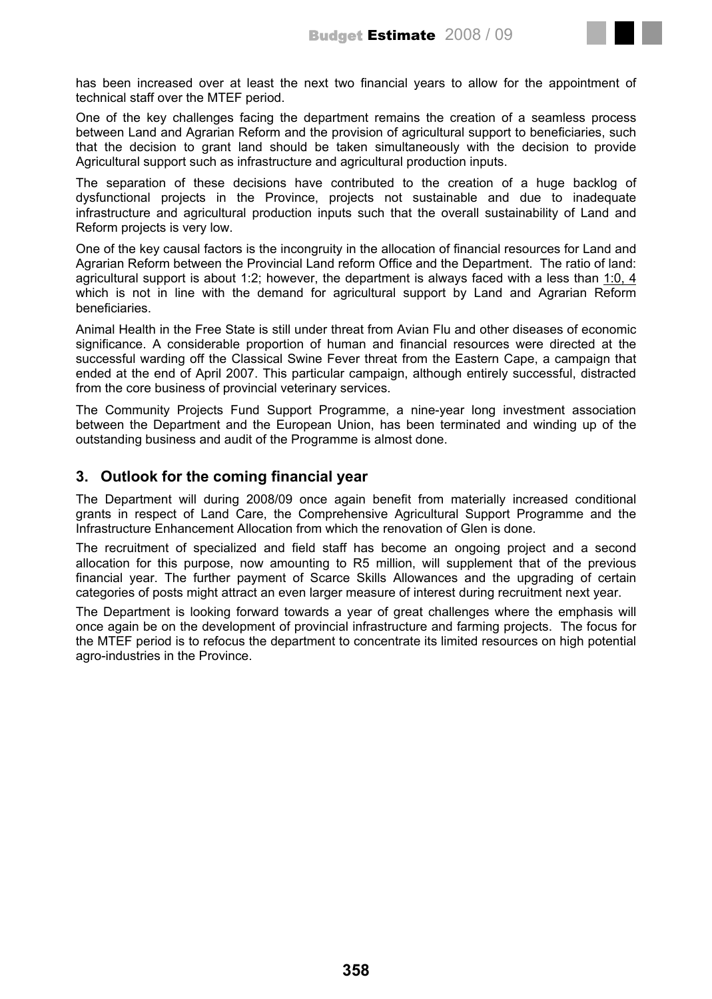

has been increased over at least the next two financial years to allow for the appointment of technical staff over the MTEF period.

One of the key challenges facing the department remains the creation of a seamless process between Land and Agrarian Reform and the provision of agricultural support to beneficiaries, such that the decision to grant land should be taken simultaneously with the decision to provide Agricultural support such as infrastructure and agricultural production inputs.

The separation of these decisions have contributed to the creation of a huge backlog of dysfunctional projects in the Province, projects not sustainable and due to inadequate infrastructure and agricultural production inputs such that the overall sustainability of Land and Reform projects is very low.

One of the key causal factors is the incongruity in the allocation of financial resources for Land and Agrarian Reform between the Provincial Land reform Office and the Department. The ratio of land: agricultural support is about 1:2; however, the department is always faced with a less than 1:0, 4 which is not in line with the demand for agricultural support by Land and Agrarian Reform beneficiaries.

Animal Health in the Free State is still under threat from Avian Flu and other diseases of economic significance. A considerable proportion of human and financial resources were directed at the successful warding off the Classical Swine Fever threat from the Eastern Cape, a campaign that ended at the end of April 2007. This particular campaign, although entirely successful, distracted from the core business of provincial veterinary services.

The Community Projects Fund Support Programme, a nine-year long investment association between the Department and the European Union, has been terminated and winding up of the outstanding business and audit of the Programme is almost done.

# **3. Outlook for the coming financial year**

The Department will during 2008/09 once again benefit from materially increased conditional grants in respect of Land Care, the Comprehensive Agricultural Support Programme and the Infrastructure Enhancement Allocation from which the renovation of Glen is done.

The recruitment of specialized and field staff has become an ongoing project and a second allocation for this purpose, now amounting to R5 million, will supplement that of the previous financial year. The further payment of Scarce Skills Allowances and the upgrading of certain categories of posts might attract an even larger measure of interest during recruitment next year.

The Department is looking forward towards a year of great challenges where the emphasis will once again be on the development of provincial infrastructure and farming projects. The focus for the MTEF period is to refocus the department to concentrate its limited resources on high potential agro-industries in the Province.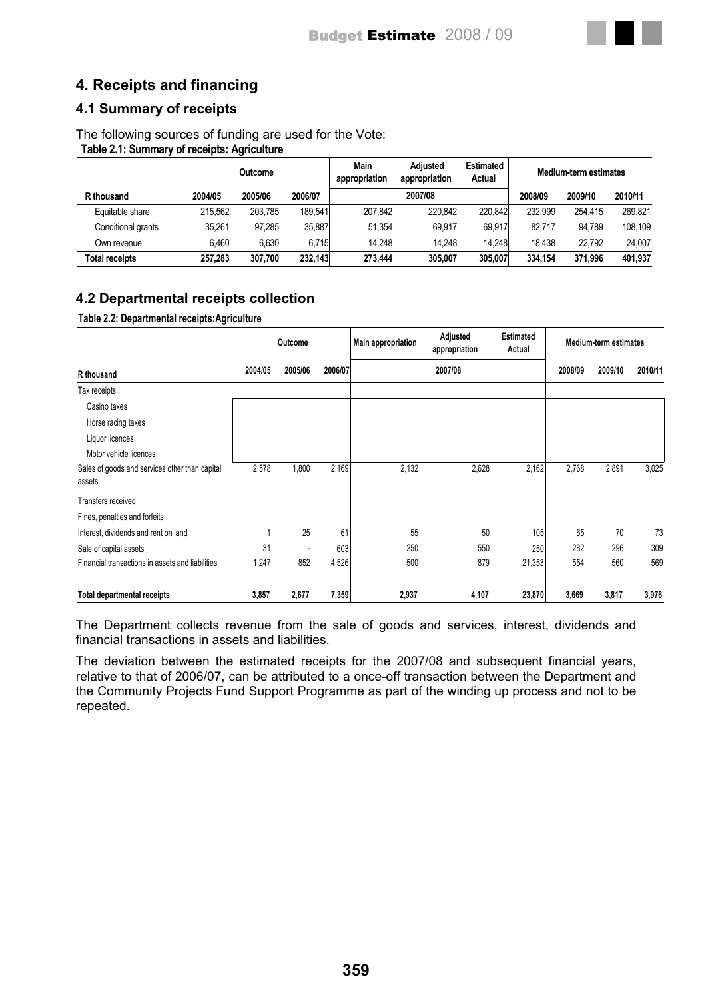# **4. Receipts and financing**

# **4.1 Summary of receipts**

The following sources of funding are used for the Vote: **Table 2.1: Summary of receipts: Agriculture**

|                       | Outcome |         | Main<br>appropriation | <b>Adjusted</b><br>appropriation | <b>Estimated</b><br>Actual |         | Medium-term estimates |         |         |
|-----------------------|---------|---------|-----------------------|----------------------------------|----------------------------|---------|-----------------------|---------|---------|
| R thousand            | 2004/05 | 2005/06 | 2006/07               |                                  | 2007/08                    |         | 2008/09               | 2009/10 | 2010/11 |
| Equitable share       | 215.562 | 203.785 | 189.541               | 207.842                          | 220.842                    | 220.842 | 232.999               | 254.415 | 269.821 |
| Conditional grants    | 35.261  | 97.285  | 35,887                | 51.354                           | 69.917                     | 69.917  | 82.717                | 94.789  | 108.109 |
| Own revenue           | 6.460   | 6.630   | 6.715                 | 14.248                           | 14.248                     | 14.248  | 18.438                | 22.792  | 24.007  |
| <b>Total receipts</b> | 257.283 | 307.700 | 232.143               | 273.444                          | 305.007                    | 305.007 | 334.154               | 371.996 | 401.937 |

# **4.2 Departmental receipts collection**

**Table 2.2: Departmental receipts:Agriculture**

|                                                          | Outcome |         |         | <b>Main appropriation</b> | Adjusted<br>appropriation | <b>Estimated</b><br>Actual | <b>Medium-term estimates</b> |         |         |  |
|----------------------------------------------------------|---------|---------|---------|---------------------------|---------------------------|----------------------------|------------------------------|---------|---------|--|
| R thousand                                               | 2004/05 | 2005/06 | 2006/07 |                           | 2007/08                   |                            | 2008/09                      | 2009/10 | 2010/11 |  |
| Tax receipts                                             |         |         |         |                           |                           |                            |                              |         |         |  |
| Casino taxes                                             |         |         |         |                           |                           |                            |                              |         |         |  |
| Horse racing taxes                                       |         |         |         |                           |                           |                            |                              |         |         |  |
| Liquor licences                                          |         |         |         |                           |                           |                            |                              |         |         |  |
| Motor vehicle licences                                   |         |         |         |                           |                           |                            |                              |         |         |  |
| Sales of goods and services other than capital<br>assets | 2,578   | 1,800   | 2,169   | 2,132                     | 2,628                     | 2,162                      | 2,768                        | 2,891   | 3,025   |  |
| Transfers received                                       |         |         |         |                           |                           |                            |                              |         |         |  |
| Fines, penalties and forfeits                            |         |         |         |                           |                           |                            |                              |         |         |  |
| Interest, dividends and rent on land                     | 1       | 25      | 61      | 55                        | 50                        | 105                        | 65                           | 70      | 73      |  |
| Sale of capital assets                                   | 31      |         | 603     | 250                       | 550                       | 250                        | 282                          | 296     | 309     |  |
| Financial transactions in assets and liabilities         | 1,247   | 852     | 4,526   | 500                       | 879                       | 21,353                     | 554                          | 560     | 569     |  |
| Total departmental receipts                              | 3,857   | 2,677   | 7,359   | 2,937                     | 4,107                     | 23,870                     | 3,669                        | 3,817   | 3,976   |  |

The Department collects revenue from the sale of goods and services, interest, dividends and financial transactions in assets and liabilities.

The deviation between the estimated receipts for the 2007/08 and subsequent financial years, relative to that of 2006/07, can be attributed to a once-off transaction between the Department and the Community Projects Fund Support Programme as part of the winding up process and not to be repeated.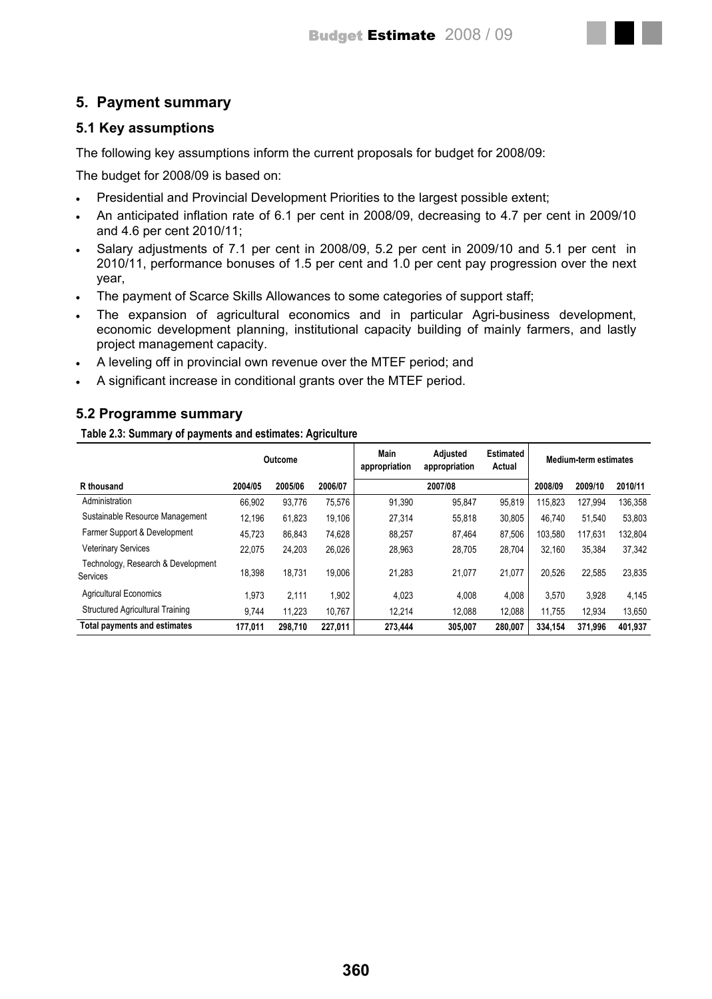# **5. Payment summary**

## **5.1 Key assumptions**

The following key assumptions inform the current proposals for budget for 2008/09:

The budget for 2008/09 is based on:

- Presidential and Provincial Development Priorities to the largest possible extent;
- An anticipated inflation rate of 6.1 per cent in 2008/09, decreasing to 4.7 per cent in 2009/10 and 4.6 per cent 2010/11;
- Salary adjustments of 7.1 per cent in 2008/09, 5.2 per cent in 2009/10 and 5.1 per cent in 2010/11, performance bonuses of 1.5 per cent and 1.0 per cent pay progression over the next year,
- The payment of Scarce Skills Allowances to some categories of support staff;
- The expansion of agricultural economics and in particular Agri-business development, economic development planning, institutional capacity building of mainly farmers, and lastly project management capacity.
- A leveling off in provincial own revenue over the MTEF period; and
- A significant increase in conditional grants over the MTEF period.

## **5.2 Programme summary**

**Table 2.3: Summary of payments and estimates: Agriculture**

|                                                | Outcome |         |         | Main<br>appropriation | <b>Adjusted</b><br>appropriation | <b>Estimated</b><br>Actual |         | <b>Medium-term estimates</b> |         |  |
|------------------------------------------------|---------|---------|---------|-----------------------|----------------------------------|----------------------------|---------|------------------------------|---------|--|
| R thousand                                     | 2004/05 | 2005/06 | 2006/07 |                       | 2007/08                          |                            | 2008/09 | 2009/10                      | 2010/11 |  |
| Administration                                 | 66.902  | 93.776  | 75,576  | 91,390                | 95,847                           | 95,819                     | 115.823 | 127,994                      | 136,358 |  |
| Sustainable Resource Management                | 12,196  | 61,823  | 19,106  | 27,314                | 55,818                           | 30,805                     | 46.740  | 51,540                       | 53,803  |  |
| Farmer Support & Development                   | 45,723  | 86.843  | 74,628  | 88,257                | 87,464                           | 87,506                     | 103.580 | 117,631                      | 132,804 |  |
| <b>Veterinary Services</b>                     | 22.075  | 24,203  | 26,026  | 28,963                | 28,705                           | 28,704                     | 32.160  | 35,384                       | 37,342  |  |
| Technology, Research & Development<br>Services | 18,398  | 18.731  | 19.006  | 21,283                | 21.077                           | 21,077                     | 20.526  | 22,585                       | 23,835  |  |
| <b>Agricultural Economics</b>                  | 1.973   | 2,111   | 1,902   | 4.023                 | 4.008                            | 4,008                      | 3.570   | 3,928                        | 4,145   |  |
| <b>Structured Agricultural Training</b>        | 9.744   | 11.223  | 10.767  | 12.214                | 12.088                           | 12,088                     | 11.755  | 12,934                       | 13,650  |  |
| <b>Total payments and estimates</b>            | 177.011 | 298.710 | 227.011 | 273.444               | 305.007                          | 280.007                    | 334.154 | 371.996                      | 401.937 |  |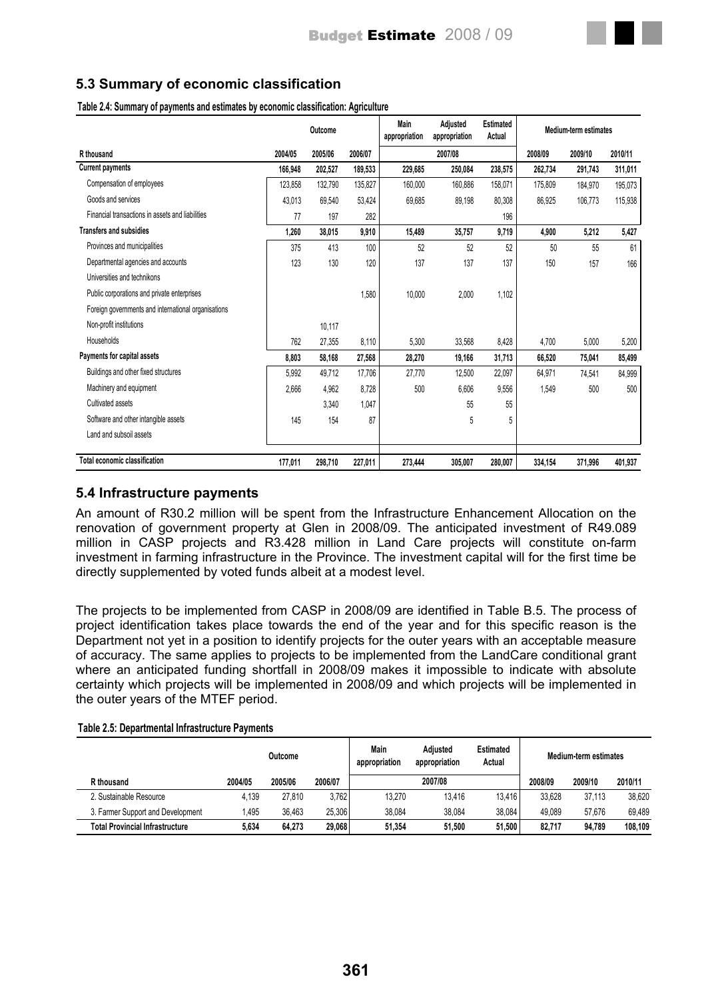

**Table 2.4: Summary of payments and estimates by economic classification: Agriculture**

|                                                     | Outcome |         |         | <b>Main</b><br>appropriation | Adjusted<br>appropriation | <b>Estimated</b><br>Actual |         | <b>Medium-term estimates</b> |         |
|-----------------------------------------------------|---------|---------|---------|------------------------------|---------------------------|----------------------------|---------|------------------------------|---------|
| R thousand                                          | 2004/05 | 2005/06 | 2006/07 |                              | 2007/08                   |                            | 2008/09 | 2009/10                      | 2010/11 |
| <b>Current payments</b>                             | 166,948 | 202,527 | 189,533 | 229,685                      | 250,084                   | 238,575                    | 262,734 | 291,743                      | 311,011 |
| Compensation of employees                           | 123,858 | 132,790 | 135,827 | 160,000                      | 160,886                   | 158,071                    | 175,809 | 184,970                      | 195,073 |
| Goods and services                                  | 43.013  | 69,540  | 53,424  | 69,685                       | 89,198                    | 80,308                     | 86.925  | 106,773                      | 115,938 |
| Financial transactions in assets and liabilities    | 77      | 197     | 282     |                              |                           | 196                        |         |                              |         |
| <b>Transfers and subsidies</b>                      | 1.260   | 38,015  | 9,910   | 15,489                       | 35,757                    | 9,719                      | 4,900   | 5,212                        | 5,427   |
| Provinces and municipalities                        | 375     | 413     | 100     | 52                           | 52                        | 52                         | 50      | 55                           | 61      |
| Departmental agencies and accounts                  | 123     | 130     | 120     | 137                          | 137                       | 137                        | 150     | 157                          | 166     |
| Universities and technikons                         |         |         |         |                              |                           |                            |         |                              |         |
| Public corporations and private enterprises         |         |         | 1,580   | 10,000                       | 2,000                     | 1,102                      |         |                              |         |
| Foreign governments and international organisations |         |         |         |                              |                           |                            |         |                              |         |
| Non-profit institutions                             |         | 10.117  |         |                              |                           |                            |         |                              |         |
| Households                                          | 762     | 27,355  | 8,110   | 5,300                        | 33,568                    | 8,428                      | 4,700   | 5,000                        | 5,200   |
| Payments for capital assets                         | 8,803   | 58,168  | 27,568  | 28,270                       | 19,166                    | 31,713                     | 66,520  | 75,041                       | 85,499  |
| Buildings and other fixed structures                | 5,992   | 49,712  | 17,706  | 27,770                       | 12,500                    | 22,097                     | 64,971  | 74,541                       | 84,999  |
| Machinery and equipment                             | 2,666   | 4,962   | 8,728   | 500                          | 6,606                     | 9,556                      | 1,549   | 500                          | 500     |
| Cultivated assets                                   |         | 3,340   | 1,047   |                              | 55                        | 55                         |         |                              |         |
| Software and other intangible assets                | 145     | 154     | 87      |                              | 5                         | 5                          |         |                              |         |
| Land and subsoil assets                             |         |         |         |                              |                           |                            |         |                              |         |
|                                                     |         |         |         |                              |                           |                            |         |                              |         |
| <b>Total economic classification</b>                | 177,011 | 298,710 | 227,011 | 273,444                      | 305,007                   | 280,007                    | 334,154 | 371,996                      | 401,937 |

## **5.4 Infrastructure payments**

An amount of R30.2 million will be spent from the Infrastructure Enhancement Allocation on the renovation of government property at Glen in 2008/09. The anticipated investment of R49.089 million in CASP projects and R3.428 million in Land Care projects will constitute on-farm investment in farming infrastructure in the Province. The investment capital will for the first time be directly supplemented by voted funds albeit at a modest level.

The projects to be implemented from CASP in 2008/09 are identified in Table B.5. The process of project identification takes place towards the end of the year and for this specific reason is the Department not yet in a position to identify projects for the outer years with an acceptable measure of accuracy. The same applies to projects to be implemented from the LandCare conditional grant where an anticipated funding shortfall in 2008/09 makes it impossible to indicate with absolute certainty which projects will be implemented in 2008/09 and which projects will be implemented in the outer years of the MTEF period.

#### **Table 2.5: Departmental Infrastructure Payments**

|                                        | Outcome |         |         | Main<br>appropriation | Adiusted<br>appropriation | <b>Estimated</b><br>Actual |         | Medium-term estimates |         |
|----------------------------------------|---------|---------|---------|-----------------------|---------------------------|----------------------------|---------|-----------------------|---------|
| R thousand                             | 2004/05 | 2005/06 | 2006/07 |                       | 2007/08                   |                            | 2008/09 | 2009/10               | 2010/11 |
| 2. Sustainable Resource                | 4.139   | 27.810  | 3.762   | 13.270                | 13.416                    | 13.416                     | 33.628  | 37.113                | 38.620  |
| 3. Farmer Support and Development      | .495    | 36.463  | 25.306  | 38.084                | 38.084                    | 38.084                     | 49.089  | 57.676                | 69.489  |
| <b>Total Provincial Infrastructure</b> | 5.634   | 64.273  | 29.068  | 51.354                | 51.500                    | 51.500                     | 82.717  | 94.789                | 108.109 |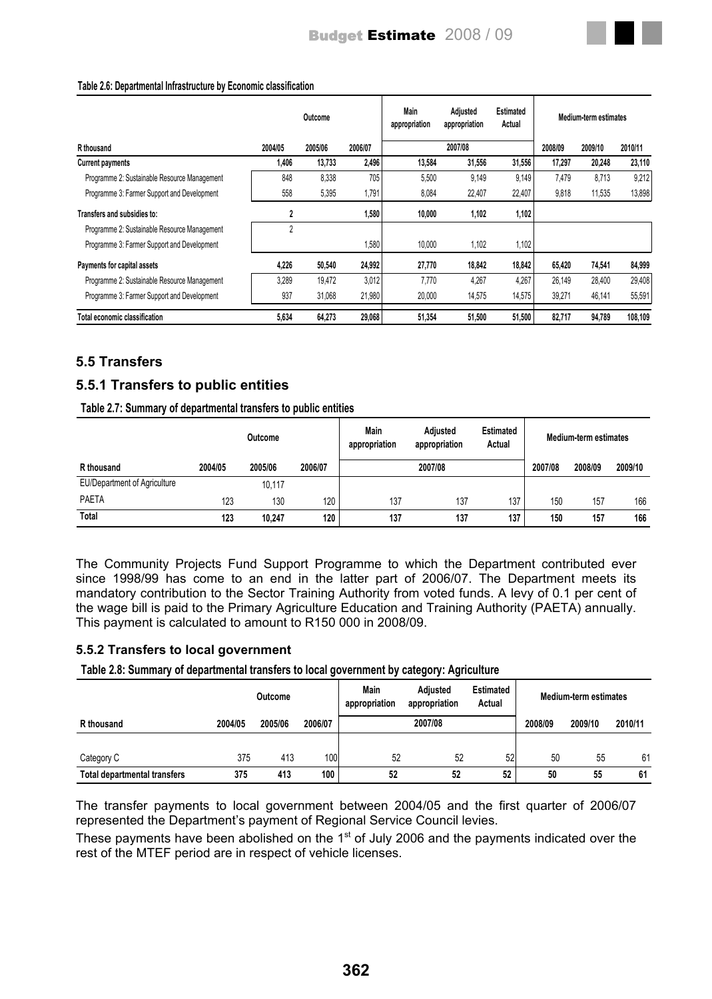#### **Table 2.6: Departmental Infrastructure by Economic classification**

|                                              |         | Outcome |         | Main<br>appropriation | Adjusted<br>appropriation | <b>Estimated</b><br>Actual |         | Medium-term estimates |         |
|----------------------------------------------|---------|---------|---------|-----------------------|---------------------------|----------------------------|---------|-----------------------|---------|
| R thousand                                   | 2004/05 | 2005/06 | 2006/07 |                       | 2007/08                   |                            | 2008/09 | 2009/10               | 2010/11 |
| <b>Current payments</b>                      | 1.406   | 13,733  | 2,496   | 13,584                | 31,556                    | 31.556                     | 17.297  | 20.248                | 23,110  |
| Programme 2: Sustainable Resource Management | 848     | 8,338   | 705     | 5,500                 | 9,149                     | 9,149                      | 7,479   | 8.713                 | 9,212   |
| Programme 3: Farmer Support and Development  | 558     | 5,395   | 1,791   | 8,084                 | 22,407                    | 22,407                     | 9,818   | 11,535                | 13,898  |
| Transfers and subsidies to:                  | 2       |         | 1,580   | 10,000                | 1,102                     | 1,102                      |         |                       |         |
| Programme 2: Sustainable Resource Management | 2       |         |         |                       |                           |                            |         |                       |         |
| Programme 3: Farmer Support and Development  |         |         | 1,580   | 10.000                | 1.102                     | 1,102                      |         |                       |         |
| Payments for capital assets                  | 4,226   | 50,540  | 24,992  | 27,770                | 18,842                    | 18,842                     | 65,420  | 74,541                | 84,999  |
| Programme 2: Sustainable Resource Management | 3.289   | 19.472  | 3,012   | 7.770                 | 4.267                     | 4.267                      | 26.149  | 28.400                | 29,408  |
| Programme 3: Farmer Support and Development  | 937     | 31,068  | 21,980  | 20,000                | 14,575                    | 14,575                     | 39,271  | 46,141                | 55,591  |
| Total economic classification                | 5.634   | 64,273  | 29,068  | 51.354                | 51.500                    | 51,500                     | 82.717  | 94.789                | 108.109 |

## **5.5 Transfers**

# **5.5.1 Transfers to public entities**

**Table 2.7: Summary of departmental transfers to public entities**

|                                     |         | <b>Outcome</b> |         | Main<br>appropriation | Adjusted<br>appropriation | <b>Estimated</b><br>Actual |         | Medium-term estimates |         |
|-------------------------------------|---------|----------------|---------|-----------------------|---------------------------|----------------------------|---------|-----------------------|---------|
| R thousand                          | 2004/05 | 2005/06        | 2006/07 |                       | 2007/08                   |                            | 2007/08 | 2008/09               | 2009/10 |
| <b>EU/Department of Agriculture</b> |         | 10,117         |         |                       |                           |                            |         |                       |         |
| <b>PAETA</b>                        | 123     | 130            | 120     | 137                   | 137                       | 137                        | 150     | 157                   | 166     |
| Total                               | 123     | 10.247         | 120     | 137                   | 137                       | 137                        | 150     | 157                   | 166     |

The Community Projects Fund Support Programme to which the Department contributed ever since 1998/99 has come to an end in the latter part of 2006/07. The Department meets its mandatory contribution to the Sector Training Authority from voted funds. A levy of 0.1 per cent of the wage bill is paid to the Primary Agriculture Education and Training Authority (PAETA) annually. This payment is calculated to amount to R150 000 in 2008/09.

### **5.5.2 Transfers to local government**

**Table 2.8: Summary of departmental transfers to local government by category: Agriculture**

|                              | <b>Outcome</b> |         |         | Main<br>appropriation | Adiusted<br>appropriation | <b>Estimated</b><br>Actual | <b>Medium-term estimates</b> |         |         |
|------------------------------|----------------|---------|---------|-----------------------|---------------------------|----------------------------|------------------------------|---------|---------|
| R thousand                   | 2004/05        | 2005/06 | 2006/07 |                       | 2007/08                   |                            | 2008/09                      | 2009/10 | 2010/11 |
|                              |                |         |         |                       |                           |                            |                              |         |         |
| Category C                   | 375            | 413     | 100     | 52                    | 52                        | 52                         | 50                           | 55      | 61      |
| Total departmental transfers | 375            | 413     | 100     | 52                    | 52                        | 52                         | 50                           | 55      | 61      |

The transfer payments to local government between 2004/05 and the first quarter of 2006/07 represented the Department's payment of Regional Service Council levies.

These payments have been abolished on the  $1<sup>st</sup>$  of July 2006 and the payments indicated over the rest of the MTEF period are in respect of vehicle licenses.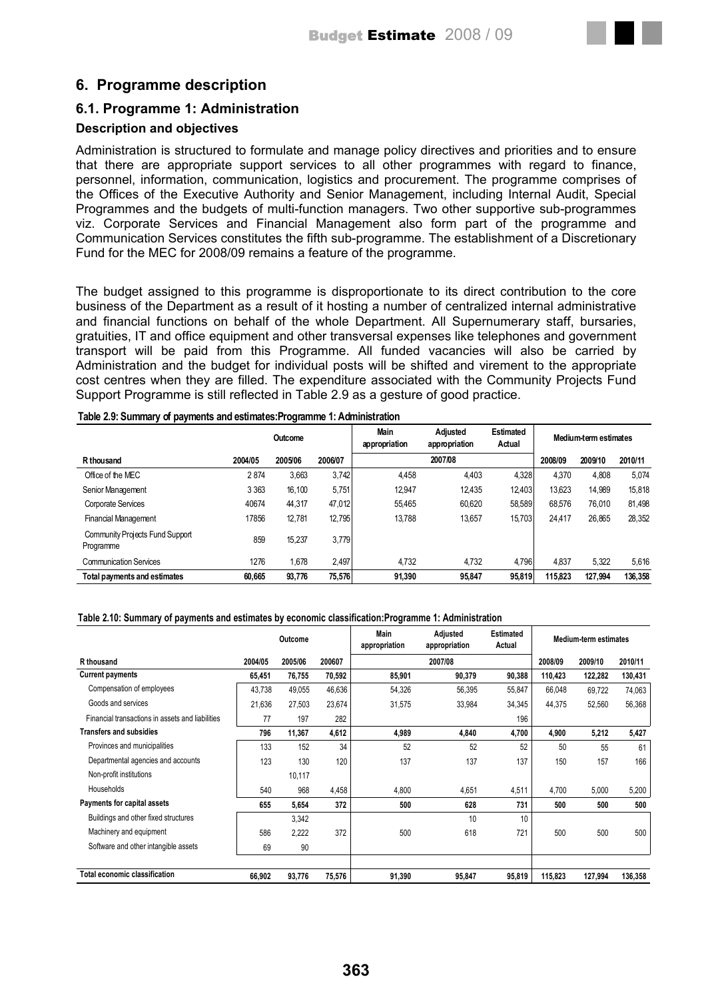# **6. Programme description**

# **6.1. Programme 1: Administration**

## **Description and objectives**

Administration is structured to formulate and manage policy directives and priorities and to ensure that there are appropriate support services to all other programmes with regard to finance, personnel, information, communication, logistics and procurement. The programme comprises of the Offices of the Executive Authority and Senior Management, including Internal Audit, Special Programmes and the budgets of multi-function managers. Two other supportive sub-programmes viz. Corporate Services and Financial Management also form part of the programme and Communication Services constitutes the fifth sub-programme. The establishment of a Discretionary Fund for the MEC for 2008/09 remains a feature of the programme.

The budget assigned to this programme is disproportionate to its direct contribution to the core business of the Department as a result of it hosting a number of centralized internal administrative and financial functions on behalf of the whole Department. All Supernumerary staff, bursaries, gratuities, IT and office equipment and other transversal expenses like telephones and government transport will be paid from this Programme. All funded vacancies will also be carried by Administration and the budget for individual posts will be shifted and virement to the appropriate cost centres when they are filled. The expenditure associated with the Community Projects Fund Support Programme is still reflected in Table 2.9 as a gesture of good practice.

|                                              |         | Outcome |         | <b>Main</b><br>appropriation | Adjusted<br>appropriation | <b>Estimated</b><br>Actual |         | Medium-term estimates |         |
|----------------------------------------------|---------|---------|---------|------------------------------|---------------------------|----------------------------|---------|-----------------------|---------|
| R thousand                                   | 2004/05 | 2005/06 | 2006/07 |                              | 2007/08                   |                            | 2008/09 | 2009/10               | 2010/11 |
| Office of the MEC                            | 2874    | 3,663   | 3,742   | 4,458                        | 4,403                     | 4,328                      | 4.370   | 4,808                 | 5,074   |
| Senior Management                            | 3 3 6 3 | 16.100  | 5.751   | 12.947                       | 12.435                    | 12.403                     | 13.623  | 14.989                | 15,818  |
| Corporate Services                           | 40674   | 44.317  | 47.012  | 55.465                       | 60.620                    | 58.589                     | 68.576  | 76.010                | 81.498  |
| Financial Management                         | 17856   | 12,781  | 12.795  | 13.788                       | 13,657                    | 15.703                     | 24,417  | 26,865                | 28,352  |
| Community Projects Fund Support<br>Programme | 859     | 15.237  | 3,779   |                              |                           |                            |         |                       |         |
| <b>Communication Services</b>                | 1276    | 1.678   | 2.497   | 4.732                        | 4,732                     | 4.796                      | 4.837   | 5.322                 | 5,616   |
| Total payments and estimates                 | 60.665  | 93.776  | 75.576  | 91.390                       | 95.847                    | 95.819                     | 115.823 | 127.994               | 136.358 |

#### **Table 2.9: Summary of payments and estimates:Programme 1: Administration**

#### **Table 2.10: Summary of payments and estimates by economic classification:Programme 1: Administration**

|                                                  |         | Outcome |        | Main<br>appropriation | Adjusted<br>appropriation | <b>Estimated</b><br><b>Medium-term estimates</b> |         |         |         |
|--------------------------------------------------|---------|---------|--------|-----------------------|---------------------------|--------------------------------------------------|---------|---------|---------|
| R thousand                                       | 2004/05 | 2005/06 | 200607 |                       | 2007/08                   |                                                  | 2008/09 | 2009/10 | 2010/11 |
| <b>Current payments</b>                          | 65,451  | 76,755  | 70,592 | 85,901                | 90,379                    | 90,388                                           | 110,423 | 122,282 | 130,431 |
| Compensation of employees                        | 43,738  | 49,055  | 46,636 | 54,326                | 56,395                    | 55,847                                           | 66,048  | 69,722  | 74,063  |
| Goods and services                               | 21,636  | 27,503  | 23,674 | 31,575                | 33,984                    | 34,345                                           | 44,375  | 52,560  | 56,368  |
| Financial transactions in assets and liabilities | 77      | 197     | 282    |                       |                           | 196                                              |         |         |         |
| <b>Transfers and subsidies</b>                   | 796     | 11,367  | 4,612  | 4,989                 | 4,840                     | 4,700                                            | 4,900   | 5,212   | 5,427   |
| Provinces and municipalities                     | 133     | 152     | 34     | 52                    | 52                        | 52                                               | 50      | 55      | 61      |
| Departmental agencies and accounts               | 123     | 130     | 120    | 137                   | 137                       | 137                                              | 150     | 157     | 166     |
| Non-profit institutions                          |         | 10,117  |        |                       |                           |                                                  |         |         |         |
| Households                                       | 540     | 968     | 4,458  | 4,800                 | 4,651                     | 4,511                                            | 4,700   | 5,000   | 5,200   |
| Payments for capital assets                      | 655     | 5,654   | 372    | 500                   | 628                       | 731                                              | 500     | 500     | 500     |
| Buildings and other fixed structures             |         | 3,342   |        |                       | 10                        | 10                                               |         |         |         |
| Machinery and equipment                          | 586     | 2,222   | 372    | 500                   | 618                       | 721                                              | 500     | 500     | 500     |
| Software and other intangible assets             | 69      | 90      |        |                       |                           |                                                  |         |         |         |
| <b>Total economic classification</b>             | 66,902  | 93,776  | 75,576 | 91,390                | 95,847                    | 95,819                                           | 115,823 | 127,994 | 136,358 |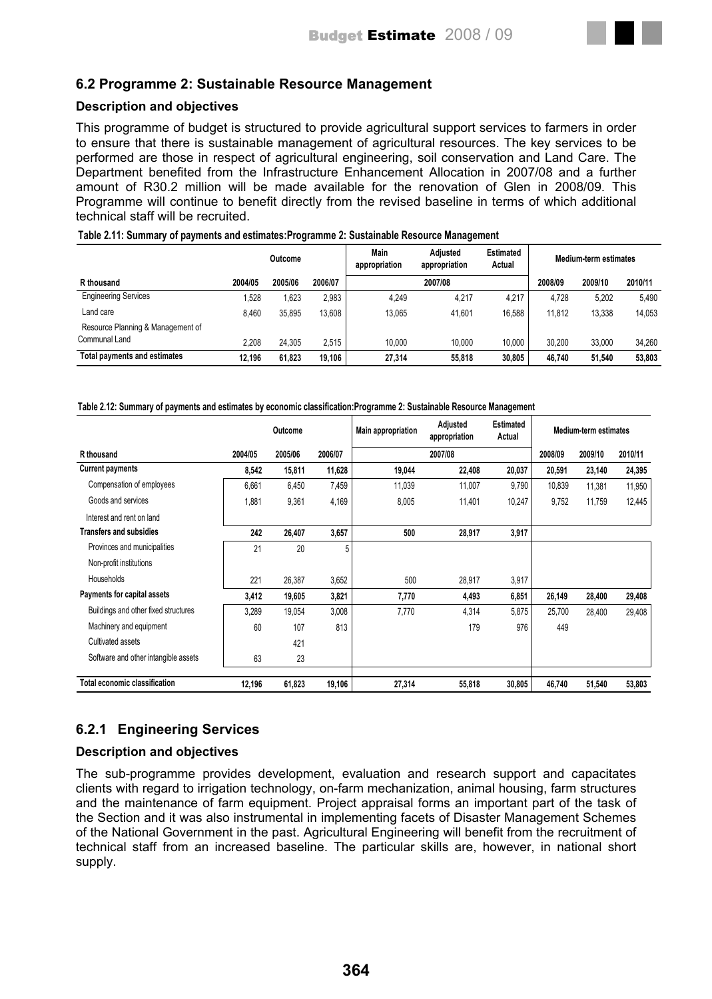# **6.2 Programme 2: Sustainable Resource Management**

#### **Description and objectives**

This programme of budget is structured to provide agricultural support services to farmers in order to ensure that there is sustainable management of agricultural resources. The key services to be performed are those in respect of agricultural engineering, soil conservation and Land Care. The Department benefited from the Infrastructure Enhancement Allocation in 2007/08 and a further amount of R30.2 million will be made available for the renovation of Glen in 2008/09. This Programme will continue to benefit directly from the revised baseline in terms of which additional technical staff will be recruited.

|                                   |         | Outcome | Main<br><b>Estimated</b><br>Adiusted<br>appropriation<br>Actual<br>appropriation |        |         |        | Medium-term estimates |         |         |  |
|-----------------------------------|---------|---------|----------------------------------------------------------------------------------|--------|---------|--------|-----------------------|---------|---------|--|
| R thousand                        | 2004/05 | 2005/06 | 2006/07                                                                          |        | 2007/08 |        | 2008/09               | 2009/10 | 2010/11 |  |
| <b>Engineering Services</b>       | .528    | 1.623   | 2,983                                                                            | 4,249  | 4.217   | 4,217  | 4.728                 | 5,202   | 5,490   |  |
| Land care                         | 8.460   | 35.895  | 13,608                                                                           | 13.065 | 41.601  | 16.588 | 11.812                | 13,338  | 14.053  |  |
| Resource Planning & Management of |         |         |                                                                                  |        |         |        |                       |         |         |  |
| Communal Land                     | 2.208   | 24.305  | 2.515                                                                            | 10.000 | 10.000  | 10.000 | 30.200                | 33.000  | 34.260  |  |
| Total payments and estimates      | 12.196  | 61.823  | 19.106                                                                           | 27.314 | 55.818  | 30.805 | 46.740                | 51.540  | 53.803  |  |

#### **Table 2.11: Summary of payments and estimates:Programme 2: Sustainable Resource Management**

#### **Table 2.12: Summary of payments and estimates by economic classification:Programme 2: Sustainable Resource Management**

|                                      |         | Outcome |         | Adjusted<br>Main appropriation<br>appropriation |         | <b>Estimated</b><br>Actual | Medium-term estimates |         |         |
|--------------------------------------|---------|---------|---------|-------------------------------------------------|---------|----------------------------|-----------------------|---------|---------|
| R thousand                           | 2004/05 | 2005/06 | 2006/07 |                                                 | 2007/08 |                            | 2008/09               | 2009/10 | 2010/11 |
| <b>Current payments</b>              | 8,542   | 15,811  | 11,628  | 19,044                                          | 22,408  | 20,037                     | 20,591                | 23,140  | 24,395  |
| Compensation of employees            | 6,661   | 6,450   | 7,459   | 11,039                                          | 11,007  | 9,790                      | 10,839                | 11,381  | 11,950  |
| Goods and services                   | 1,881   | 9,361   | 4,169   | 8,005                                           | 11,401  | 10,247                     | 9,752                 | 11,759  | 12,445  |
| Interest and rent on land            |         |         |         |                                                 |         |                            |                       |         |         |
| <b>Transfers and subsidies</b>       | 242     | 26,407  | 3,657   | 500                                             | 28,917  | 3,917                      |                       |         |         |
| Provinces and municipalities         | 21      | 20      | 5       |                                                 |         |                            |                       |         |         |
| Non-profit institutions              |         |         |         |                                                 |         |                            |                       |         |         |
| Households                           | 221     | 26,387  | 3,652   | 500                                             | 28,917  | 3,917                      |                       |         |         |
| Payments for capital assets          | 3,412   | 19,605  | 3,821   | 7,770                                           | 4,493   | 6,851                      | 26,149                | 28,400  | 29,408  |
| Buildings and other fixed structures | 3,289   | 19,054  | 3,008   | 7,770                                           | 4,314   | 5,875                      | 25,700                | 28,400  | 29,408  |
| Machinery and equipment              | 60      | 107     | 813     |                                                 | 179     | 976                        | 449                   |         |         |
| Cultivated assets                    |         | 421     |         |                                                 |         |                            |                       |         |         |
| Software and other intangible assets | 63      | 23      |         |                                                 |         |                            |                       |         |         |
| <b>Total economic classification</b> | 12,196  | 61,823  | 19,106  | 27,314                                          | 55,818  | 30,805                     | 46,740                | 51,540  | 53,803  |

## **6.2.1 Engineering Services**

### **Description and objectives**

The sub-programme provides development, evaluation and research support and capacitates clients with regard to irrigation technology, on-farm mechanization, animal housing, farm structures and the maintenance of farm equipment. Project appraisal forms an important part of the task of the Section and it was also instrumental in implementing facets of Disaster Management Schemes of the National Government in the past. Agricultural Engineering will benefit from the recruitment of technical staff from an increased baseline. The particular skills are, however, in national short supply.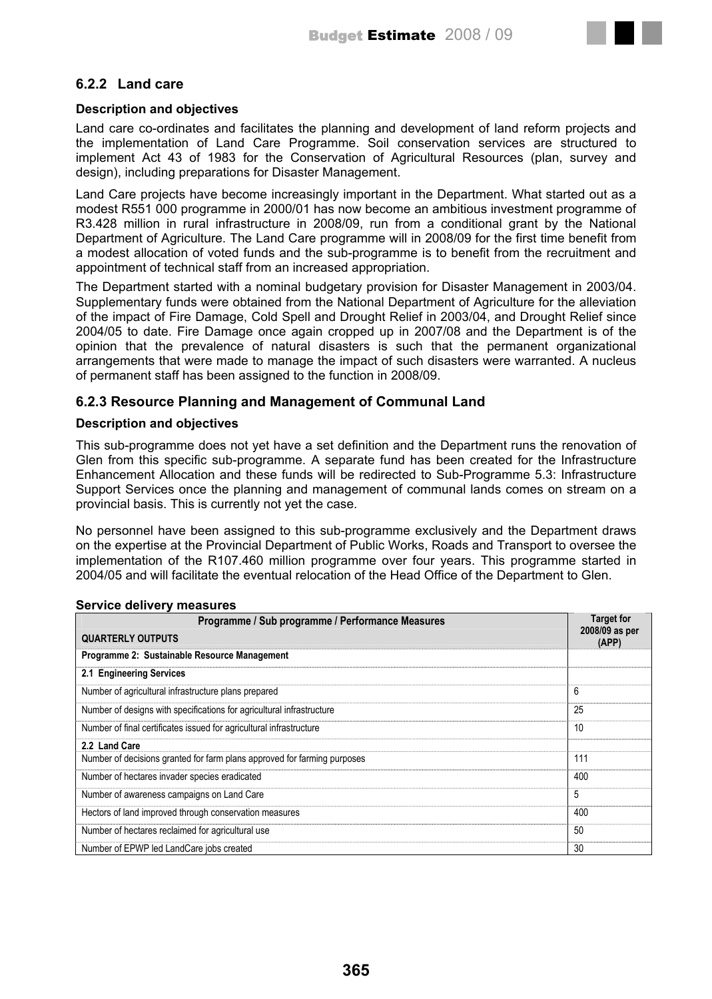## **6.2.2 Land care**

#### **Description and objectives**

Land care co-ordinates and facilitates the planning and development of land reform projects and the implementation of Land Care Programme. Soil conservation services are structured to implement Act 43 of 1983 for the Conservation of Agricultural Resources (plan, survey and design), including preparations for Disaster Management.

Land Care projects have become increasingly important in the Department. What started out as a modest R551 000 programme in 2000/01 has now become an ambitious investment programme of R3.428 million in rural infrastructure in 2008/09, run from a conditional grant by the National Department of Agriculture. The Land Care programme will in 2008/09 for the first time benefit from a modest allocation of voted funds and the sub-programme is to benefit from the recruitment and appointment of technical staff from an increased appropriation.

The Department started with a nominal budgetary provision for Disaster Management in 2003/04. Supplementary funds were obtained from the National Department of Agriculture for the alleviation of the impact of Fire Damage, Cold Spell and Drought Relief in 2003/04, and Drought Relief since 2004/05 to date. Fire Damage once again cropped up in 2007/08 and the Department is of the opinion that the prevalence of natural disasters is such that the permanent organizational arrangements that were made to manage the impact of such disasters were warranted. A nucleus of permanent staff has been assigned to the function in 2008/09.

## **6.2.3 Resource Planning and Management of Communal Land**

### **Description and objectives**

This sub-programme does not yet have a set definition and the Department runs the renovation of Glen from this specific sub-programme. A separate fund has been created for the Infrastructure Enhancement Allocation and these funds will be redirected to Sub-Programme 5.3: Infrastructure Support Services once the planning and management of communal lands comes on stream on a provincial basis. This is currently not yet the case.

No personnel have been assigned to this sub-programme exclusively and the Department draws on the expertise at the Provincial Department of Public Works, Roads and Transport to oversee the implementation of the R107.460 million programme over four years. This programme started in 2004/05 and will facilitate the eventual relocation of the Head Office of the Department to Glen.

#### **Service delivery measures**

| Programme / Sub programme / Performance Measures                         | <b>Target for</b>       |
|--------------------------------------------------------------------------|-------------------------|
| <b>QUARTERLY OUTPUTS</b>                                                 | 2008/09 as per<br>(APP) |
| Programme 2: Sustainable Resource Management                             |                         |
| 2.1 Engineering Services                                                 |                         |
| Number of agricultural infrastructure plans prepared                     | 6                       |
| Number of designs with specifications for agricultural infrastructure    | 25                      |
| Number of final certificates issued for agricultural infrastructure      | 10                      |
| 2.2 Land Care                                                            |                         |
| Number of decisions granted for farm plans approved for farming purposes | 111                     |
| Number of hectares invader species eradicated                            | 400                     |
| Number of awareness campaigns on Land Care                               | 5                       |
| Hectors of land improved through conservation measures                   | 400                     |
| Number of hectares reclaimed for agricultural use                        | 50                      |
| Number of EPWP led LandCare jobs created                                 | 30                      |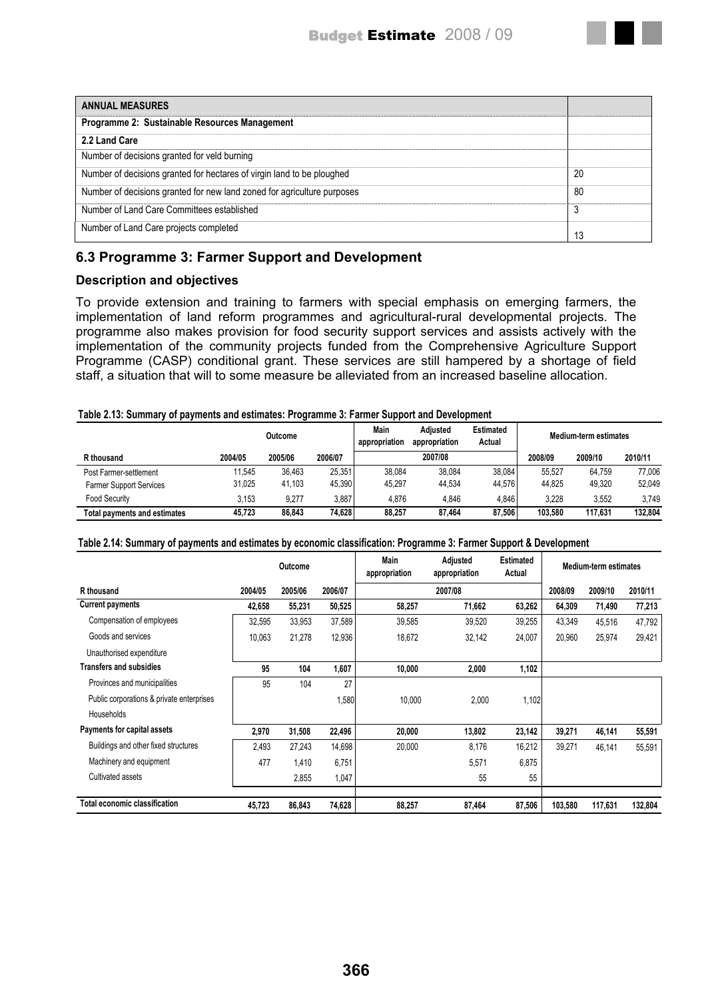| <b>ANNUAL MEASURES</b>                                                  |    |
|-------------------------------------------------------------------------|----|
| Programme 2: Sustainable Resources Management                           |    |
| 2.2 Land Care                                                           |    |
| Number of decisions granted for veld burning                            |    |
| Number of decisions granted for hectares of virgin land to be ploughed  | 20 |
| Number of decisions granted for new land zoned for agriculture purposes | 80 |
| Number of Land Care Committees established                              |    |
| Number of Land Care projects completed                                  |    |

# **6.3 Programme 3: Farmer Support and Development**

## **Description and objectives**

To provide extension and training to farmers with special emphasis on emerging farmers, the implementation of land reform programmes and agricultural-rural developmental projects. The programme also makes provision for food security support services and assists actively with the implementation of the community projects funded from the Comprehensive Agriculture Support Programme (CASP) conditional grant. These services are still hampered by a shortage of field staff, a situation that will to some measure be alleviated from an increased baseline allocation.

#### **Table 2.13: Summary of payments and estimates: Programme 3: Farmer Support and Development**

|                                | Outcome |         |         | Main<br>appropriation | Adiusted<br>appropriation | <b>Estimated</b><br>Actual |         | Medium-term estimates |         |
|--------------------------------|---------|---------|---------|-----------------------|---------------------------|----------------------------|---------|-----------------------|---------|
| R thousand                     | 2004/05 | 2005/06 | 2006/07 |                       | 2007/08                   |                            | 2008/09 | 2009/10               | 2010/11 |
| Post Farmer-settlement         | 11.545  | 36.463  | 25.351  | 38.084                | 38.084                    | 38.084                     | 55.527  | 64.759                | 77.006  |
| <b>Farmer Support Services</b> | 31,025  | 41,103  | 45,390  | 45.297                | 44.534                    | 44.576                     | 44.825  | 49,320                | 52,049  |
| <b>Food Security</b>           | 3.153   | 9.277   | 3.887   | 4.876                 | 4.846                     | 4.846                      | 3.228   | 3.552                 | 3,749   |
| Total pavments and estimates   | 45.723  | 86.843  | 74,628  | 88,257                | 87.464                    | 87.506                     | 103.580 | 117.631               | 132.804 |

#### **Table 2.14: Summary of payments and estimates by economic classification: Programme 3: Farmer Support & Development**

|                                           |         | Outcome |         | <b>Main</b><br>Adjusted<br>appropriation<br>appropriation |         | <b>Estimated</b><br>Actual | Medium-term estimates |         |         |
|-------------------------------------------|---------|---------|---------|-----------------------------------------------------------|---------|----------------------------|-----------------------|---------|---------|
| R thousand                                | 2004/05 | 2005/06 | 2006/07 |                                                           | 2007/08 |                            | 2008/09               | 2009/10 | 2010/11 |
| <b>Current payments</b>                   | 42,658  | 55,231  | 50,525  | 58,257                                                    | 71,662  | 63,262                     | 64,309                | 71,490  | 77,213  |
| Compensation of employees                 | 32,595  | 33,953  | 37,589  | 39,585                                                    | 39,520  | 39,255                     | 43,349                | 45,516  | 47,792  |
| Goods and services                        | 10,063  | 21,278  | 12,936  | 18,672                                                    | 32,142  | 24,007                     | 20,960                | 25,974  | 29,421  |
| Unauthorised expenditure                  |         |         |         |                                                           |         |                            |                       |         |         |
| <b>Transfers and subsidies</b>            | 95      | 104     | 1,607   | 10,000                                                    | 2,000   | 1,102                      |                       |         |         |
| Provinces and municipalities              | 95      | 104     | 27      |                                                           |         |                            |                       |         |         |
| Public corporations & private enterprises |         |         | 1,580   | 10,000                                                    | 2,000   | 1,102                      |                       |         |         |
| <b>Households</b>                         |         |         |         |                                                           |         |                            |                       |         |         |
| Payments for capital assets               | 2,970   | 31,508  | 22,496  | 20,000                                                    | 13,802  | 23,142                     | 39,271                | 46,141  | 55,591  |
| Buildings and other fixed structures      | 2,493   | 27,243  | 14,698  | 20,000                                                    | 8,176   | 16,212                     | 39,271                | 46,141  | 55,591  |
| Machinery and equipment                   | 477     | 1,410   | 6,751   |                                                           | 5,571   | 6,875                      |                       |         |         |
| Cultivated assets                         |         | 2,855   | 1,047   |                                                           | 55      | 55                         |                       |         |         |
| <b>Total economic classification</b>      | 45,723  | 86,843  | 74,628  | 88,257                                                    | 87,464  | 87,506                     | 103,580               | 117,631 | 132,804 |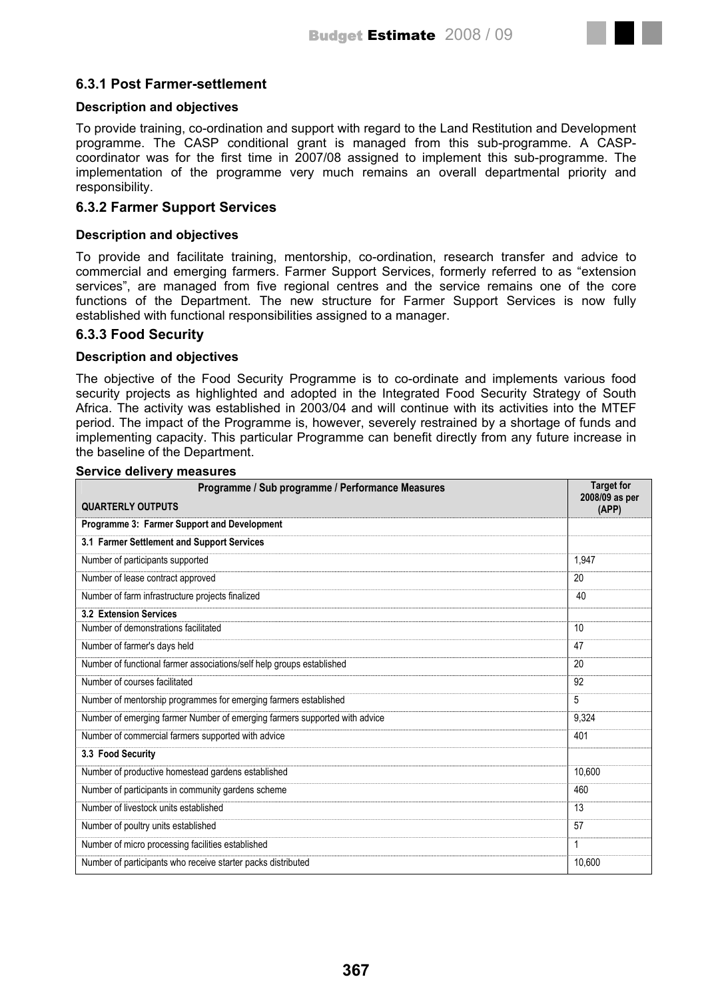# **6.3.1 Post Farmer-settlement**

### **Description and objectives**

To provide training, co-ordination and support with regard to the Land Restitution and Development programme. The CASP conditional grant is managed from this sub-programme. A CASPcoordinator was for the first time in 2007/08 assigned to implement this sub-programme. The implementation of the programme very much remains an overall departmental priority and responsibility.

## **6.3.2 Farmer Support Services**

#### **Description and objectives**

To provide and facilitate training, mentorship, co-ordination, research transfer and advice to commercial and emerging farmers. Farmer Support Services, formerly referred to as "extension services", are managed from five regional centres and the service remains one of the core functions of the Department. The new structure for Farmer Support Services is now fully established with functional responsibilities assigned to a manager.

### **6.3.3 Food Security**

### **Description and objectives**

The objective of the Food Security Programme is to co-ordinate and implements various food security projects as highlighted and adopted in the Integrated Food Security Strategy of South Africa. The activity was established in 2003/04 and will continue with its activities into the MTEF period. The impact of the Programme is, however, severely restrained by a shortage of funds and implementing capacity. This particular Programme can benefit directly from any future increase in the baseline of the Department.

| Programme / Sub programme / Performance Measures                           | <b>Target for</b><br>2008/09 as per |
|----------------------------------------------------------------------------|-------------------------------------|
| <b>QUARTERLY OUTPUTS</b>                                                   | (APP)                               |
| Programme 3: Farmer Support and Development                                |                                     |
| 3.1 Farmer Settlement and Support Services                                 |                                     |
| Number of participants supported                                           | 1,947                               |
| Number of lease contract approved                                          | 20                                  |
| Number of farm infrastructure projects finalized                           | 40                                  |
| <b>3.2 Extension Services</b>                                              |                                     |
| Number of demonstrations facilitated                                       | 10                                  |
| Number of farmer's days held                                               | 47                                  |
| Number of functional farmer associations/self help groups established      | 20                                  |
| Number of courses facilitated                                              | 92                                  |
| Number of mentorship programmes for emerging farmers established           | 5                                   |
| Number of emerging farmer Number of emerging farmers supported with advice | 9,324                               |
| Number of commercial farmers supported with advice                         | 401                                 |
| 3.3 Food Security                                                          |                                     |
| Number of productive homestead gardens established                         | 10,600                              |
| Number of participants in community gardens scheme                         | 460                                 |
| Number of livestock units established                                      | 13                                  |
| Number of poultry units established                                        | 57                                  |
| Number of micro processing facilities established                          | $\mathbf{1}$                        |
| Number of participants who receive starter packs distributed               | 10,600                              |

### **Service delivery measures**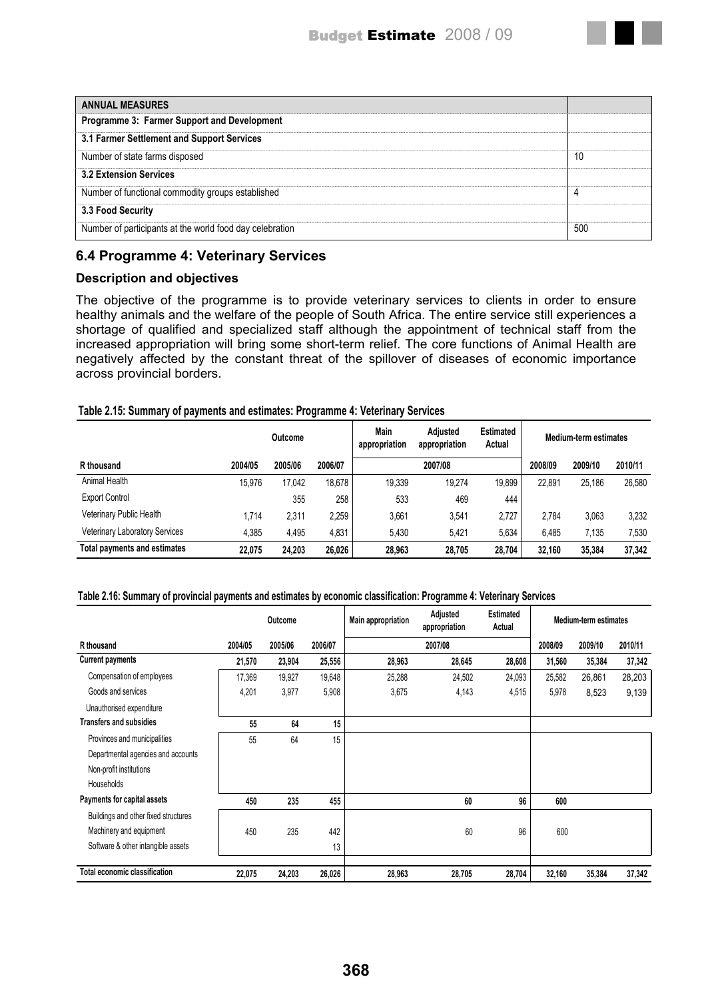| <b>ANNUAL MEASURES</b>                                   |     |
|----------------------------------------------------------|-----|
| Programme 3: Farmer Support and Development              |     |
| 3.1 Farmer Settlement and Support Services               |     |
| Number of state farms disposed                           | 10  |
| <b>3.2 Extension Services</b>                            |     |
| Number of functional commodity groups established        |     |
| 3.3 Food Security                                        |     |
| Number of participants at the world food day celebration | 500 |

# **6.4 Programme 4: Veterinary Services**

## **Description and objectives**

The objective of the programme is to provide veterinary services to clients in order to ensure healthy animals and the welfare of the people of South Africa. The entire service still experiences a shortage of qualified and specialized staff although the appointment of technical staff from the increased appropriation will bring some short-term relief. The core functions of Animal Health are negatively affected by the constant threat of the spillover of diseases of economic importance across provincial borders.

### **Table 2.15: Summary of payments and estimates: Programme 4: Veterinary Services**

|                                       | Outcome |         |         | Main<br>appropriation | <b>Adiusted</b><br>appropriation | <b>Estimated</b><br>Actual |         | <b>Medium-term estimates</b> |         |
|---------------------------------------|---------|---------|---------|-----------------------|----------------------------------|----------------------------|---------|------------------------------|---------|
| R thousand                            | 2004/05 | 2005/06 | 2006/07 |                       | 2007/08                          |                            | 2008/09 | 2009/10                      | 2010/11 |
| Animal Health                         | 15.976  | 17,042  | 18.678  | 19.339                | 19,274                           | 19,899                     | 22,891  | 25,186                       | 26,580  |
| <b>Export Control</b>                 |         | 355     | 258     | 533                   | 469                              | 444                        |         |                              |         |
| Veterinary Public Health              | 1.714   | 2,311   | 2.259   | 3.661                 | 3.541                            | 2.727                      | 2.784   | 3,063                        | 3,232   |
| <b>Veterinary Laboratory Services</b> | 4.385   | 4,495   | 4,831   | 5.430                 | 5,421                            | 5,634                      | 6.485   | 7,135                        | 7,530   |
| Total payments and estimates          | 22.075  | 24.203  | 26,026  | 28.963                | 28.705                           | 28,704                     | 32.160  | 35,384                       | 37,342  |

#### **Table 2.16: Summary of provincial payments and estimates by economic classification: Programme 4: Veterinary Services**

|                                      | Outcome |         |         | Adjusted<br>Main appropriation<br>appropriation |         | <b>Estimated</b><br>Actual | <b>Medium-term estimates</b> |         |         |
|--------------------------------------|---------|---------|---------|-------------------------------------------------|---------|----------------------------|------------------------------|---------|---------|
| R thousand                           | 2004/05 | 2005/06 | 2006/07 |                                                 | 2007/08 |                            | 2008/09                      | 2009/10 | 2010/11 |
| <b>Current payments</b>              | 21,570  | 23,904  | 25,556  | 28,963                                          | 28,645  | 28,608                     | 31,560                       | 35,384  | 37,342  |
| Compensation of employees            | 17,369  | 19,927  | 19,648  | 25,288                                          | 24,502  | 24,093                     | 25,582                       | 26,861  | 28,203  |
| Goods and services                   | 4,201   | 3,977   | 5,908   | 3,675                                           | 4,143   | 4,515                      | 5,978                        | 8,523   | 9,139   |
| Unauthorised expenditure             |         |         |         |                                                 |         |                            |                              |         |         |
| <b>Transfers and subsidies</b>       | 55      | 64      | 15      |                                                 |         |                            |                              |         |         |
| Provinces and municipalities         | 55      | 64      | 15      |                                                 |         |                            |                              |         |         |
| Departmental agencies and accounts   |         |         |         |                                                 |         |                            |                              |         |         |
| Non-profit institutions              |         |         |         |                                                 |         |                            |                              |         |         |
| <b>Households</b>                    |         |         |         |                                                 |         |                            |                              |         |         |
| Payments for capital assets          | 450     | 235     | 455     |                                                 | 60      | 96                         | 600                          |         |         |
| Buildings and other fixed structures |         |         |         |                                                 |         |                            |                              |         |         |
| Machinery and equipment              | 450     | 235     | 442     |                                                 | 60      | 96                         | 600                          |         |         |
| Software & other intangible assets   |         |         | 13      |                                                 |         |                            |                              |         |         |
| Total economic classification        | 22,075  | 24,203  | 26,026  | 28,963                                          | 28,705  | 28,704                     | 32,160                       | 35,384  | 37,342  |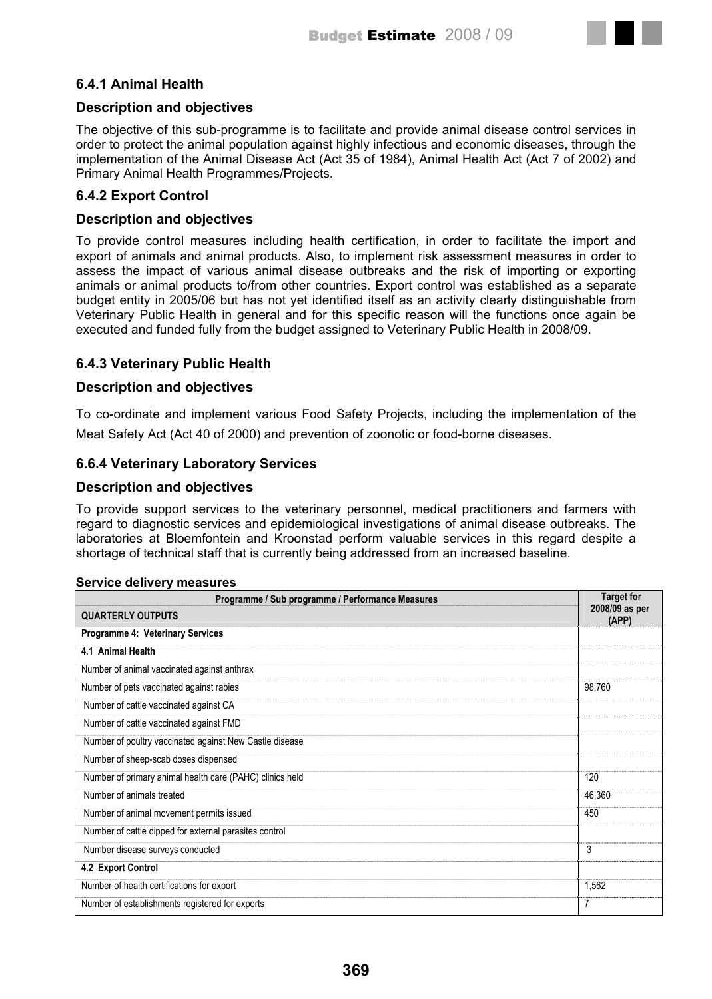

## **Description and objectives**

The objective of this sub-programme is to facilitate and provide animal disease control services in order to protect the animal population against highly infectious and economic diseases, through the implementation of the Animal Disease Act (Act 35 of 1984), Animal Health Act (Act 7 of 2002) and Primary Animal Health Programmes/Projects.

## **6.4.2 Export Control**

## **Description and objectives**

To provide control measures including health certification, in order to facilitate the import and export of animals and animal products. Also, to implement risk assessment measures in order to assess the impact of various animal disease outbreaks and the risk of importing or exporting animals or animal products to/from other countries. Export control was established as a separate budget entity in 2005/06 but has not yet identified itself as an activity clearly distinguishable from Veterinary Public Health in general and for this specific reason will the functions once again be executed and funded fully from the budget assigned to Veterinary Public Health in 2008/09.

## **6.4.3 Veterinary Public Health**

## **Description and objectives**

To co-ordinate and implement various Food Safety Projects, including the implementation of the Meat Safety Act (Act 40 of 2000) and prevention of zoonotic or food-borne diseases.

## **6.6.4 Veterinary Laboratory Services**

## **Description and objectives**

**Service delivery measures** 

To provide support services to the veterinary personnel, medical practitioners and farmers with regard to diagnostic services and epidemiological investigations of animal disease outbreaks. The laboratories at Bloemfontein and Kroonstad perform valuable services in this regard despite a shortage of technical staff that is currently being addressed from an increased baseline.

| 00. YIGG GGIIYGI Y IIIGGƏGI GƏ<br>Programme / Sub programme / Performance Measures | <b>Target for</b>       |
|------------------------------------------------------------------------------------|-------------------------|
| <b>QUARTERLY OUTPUTS</b>                                                           | 2008/09 as per<br>(APP) |
| Programme 4: Veterinary Services                                                   |                         |
| 4.1 Animal Health                                                                  |                         |
| Number of animal vaccinated against anthrax                                        |                         |
| Number of pets vaccinated against rabies                                           | 98,760                  |
| Number of cattle vaccinated against CA                                             |                         |
| Number of cattle vaccinated against FMD                                            |                         |
| Number of poultry vaccinated against New Castle disease                            |                         |
| Number of sheep-scab doses dispensed                                               |                         |
| Number of primary animal health care (PAHC) clinics held                           | 120                     |
| Number of animals treated                                                          | 46,360                  |
| Number of animal movement permits issued                                           | 450                     |
| Number of cattle dipped for external parasites control                             |                         |
| Number disease surveys conducted                                                   | 3                       |
| 4.2 Export Control                                                                 |                         |
| Number of health certifications for export                                         | 1,562                   |
| Number of establishments registered for exports                                    | 7                       |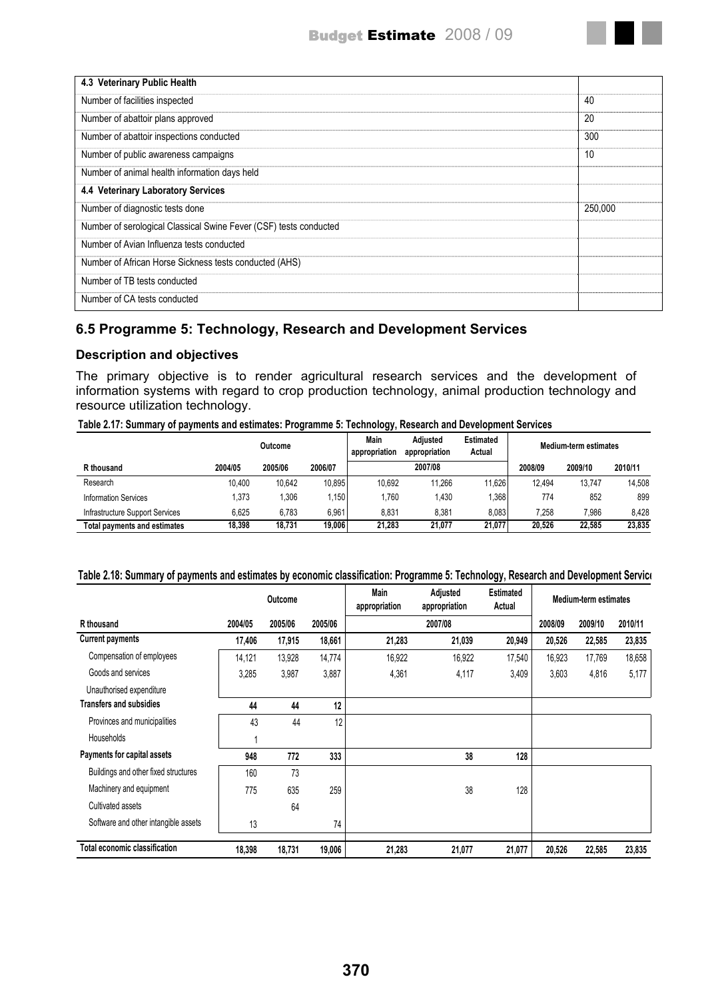

## **6.5 Programme 5: Technology, Research and Development Services**

### **Description and objectives**

The primary objective is to render agricultural research services and the development of information systems with regard to crop production technology, animal production technology and resource utilization technology.

#### **Table 2.17: Summary of payments and estimates: Programme 5: Technology, Research and Development Services**

|                                     | Outcome |         |         | Main<br>appropriation | Adjusted<br>appropriation | <b>Estimated</b><br>Actual |         | Medium-term estimates |         |
|-------------------------------------|---------|---------|---------|-----------------------|---------------------------|----------------------------|---------|-----------------------|---------|
| R thousand                          | 2004/05 | 2005/06 | 2006/07 |                       | 2007/08                   |                            | 2008/09 | 2009/10               | 2010/11 |
| Research                            | 10.400  | 10.642  | 10.895  | 10.692                | 11.266                    | 11.626                     | 12.494  | 13.747                | 14.508  |
| <b>Information Services</b>         | .373    | .306    | 1.150   | 1.760                 | .430                      | 1,368                      | 774     | 852                   | 899     |
| Infrastructure Support Services     | 6.625   | 6.783   | 6.961   | 8,831                 | 8,381                     | 8.083                      | 7.258   | 7.986                 | 8.428   |
| <b>Total payments and estimates</b> | 18,398  | 18.731  | 19.006  | 21.283                | 21.077                    | 21.077                     | 20.526  | 22.585                | 23.835  |

| Table 2.18: Summary of payments and estimates by economic classification: Programme 5: Technology, Research and Development Service |  |  |  |  |  |  |  |  |
|-------------------------------------------------------------------------------------------------------------------------------------|--|--|--|--|--|--|--|--|
|-------------------------------------------------------------------------------------------------------------------------------------|--|--|--|--|--|--|--|--|

| Outcome                              |         |         | Main<br>appropriation | Adjusted<br>appropriation |         | Medium-term estimates |         |         |         |
|--------------------------------------|---------|---------|-----------------------|---------------------------|---------|-----------------------|---------|---------|---------|
| R thousand                           | 2004/05 | 2005/06 | 2005/06               |                           | 2007/08 |                       | 2008/09 | 2009/10 | 2010/11 |
| <b>Current payments</b>              | 17,406  | 17,915  | 18,661                | 21,283                    | 21,039  | 20,949                | 20,526  | 22,585  | 23,835  |
| Compensation of employees            | 14,121  | 13,928  | 14,774                | 16,922                    | 16,922  | 17,540                | 16,923  | 17,769  | 18,658  |
| Goods and services                   | 3,285   | 3,987   | 3,887                 | 4,361                     | 4,117   | 3,409                 | 3,603   | 4,816   | 5,177   |
| Unauthorised expenditure             |         |         |                       |                           |         |                       |         |         |         |
| <b>Transfers and subsidies</b>       | 44      | 44      | 12                    |                           |         |                       |         |         |         |
| Provinces and municipalities         | 43      | 44      | 12                    |                           |         |                       |         |         |         |
| <b>Households</b>                    |         |         |                       |                           |         |                       |         |         |         |
| Payments for capital assets          | 948     | 772     | 333                   |                           | 38      | 128                   |         |         |         |
| Buildings and other fixed structures | 160     | 73      |                       |                           |         |                       |         |         |         |
| Machinery and equipment              | 775     | 635     | 259                   |                           | 38      | 128                   |         |         |         |
| Cultivated assets                    |         | 64      |                       |                           |         |                       |         |         |         |
| Software and other intangible assets | 13      |         | 74                    |                           |         |                       |         |         |         |
| <b>Total economic classification</b> | 18,398  | 18,731  | 19,006                | 21,283                    | 21,077  | 21,077                | 20,526  | 22,585  | 23,835  |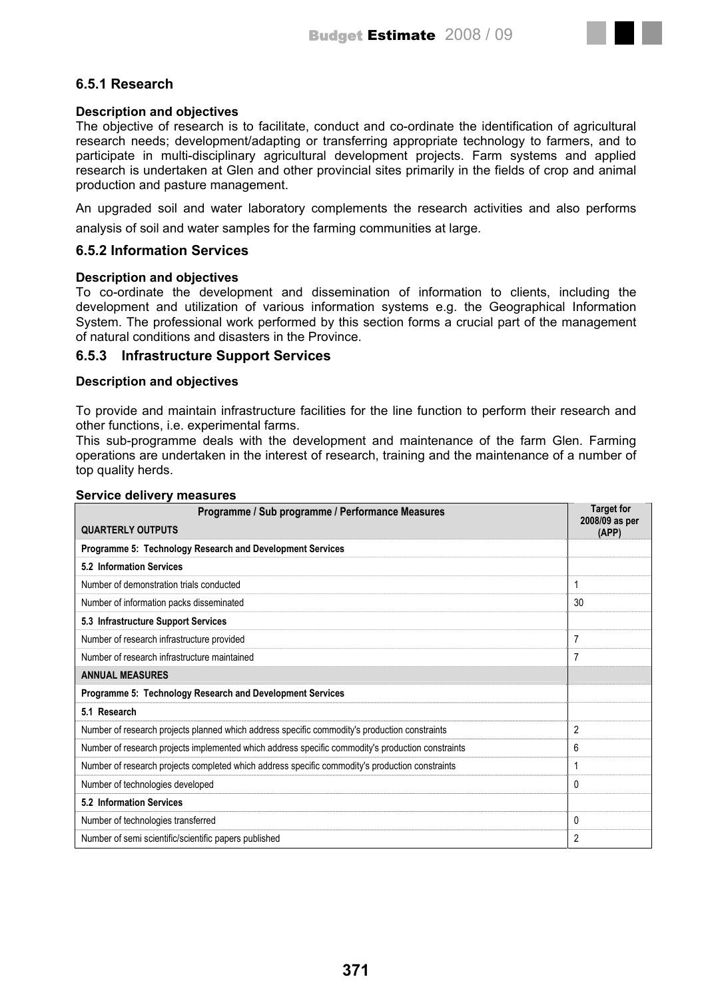## **6.5.1 Research**

### **Description and objectives**

The objective of research is to facilitate, conduct and co-ordinate the identification of agricultural research needs; development/adapting or transferring appropriate technology to farmers, and to participate in multi-disciplinary agricultural development projects. Farm systems and applied research is undertaken at Glen and other provincial sites primarily in the fields of crop and animal production and pasture management.

An upgraded soil and water laboratory complements the research activities and also performs analysis of soil and water samples for the farming communities at large.

### **6.5.2 Information Services**

#### **Description and objectives**

To co-ordinate the development and dissemination of information to clients, including the development and utilization of various information systems e.g. the Geographical Information System. The professional work performed by this section forms a crucial part of the management of natural conditions and disasters in the Province.

### **6.5.3 Infrastructure Support Services**

#### **Description and objectives**

To provide and maintain infrastructure facilities for the line function to perform their research and other functions, i.e. experimental farms.

This sub-programme deals with the development and maintenance of the farm Glen. Farming operations are undertaken in the interest of research, training and the maintenance of a number of top quality herds.

| Programme / Sub programme / Performance Measures                                                  | <b>Target for</b>       |
|---------------------------------------------------------------------------------------------------|-------------------------|
| <b>QUARTERLY OUTPUTS</b>                                                                          | 2008/09 as per<br>(APP) |
| Programme 5: Technology Research and Development Services                                         |                         |
| 5.2 Information Services                                                                          |                         |
| Number of demonstration trials conducted                                                          |                         |
| Number of information packs disseminated                                                          | 30                      |
| 5.3 Infrastructure Support Services                                                               |                         |
| Number of research infrastructure provided                                                        | 7                       |
| Number of research infrastructure maintained                                                      | 7                       |
| <b>ANNUAL MEASURES</b>                                                                            |                         |
| Programme 5: Technology Research and Development Services                                         |                         |
| 5.1 Research                                                                                      |                         |
| Number of research projects planned which address specific commodity's production constraints     | 2                       |
| Number of research projects implemented which address specific commodity's production constraints | 6                       |
| Number of research projects completed which address specific commodity's production constraints   |                         |
| Number of technologies developed                                                                  | 0                       |
| 5.2 Information Services                                                                          |                         |
| Number of technologies transferred                                                                | 0                       |
| Number of semi scientific/scientific papers published                                             | 2                       |

#### **Service delivery measures**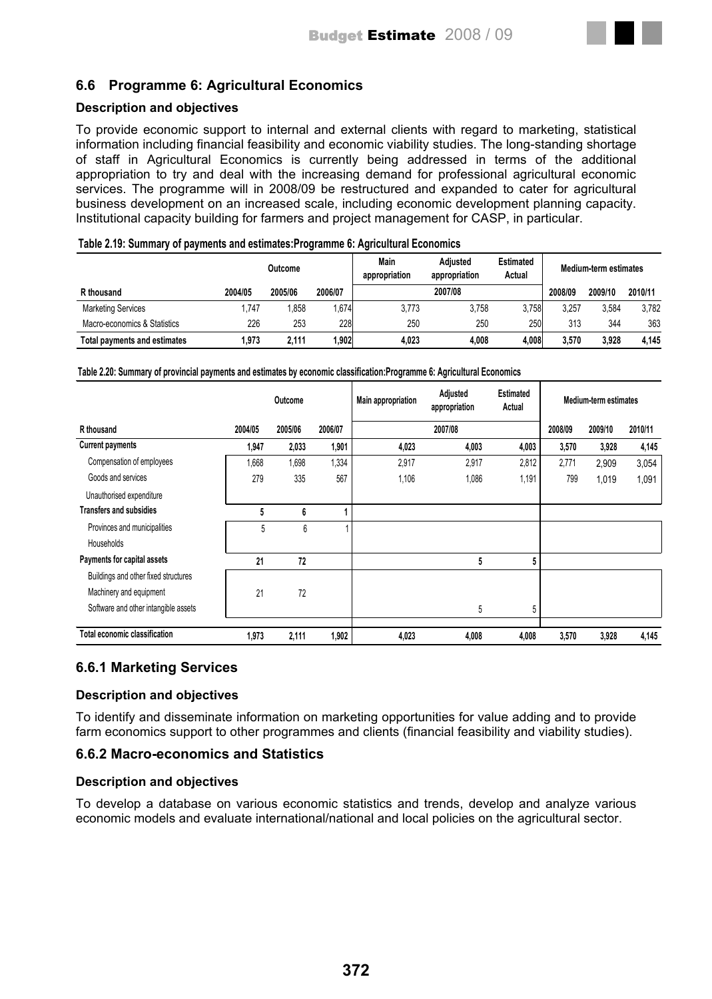

## **Description and objectives**

To provide economic support to internal and external clients with regard to marketing, statistical information including financial feasibility and economic viability studies. The long-standing shortage of staff in Agricultural Economics is currently being addressed in terms of the additional appropriation to try and deal with the increasing demand for professional agricultural economic services. The programme will in 2008/09 be restructured and expanded to cater for agricultural business development on an increased scale, including economic development planning capacity. Institutional capacity building for farmers and project management for CASP, in particular.

|  |  | Table 2.19: Summary of payments and estimates: Programme 6: Agricultural Economics |
|--|--|------------------------------------------------------------------------------------|
|  |  |                                                                                    |

|                              |         | Outcome |         | Main<br>Adiusted<br><b>Estimated</b><br>appropriation<br>Actual<br>appropriation |         |       | <b>Medium-term estimates</b> |         |         |  |
|------------------------------|---------|---------|---------|----------------------------------------------------------------------------------|---------|-------|------------------------------|---------|---------|--|
| R thousand                   | 2004/05 | 2005/06 | 2006/07 |                                                                                  | 2007/08 |       | 2008/09                      | 2009/10 | 2010/11 |  |
| <b>Marketing Services</b>    | 1,747   | .858    | ,674    | 3,773                                                                            | 3.758   | 3,758 | 3,257                        | 3,584   | 3,782   |  |
| Macro-economics & Statistics | 226     | 253     | 228     | 250                                                                              | 250     | 250   | 313                          | 344     | 363     |  |
| Total payments and estimates | 1.973   | 2.111   | 1.9021  | 4,023                                                                            | 4.008   | 4,008 | 3,570                        | 3,928   | 4.145   |  |

#### **Table 2.20: Summary of provincial payments and estimates by economic classification:Programme 6: Agricultural Economics**

|                                      |         | Outcome |         | <b>Main appropriation</b> | Adjusted<br>appropriation | <b>Estimated</b><br>Actual | <b>Medium-term estimates</b> |         |         |
|--------------------------------------|---------|---------|---------|---------------------------|---------------------------|----------------------------|------------------------------|---------|---------|
| R thousand                           | 2004/05 | 2005/06 | 2006/07 |                           | 2007/08                   |                            | 2008/09                      | 2009/10 | 2010/11 |
| <b>Current payments</b>              | 1,947   | 2,033   | 1,901   | 4,023                     | 4,003                     | 4,003                      | 3,570                        | 3,928   | 4,145   |
| Compensation of employees            | 1,668   | 1,698   | 1,334   | 2,917                     | 2,917                     | 2,812                      | 2,771                        | 2,909   | 3,054   |
| Goods and services                   | 279     | 335     | 567     | 1,106                     | 1,086                     | 1,191                      | 799                          | 1,019   | 1,091   |
| Unauthorised expenditure             |         |         |         |                           |                           |                            |                              |         |         |
| <b>Transfers and subsidies</b>       | 5       | 6       | 4       |                           |                           |                            |                              |         |         |
| Provinces and municipalities         | 5       | 6       |         |                           |                           |                            |                              |         |         |
| <b>Households</b>                    |         |         |         |                           |                           |                            |                              |         |         |
| Payments for capital assets          | 21      | 72      |         |                           | 5                         | 5                          |                              |         |         |
| Buildings and other fixed structures |         |         |         |                           |                           |                            |                              |         |         |
| Machinery and equipment              | 21      | 72      |         |                           |                           |                            |                              |         |         |
| Software and other intangible assets |         |         |         |                           | 5                         | 5                          |                              |         |         |
| Total economic classification        | 1,973   | 2,111   | 1,902   | 4,023                     | 4,008                     | 4,008                      | 3,570                        | 3,928   | 4,145   |

## **6.6.1 Marketing Services**

## **Description and objectives**

To identify and disseminate information on marketing opportunities for value adding and to provide farm economics support to other programmes and clients (financial feasibility and viability studies).

## **6.6.2 Macro-economics and Statistics**

### **Description and objectives**

To develop a database on various economic statistics and trends, develop and analyze various economic models and evaluate international/national and local policies on the agricultural sector.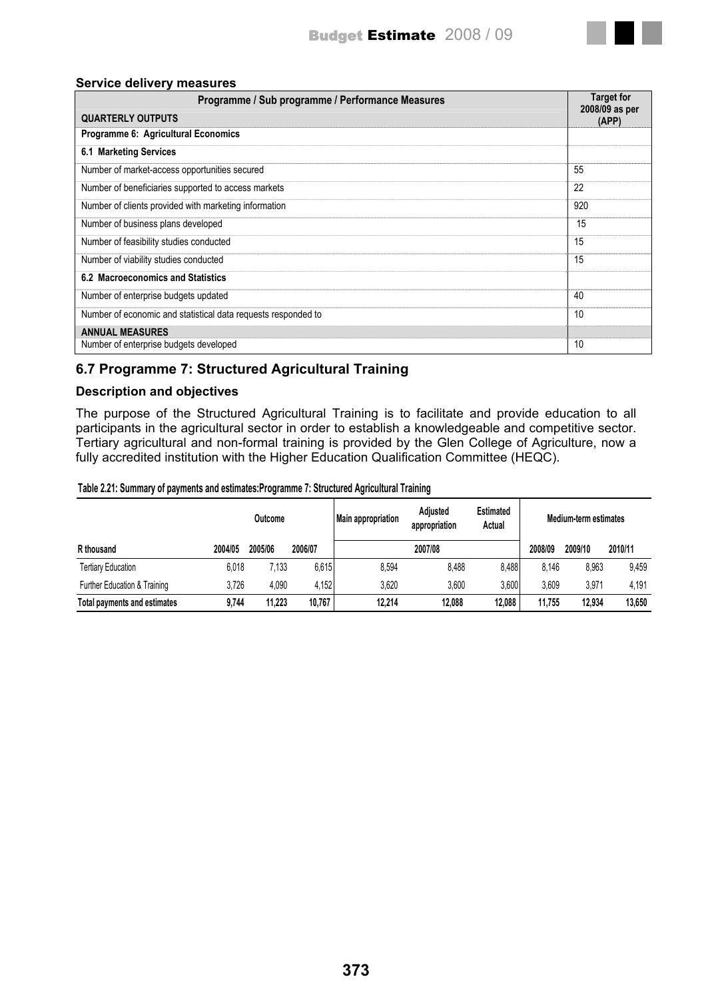

#### **Service delivery measures**

| Programme / Sub programme / Performance Measures              | <b>Target for</b><br>2008/09 as per |
|---------------------------------------------------------------|-------------------------------------|
| <b>QUARTERLY OUTPUTS</b>                                      | (APP)                               |
| Programme 6: Agricultural Economics                           |                                     |
| 6.1 Marketing Services                                        |                                     |
| Number of market-access opportunities secured                 | 55                                  |
| Number of beneficiaries supported to access markets           | 22                                  |
| Number of clients provided with marketing information         | 920                                 |
| Number of business plans developed                            | 15                                  |
| Number of feasibility studies conducted                       | 15                                  |
| Number of viability studies conducted                         | 15                                  |
| 6.2 Macroeconomics and Statistics                             |                                     |
| Number of enterprise budgets updated                          | 40                                  |
| Number of economic and statistical data requests responded to | 10                                  |
| <b>ANNUAL MEASURES</b>                                        |                                     |
| Number of enterprise budgets developed                        | 10                                  |

# **6.7 Programme 7: Structured Agricultural Training**

## **Description and objectives**

The purpose of the Structured Agricultural Training is to facilitate and provide education to all participants in the agricultural sector in order to establish a knowledgeable and competitive sector. Tertiary agricultural and non-formal training is provided by the Glen College of Agriculture, now a fully accredited institution with the Higher Education Qualification Committee (HEQC).

#### **Table 2.21: Summary of payments and estimates:Programme 7: Structured Agricultural Training**

|                              |         | Outcome |         | <b>Main appropriation</b> | Adjusted<br>appropriation | <b>Estimated</b><br>Actual |         | Medium-term estimates |         |
|------------------------------|---------|---------|---------|---------------------------|---------------------------|----------------------------|---------|-----------------------|---------|
| R thousand                   | 2004/05 | 2005/06 | 2006/07 |                           | 2007/08                   |                            | 2008/09 | 2009/10               | 2010/11 |
| <b>Tertiary Education</b>    | 6,018   | 7,133   | 6,615   | 8,594                     | 8,488                     | 8,488                      | 8.146   | 8,963                 | 9,459   |
| Further Education & Training | 3,726   | 4,090   | 4,152   | 3,620                     | 3,600                     | 3,600                      | 3.609   | 3.971                 | 4.191   |
| Total payments and estimates | 9,744   | 11.223  | 10,767  | 12.214                    | 12.088                    | 12,088                     | 11.755  | 12.934                | 13.650  |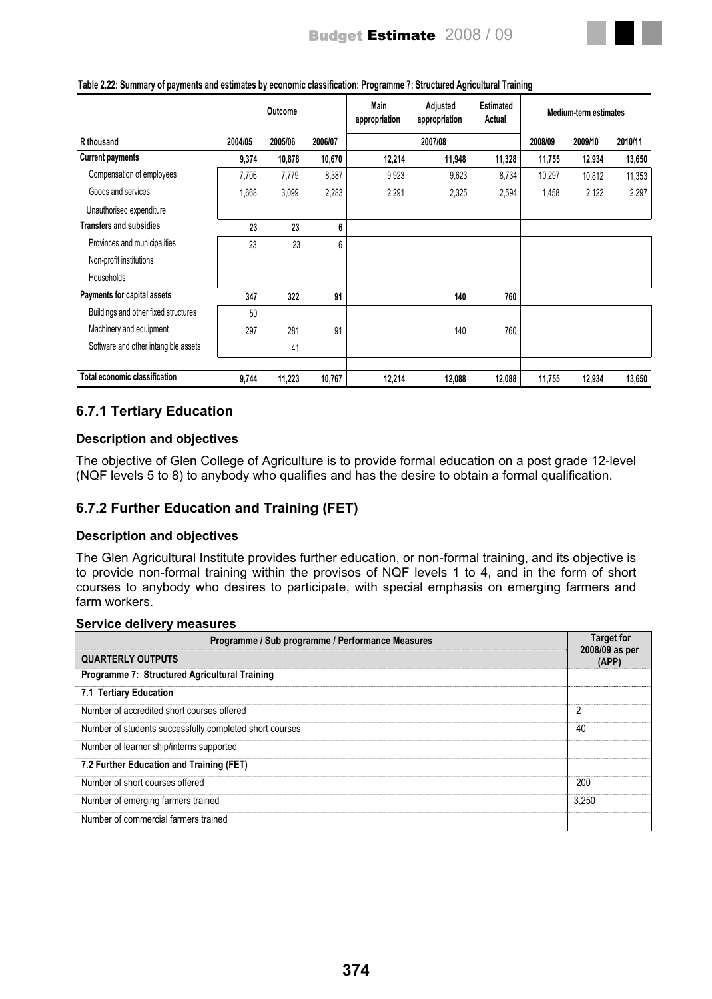|                                      |         | Outcome |         | Main<br>appropriation | Adjusted<br>appropriation | <b>Estimated</b><br>Actual | <b>Medium-term estimates</b> |         |         |
|--------------------------------------|---------|---------|---------|-----------------------|---------------------------|----------------------------|------------------------------|---------|---------|
| R thousand                           | 2004/05 | 2005/06 | 2006/07 |                       | 2007/08                   |                            | 2008/09                      | 2009/10 | 2010/11 |
| <b>Current payments</b>              | 9,374   | 10,878  | 10,670  | 12,214                | 11,948                    | 11,328                     | 11,755                       | 12,934  | 13,650  |
| Compensation of employees            | 7,706   | 7,779   | 8,387   | 9,923                 | 9,623                     | 8,734                      | 10,297                       | 10,812  | 11,353  |
| Goods and services                   | 1,668   | 3,099   | 2,283   | 2,291                 | 2,325                     | 2,594                      | 1,458                        | 2,122   | 2,297   |
| Unauthorised expenditure             |         |         |         |                       |                           |                            |                              |         |         |
| <b>Transfers and subsidies</b>       | 23      | 23      | 6       |                       |                           |                            |                              |         |         |
| Provinces and municipalities         | 23      | 23      | 6       |                       |                           |                            |                              |         |         |
| Non-profit institutions              |         |         |         |                       |                           |                            |                              |         |         |
| Households                           |         |         |         |                       |                           |                            |                              |         |         |
| Payments for capital assets          | 347     | 322     | 91      |                       | 140                       | 760                        |                              |         |         |
| Buildings and other fixed structures | 50      |         |         |                       |                           |                            |                              |         |         |
| Machinery and equipment              | 297     | 281     | 91      |                       | 140                       | 760                        |                              |         |         |

#### **Table 2.22: Summary of payments and estimates by economic classification: Programme 7: Structured Agricultural Training**

# **6.7.1 Tertiary Education**

Software and other intangible assets 41

## **Description and objectives**

The objective of Glen College of Agriculture is to provide formal education on a post grade 12-level (NQF levels 5 to 8) to anybody who qualifies and has the desire to obtain a formal qualification.

**Total economic classification 11,223 9,744 10,767 12,214 12,088 12,088 11,755 12,934 13,650** 

# **6.7.2 Further Education and Training (FET)**

## **Description and objectives**

**Service delivery measures** 

The Glen Agricultural Institute provides further education, or non-formal training, and its objective is to provide non-formal training within the provisos of NQF levels 1 to 4, and in the form of short courses to anybody who desires to participate, with special emphasis on emerging farmers and farm workers.

| Programme / Sub programme / Performance Measures        | <b>Target for</b><br>2008/09 as per |
|---------------------------------------------------------|-------------------------------------|
| <b>QUARTERLY OUTPUTS</b>                                | (APP)                               |
| Programme 7: Structured Agricultural Training           |                                     |
| 7.1 Tertiary Education                                  |                                     |
| Number of accredited short courses offered              | $\overline{2}$                      |
| Number of students successfully completed short courses | 40                                  |
| Number of learner ship/interns supported                |                                     |
| 7.2 Further Education and Training (FET)                |                                     |
| Number of short courses offered                         | 200                                 |
| Number of emerging farmers trained                      | 3,250                               |
| Number of commercial farmers trained                    |                                     |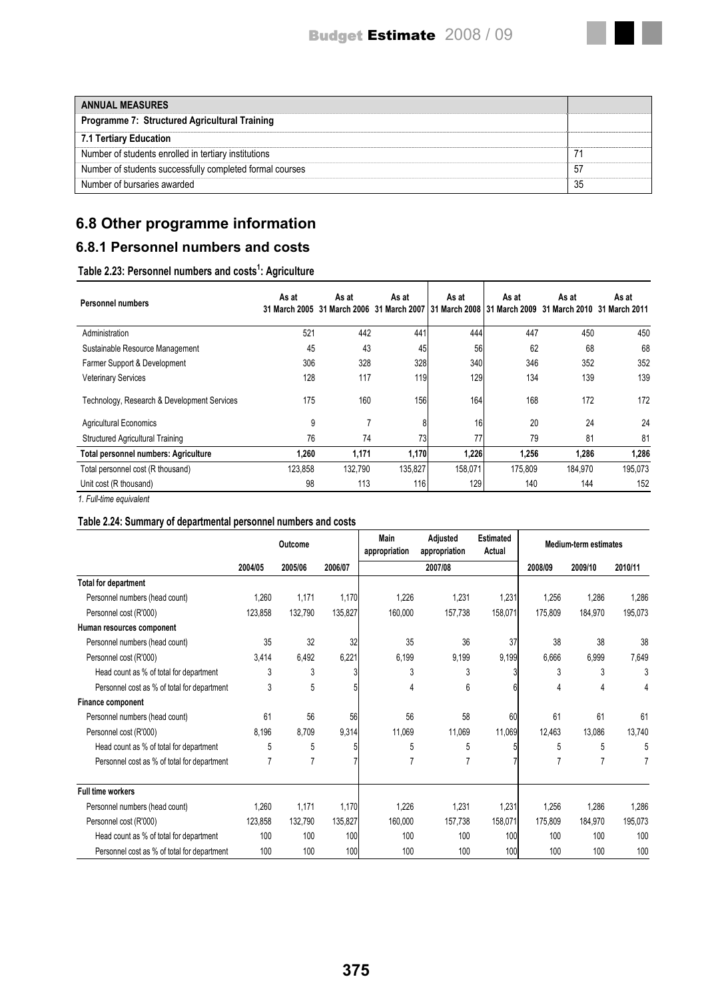| <b>ANNUAL MEASURES</b>                                   |     |
|----------------------------------------------------------|-----|
| <b>Programme 7: Structured Agricultural Training</b>     |     |
| 7.1 Tertiary Education                                   |     |
| Number of students enrolled in tertiary institutions     |     |
| Number of students successfully completed formal courses | -57 |
| Number of bursaries awarded                              | 35  |

# **6.8 Other programme information**

# **6.8.1 Personnel numbers and costs**

#### **Table 2.23: Personnel numbers and costs<sup>1</sup> : Agriculture**

| <b>Personnel numbers</b>                    | As at<br>31 March 2005 | As at<br>31 March 2006 | As at<br>31 March 2007 | As at   | As at<br>31 March 2008 31 March 2009 | As at<br>31 March 2010 | As at<br>31 March 2011 |
|---------------------------------------------|------------------------|------------------------|------------------------|---------|--------------------------------------|------------------------|------------------------|
| Administration                              | 521                    | 442                    | 441                    | 444     | 447                                  | 450                    | 450                    |
| Sustainable Resource Management             | 45                     | 43                     | 45                     | 56      | 62                                   | 68                     | 68                     |
| Farmer Support & Development                | 306                    | 328                    | 328                    | 340     | 346                                  | 352                    | 352                    |
| <b>Veterinary Services</b>                  | 128                    | 117                    | 119                    | 129     | 134                                  | 139                    | 139                    |
| Technology, Research & Development Services | 175                    | 160                    | 156                    | 164     | 168                                  | 172                    | 172                    |
| <b>Agricultural Economics</b>               | 9                      | 7                      | 8                      | 16      | 20                                   | 24                     | 24                     |
| <b>Structured Agricultural Training</b>     | 76                     | 74                     | 73                     | 77      | 79                                   | 81                     | 81                     |
| <b>Total personnel numbers: Agriculture</b> | 1,260                  | 1,171                  | 1,170                  | 1,226   | 1,256                                | 1,286                  | 1,286                  |
| Total personnel cost (R thousand)           | 123,858                | 132,790                | 135,827                | 158,071 | 175,809                              | 184,970                | 195,073                |
| Unit cost (R thousand)                      | 98                     | 113                    | 116                    | 129     | 140                                  | 144                    | 152                    |
| 1 Full-time equivalent                      |                        |                        |                        |         |                                      |                        |                        |

*1. Full-time equivalent*

## **Table 2.24: Summary of departmental personnel numbers and costs**

|                                             | Outcome |                |         | Main<br>appropriation | Adjusted<br>appropriation | <b>Estimated</b><br>Actual |         | <b>Medium-term estimates</b> |         |
|---------------------------------------------|---------|----------------|---------|-----------------------|---------------------------|----------------------------|---------|------------------------------|---------|
|                                             | 2004/05 | 2005/06        | 2006/07 |                       | 2007/08                   |                            | 2008/09 | 2009/10                      | 2010/11 |
| <b>Total for department</b>                 |         |                |         |                       |                           |                            |         |                              |         |
| Personnel numbers (head count)              | 1.260   | 1,171          | 1,170   | 1,226                 | 1,231                     | 1,231                      | 1,256   | 1,286                        | 1,286   |
| Personnel cost (R'000)                      | 123,858 | 132,790        | 135,827 | 160,000               | 157,738                   | 158,071                    | 175.809 | 184,970                      | 195,073 |
| Human resources component                   |         |                |         |                       |                           |                            |         |                              |         |
| Personnel numbers (head count)              | 35      | 32             | 32      | 35                    | 36                        | 37                         | 38      | 38                           | 38      |
| Personnel cost (R'000)                      | 3,414   | 6,492          | 6,221   | 6,199                 | 9,199                     | 9,199                      | 6,666   | 6,999                        | 7,649   |
| Head count as % of total for department     | 3       | 3              |         | 3                     | 3                         |                            | 3       | 3                            | 3       |
| Personnel cost as % of total for department | 3       | 5              |         | 4                     | 6                         |                            | 4       | 4                            | 4       |
| <b>Finance component</b>                    |         |                |         |                       |                           |                            |         |                              |         |
| Personnel numbers (head count)              | 61      | 56             | 56      | 56                    | 58                        | 60                         | 61      | 61                           | 61      |
| Personnel cost (R'000)                      | 8,196   | 8,709          | 9,314   | 11,069                | 11,069                    | 11,069                     | 12,463  | 13,086                       | 13,740  |
| Head count as % of total for department     | 5       | 5              |         | 5                     | 5                         |                            | 5       | 5                            | 5       |
| Personnel cost as % of total for department | 7       | $\overline{7}$ |         | 7                     | 7                         |                            |         | 7                            |         |
| <b>Full time workers</b>                    |         |                |         |                       |                           |                            |         |                              |         |
| Personnel numbers (head count)              | 1.260   | 1,171          | 1,170   | 1,226                 | 1,231                     | 1,231                      | 1,256   | 1,286                        | 1,286   |
| Personnel cost (R'000)                      | 123.858 | 132.790        | 135,827 | 160,000               | 157,738                   | 158,071                    | 175,809 | 184,970                      | 195,073 |
| Head count as % of total for department     | 100     | 100            | 100     | 100                   | 100                       | 100                        | 100     | 100                          | 100     |
| Personnel cost as % of total for department | 100     | 100            | 100     | 100                   | 100                       | 100                        | 100     | 100                          | 100     |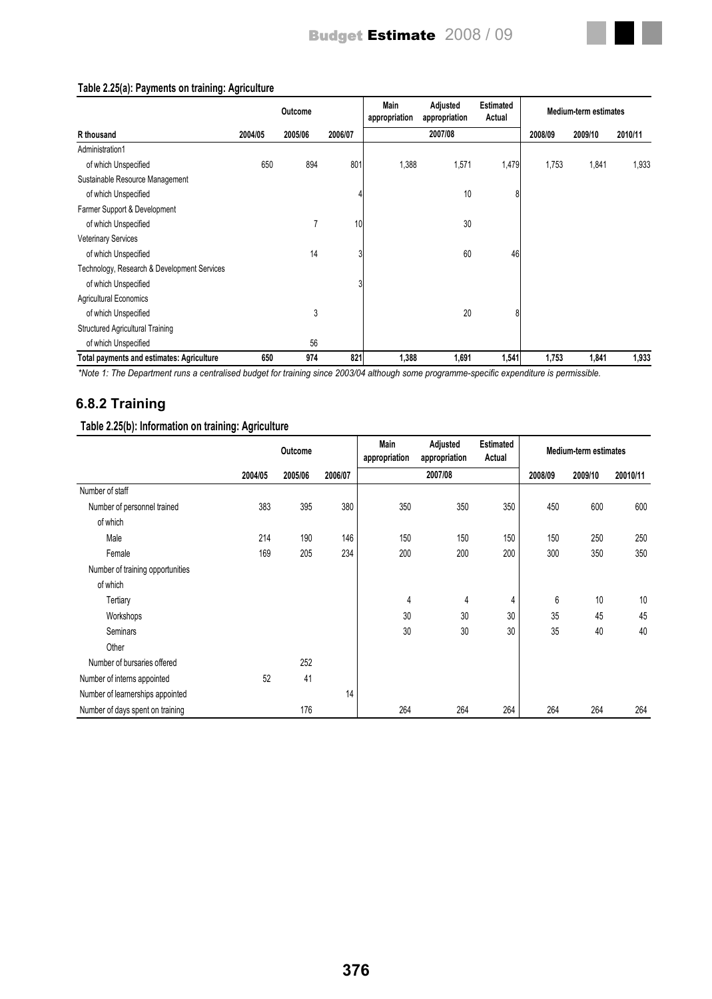

#### **Table 2.25(a): Payments on training: Agriculture**

*\*Note 1: The Department runs a centralised budget for training since 2003/04 although some programme-specific expenditure is permissible.*

## **6.8.2 Training**

#### **Table 2.25(b): Information on training: Agriculture**

|                                  |         | Outcome |         | Main<br>appropriation | Adjusted<br>appropriation | <b>Estimated</b><br>Actual | <b>Medium-term estimates</b> |         |          |
|----------------------------------|---------|---------|---------|-----------------------|---------------------------|----------------------------|------------------------------|---------|----------|
|                                  | 2004/05 | 2005/06 | 2006/07 |                       | 2007/08                   |                            | 2008/09                      | 2009/10 | 20010/11 |
| Number of staff                  |         |         |         |                       |                           |                            |                              |         |          |
| Number of personnel trained      | 383     | 395     | 380     | 350                   | 350                       | 350                        | 450                          | 600     | 600      |
| of which                         |         |         |         |                       |                           |                            |                              |         |          |
| Male                             | 214     | 190     | 146     | 150                   | 150                       | 150                        | 150                          | 250     | 250      |
| Female                           | 169     | 205     | 234     | 200                   | 200                       | 200                        | 300                          | 350     | 350      |
| Number of training opportunities |         |         |         |                       |                           |                            |                              |         |          |
| of which                         |         |         |         |                       |                           |                            |                              |         |          |
| Tertiary                         |         |         |         | 4                     | 4                         | 4                          | 6                            | 10      | 10       |
| Workshops                        |         |         |         | 30                    | 30                        | 30                         | 35                           | 45      | 45       |
| <b>Seminars</b>                  |         |         |         | 30                    | 30                        | 30                         | 35                           | 40      | 40       |
| Other                            |         |         |         |                       |                           |                            |                              |         |          |
| Number of bursaries offered      |         | 252     |         |                       |                           |                            |                              |         |          |
| Number of interns appointed      | 52      | 41      |         |                       |                           |                            |                              |         |          |
| Number of learnerships appointed |         |         | 14      |                       |                           |                            |                              |         |          |
| Number of days spent on training |         | 176     |         | 264                   | 264                       | 264                        | 264                          | 264     | 264      |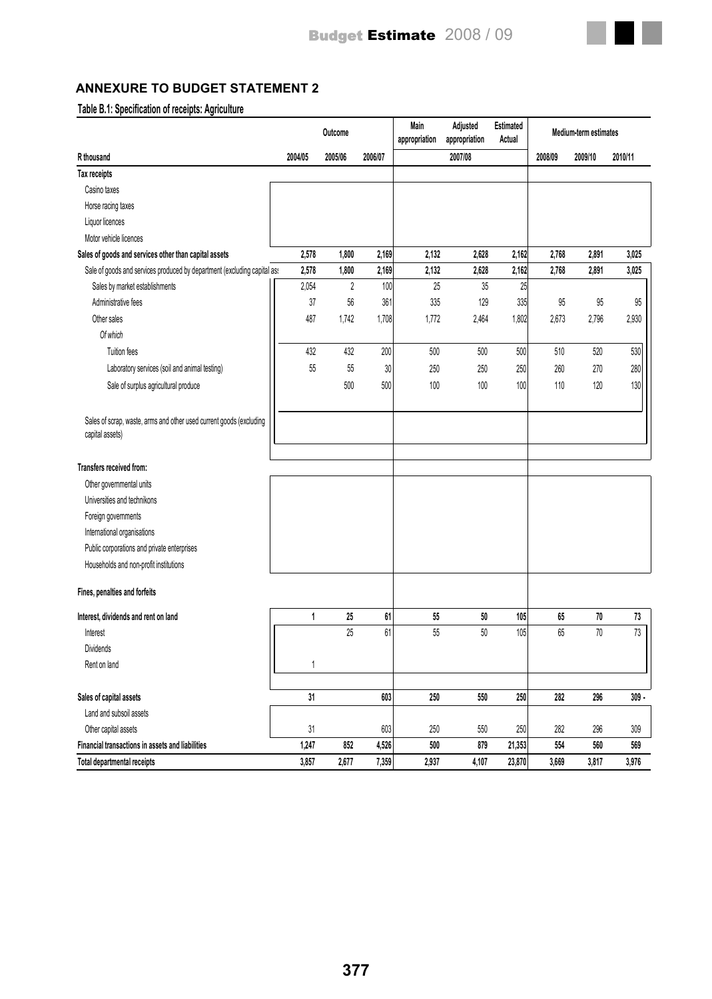

# **ANNEXURE TO BUDGET STATEMENT 2**

# **Table B.1: Specification of receipts: Agriculture**

|                                                                                        |         | Outcome        |         | Main<br>appropriation | Adjusted<br>appropriation | Estimated<br>Actual | <b>Medium-term estimates</b> |         |         |
|----------------------------------------------------------------------------------------|---------|----------------|---------|-----------------------|---------------------------|---------------------|------------------------------|---------|---------|
| R thousand                                                                             | 2004/05 | 2005/06        | 2006/07 |                       | 2007/08                   |                     | 2008/09                      | 2009/10 | 2010/11 |
| Tax receipts                                                                           |         |                |         |                       |                           |                     |                              |         |         |
| Casino taxes                                                                           |         |                |         |                       |                           |                     |                              |         |         |
| Horse racing taxes                                                                     |         |                |         |                       |                           |                     |                              |         |         |
| Liquor licences                                                                        |         |                |         |                       |                           |                     |                              |         |         |
| Motor vehicle licences                                                                 |         |                |         |                       |                           |                     |                              |         |         |
| Sales of goods and services other than capital assets                                  | 2,578   | 1,800          | 2,169   | 2,132                 | 2,628                     | 2,162               | 2,768                        | 2,891   | 3,025   |
| Sale of goods and services produced by department (excluding capital as:               | 2,578   | 1,800          | 2,169   | 2,132                 | 2,628                     | 2,162               | 2,768                        | 2,891   | 3,025   |
| Sales by market establishments                                                         | 2,054   | $\overline{c}$ | 100     | 25                    | 35                        | 25                  |                              |         |         |
| Administrative fees                                                                    | 37      | $56\,$         | 361     | 335                   | 129                       | 335                 | 95                           | 95      | $95\,$  |
| Other sales                                                                            | 487     | 1,742          | 1,708   | 1,772                 | 2,464                     | 1,802               | 2,673                        | 2,796   | 2,930   |
| Of which                                                                               |         |                |         |                       |                           |                     |                              |         |         |
| Tuition fees                                                                           | 432     | 432            | 200     | 500                   | 500                       | 500                 | 510                          | 520     | 530     |
| Laboratory services (soil and animal testing)                                          | 55      | 55             | $30\,$  | 250                   | 250                       | 250                 | 260                          | 270     | 280     |
| Sale of surplus agricultural produce                                                   |         | 500            | 500     | 100                   | 100                       | 100                 | 110                          | 120     | 130     |
|                                                                                        |         |                |         |                       |                           |                     |                              |         |         |
| Sales of scrap, waste, arms and other used current goods (excluding<br>capital assets) |         |                |         |                       |                           |                     |                              |         |         |
|                                                                                        |         |                |         |                       |                           |                     |                              |         |         |
| Transfers received from:                                                               |         |                |         |                       |                           |                     |                              |         |         |
| Other governmental units                                                               |         |                |         |                       |                           |                     |                              |         |         |
| Universities and technikons                                                            |         |                |         |                       |                           |                     |                              |         |         |
| Foreign governments                                                                    |         |                |         |                       |                           |                     |                              |         |         |
| International organisations                                                            |         |                |         |                       |                           |                     |                              |         |         |
| Public corporations and private enterprises                                            |         |                |         |                       |                           |                     |                              |         |         |
| Households and non-profit institutions                                                 |         |                |         |                       |                           |                     |                              |         |         |
| Fines, penalties and forfeits                                                          |         |                |         |                       |                           |                     |                              |         |         |
| Interest, dividends and rent on land                                                   | 1       | 25             | 61      | 55                    | $50\,$                    | 105                 | 65                           | $70\,$  | 73      |
| Interest                                                                               |         | 25             | 61      | $55\,$                | $50\,$                    | 105                 | 65                           | 70      | $73\,$  |
| Dividends                                                                              |         |                |         |                       |                           |                     |                              |         |         |
| Rent on land                                                                           |         |                |         |                       |                           |                     |                              |         |         |
| Sales of capital assets                                                                | 31      |                | 603     | 250                   | 550                       | 250                 | 282                          | 296     | $309 -$ |
| Land and subsoil assets                                                                |         |                |         |                       |                           |                     |                              |         |         |
| Other capital assets                                                                   | 31      |                | 603     | 250                   | 550                       | 250                 | 282                          | 296     | 309     |
| Financial transactions in assets and liabilities                                       | 1,247   | 852            | 4,526   | 500                   | 879                       | 21,353              | 554                          | 560     | 569     |
| Total departmental receipts                                                            | 3,857   | 2,677          | 7,359   | 2,937                 | 4,107                     | 23,870              | 3,669                        | 3,817   | 3,976   |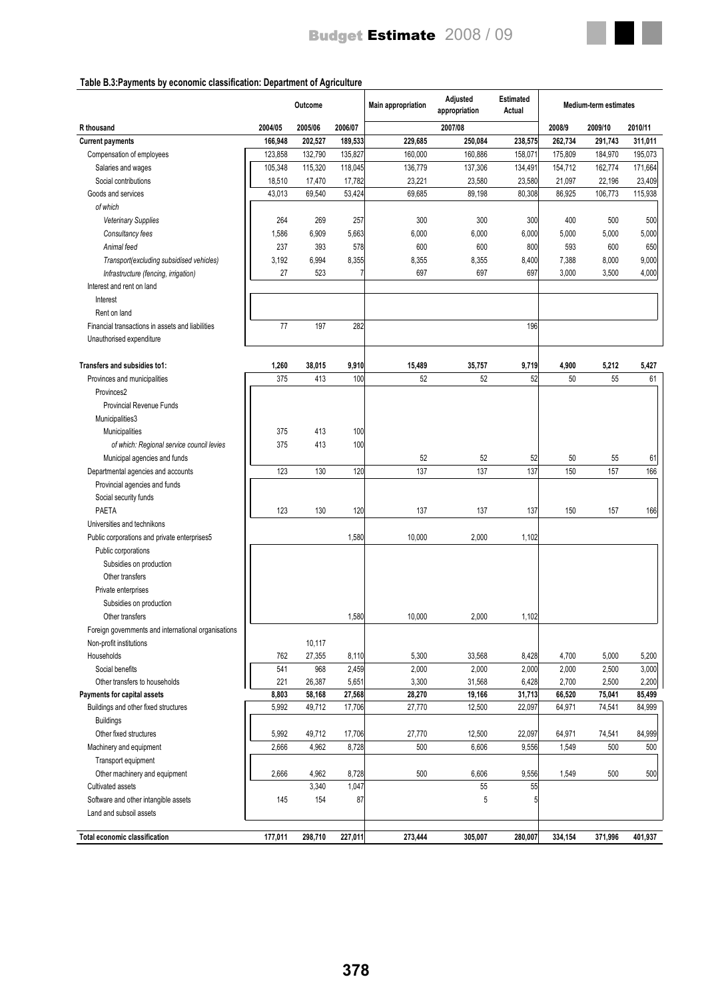

# **Table B.3:Payments by economic classification: Department of Agriculture**

|                                                                     |              | Outcome          |                  | <b>Main appropriation</b> | Adjusted<br>appropriation | <b>Estimated</b><br>Actual |                  | <b>Medium-term estimates</b> |                  |
|---------------------------------------------------------------------|--------------|------------------|------------------|---------------------------|---------------------------|----------------------------|------------------|------------------------------|------------------|
| R thousand                                                          | 2004/05      | 2005/06          | 2006/07          |                           | 2007/08                   |                            | 2008/9           | 2009/10                      | 2010/11          |
| <b>Current payments</b>                                             | 166,948      | 202,527          | 189,533          | 229,685                   | 250,084                   | 238,575                    | 262,734          | 291,743                      | 311,011          |
| Compensation of employees                                           | 123,858      | 132,790          | 135,827          | 160,000                   | 160,886                   | 158,071                    | 175,809          | 184,970                      | 195,073          |
| Salaries and wages                                                  | 105.348      | 115,320          | 118,045          | 136,779                   | 137,306                   | 134,491                    | 154,712          | 162,774                      | 171,664          |
| Social contributions                                                | 18,510       | 17,470           | 17,782           | 23,221                    | 23,580                    | 23,580                     | 21,097           | 22,196                       | 23,409           |
| Goods and services                                                  | 43,013       | 69,540           | 53,424           | 69,685                    | 89,198                    | 80,308                     | 86,925           | 106,773                      | 115,938          |
| of which                                                            |              |                  |                  |                           |                           |                            |                  |                              |                  |
| Veterinary Supplies                                                 | 264          | 269              | 257              | 300                       | 300                       | 300                        | 400              | 500                          | 500              |
| Consultancy fees                                                    | 1,586        | 6,909            | 5,663            | 6,000                     | 6,000                     | 6,000                      | 5,000            | 5,000                        | 5,000            |
| Animal feed                                                         | 237          | 393              | 578              | 600                       | 600                       | 800                        | 593              | 600                          | 650              |
| Transport(excluding subsidised vehicles)                            | 3,192        | 6,994            | 8,355            | 8,355                     | 8,355                     | 8,400                      | 7,388            | 8,000                        | 9,000            |
| Infrastructure (fencing, irrigation)                                | 27           | 523              | 7                | 697                       | 697                       | 697                        | 3,000            | 3,500                        | 4,000            |
| Interest and rent on land                                           |              |                  |                  |                           |                           |                            |                  |                              |                  |
| Interest                                                            |              |                  |                  |                           |                           |                            |                  |                              |                  |
| Rent on land                                                        |              |                  |                  |                           |                           |                            |                  |                              |                  |
| Financial transactions in assets and liabilities                    | 77           | 197              | 282              |                           |                           | 196                        |                  |                              |                  |
| Unauthorised expenditure                                            |              |                  |                  |                           |                           |                            |                  |                              |                  |
|                                                                     |              |                  |                  |                           |                           |                            |                  |                              |                  |
| Transfers and subsidies to1:                                        | 1,260        | 38,015           | 9,910            | 15,489                    | 35,757                    | 9,719                      | 4,900            | 5,212                        | 5,427            |
| Provinces and municipalities                                        | 375          | 413              | 100              | 52                        | 52                        | 52                         | 50               | 55                           | 61               |
| Provinces2                                                          |              |                  |                  |                           |                           |                            |                  |                              |                  |
| <b>Provincial Revenue Funds</b>                                     |              |                  |                  |                           |                           |                            |                  |                              |                  |
| Municipalities3                                                     |              |                  |                  |                           |                           |                            |                  |                              |                  |
| Municipalities                                                      | 375          | 413              | 100              |                           |                           |                            |                  |                              |                  |
| of which: Regional service council levies                           | 375          | 413              | 100              |                           |                           |                            |                  |                              |                  |
| Municipal agencies and funds                                        |              |                  |                  | 52                        | 52                        | 52                         | 50               | 55                           | 61               |
| Departmental agencies and accounts                                  | 123          | 130              | 120              | 137                       | 137                       | 137                        | 150              | 157                          | 166              |
| Provincial agencies and funds                                       |              |                  |                  |                           |                           |                            |                  |                              |                  |
| Social security funds                                               |              |                  |                  |                           |                           |                            |                  |                              |                  |
| PAETA                                                               | 123          | 130              | 120              | 137                       | 137                       | 137                        | 150              | 157                          | 166              |
| Universities and technikons                                         |              |                  |                  |                           |                           |                            |                  |                              |                  |
| Public corporations and private enterprises5                        |              |                  | 1,580            | 10,000                    | 2,000                     | 1,102                      |                  |                              |                  |
| Public corporations                                                 |              |                  |                  |                           |                           |                            |                  |                              |                  |
| Subsidies on production                                             |              |                  |                  |                           |                           |                            |                  |                              |                  |
| Other transfers                                                     |              |                  |                  |                           |                           |                            |                  |                              |                  |
|                                                                     |              |                  |                  |                           |                           |                            |                  |                              |                  |
| Private enterprises                                                 |              |                  |                  |                           |                           |                            |                  |                              |                  |
| Subsidies on production                                             |              |                  |                  |                           |                           |                            |                  |                              |                  |
| Other transfers                                                     |              |                  | 1,580            | 10,000                    | 2,000                     | 1,102                      |                  |                              |                  |
| Foreign governments and international organisations                 |              |                  |                  |                           |                           |                            |                  |                              |                  |
| Non-profit institutions                                             |              | 10,117           |                  |                           |                           |                            |                  |                              |                  |
| Households                                                          | 762          | 27,355           | 8,110            | 5,300                     | 33,568                    | 8,428                      | 4,700            | 5,000                        | 5,200            |
| Social benefits                                                     | 541          | 968              | 2,459            | 2,000                     | 2,000                     | 2,000                      | 2,000            | 2,500                        | 3,000            |
| Other transfers to households                                       | 221<br>8,803 | 26,387           | 5,651            | 3,300                     | 31,568<br>19,166          | 6,428<br>31,713            | 2,700            | 2,500                        | 2,200            |
| Payments for capital assets<br>Buildings and other fixed structures | 5,992        | 58,168<br>49,712 | 27,568<br>17,706 | 28,270<br>27,770          | 12,500                    | 22,097                     | 66,520<br>64,971 | 75,041<br>74,541             | 85,499<br>84,999 |
|                                                                     |              |                  |                  |                           |                           |                            |                  |                              |                  |
| <b>Buildings</b>                                                    |              |                  |                  |                           |                           |                            |                  |                              |                  |
| Other fixed structures                                              | 5,992        | 49,712           | 17,706           | 27,770                    | 12,500                    | 22,097                     | 64,971           | 74,541                       | 84,999           |
| Machinery and equipment                                             | 2,666        | 4,962            | 8,728            | 500                       | 6,606                     | 9,556                      | 1,549            | 500                          | 500              |
| Transport equipment                                                 |              |                  |                  |                           |                           |                            |                  |                              |                  |
| Other machinery and equipment                                       | 2,666        | 4,962            | 8,728            | 500                       | 6,606                     | 9,556                      | 1,549            | 500                          | 500              |
| Cultivated assets                                                   |              | 3,340            | 1,047            |                           | 55                        | 55                         |                  |                              |                  |
| Software and other intangible assets                                | 145          | 154              | 87               |                           | 5                         | 5                          |                  |                              |                  |
| Land and subsoil assets                                             |              |                  |                  |                           |                           |                            |                  |                              |                  |
| <b>Total economic classification</b>                                | 177,011      | 298,710          | 227,011          | 273,444                   | 305,007                   | 280,007                    | 334,154          | 371,996                      | 401,937          |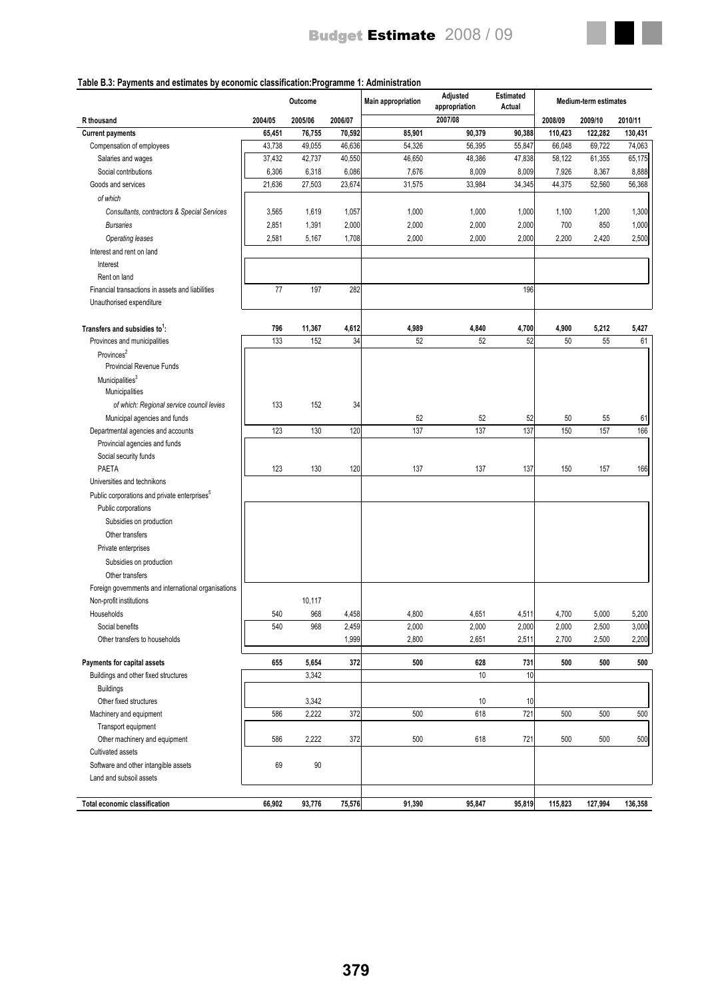

#### **Table B.3: Payments and estimates by economic classification:Programme 1: Administration**

|                                                          |         | Outcome |         | <b>Main appropriation</b> | Adjusted<br>appropriation | Estimated<br>Actual |         | <b>Medium-term estimates</b> |         |
|----------------------------------------------------------|---------|---------|---------|---------------------------|---------------------------|---------------------|---------|------------------------------|---------|
| <b>R</b> thousand                                        | 2004/05 | 2005/06 | 2006/07 |                           | 2007/08                   |                     | 2008/09 | 2009/10                      | 2010/11 |
| <b>Current payments</b>                                  | 65,451  | 76,755  | 70,592  | 85,901                    | 90,379                    | 90,388              | 110,423 | 122,282                      | 130,431 |
| Compensation of employees                                | 43,738  | 49,055  | 46,636  | 54,326                    | 56,395                    | 55,847              | 66,048  | 69,722                       | 74,063  |
| Salaries and wages                                       | 37,432  | 42,737  | 40,550  | 46,650                    | 48,386                    | 47,838              | 58,122  | 61,355                       | 65,175  |
| Social contributions                                     | 6,306   | 6,318   | 6,086   | 7,676                     | 8,009                     | 8,009               | 7,926   | 8,367                        | 8,888   |
| Goods and services                                       | 21,636  | 27,503  | 23,674  | 31,575                    | 33,984                    | 34,345              | 44,375  | 52,560                       | 56,368  |
| of which                                                 |         |         |         |                           |                           |                     |         |                              |         |
| Consultants, contractors & Special Services              | 3,565   | 1,619   | 1,057   | 1,000                     | 1,000                     | 1,000               | 1,100   | 1,200                        | 1,300   |
| <b>Bursaries</b>                                         | 2,851   | 1,391   | 2,000   | 2,000                     | 2,000                     | 2,000               | 700     | 850                          | 1,000   |
| Operating leases                                         | 2,581   | 5,167   | 1,708   | 2,000                     | 2,000                     | 2,000               | 2,200   | 2,420                        | 2,500   |
| Interest and rent on land                                |         |         |         |                           |                           |                     |         |                              |         |
| Interest                                                 |         |         |         |                           |                           |                     |         |                              |         |
| Rent on land                                             |         |         |         |                           |                           |                     |         |                              |         |
| Financial transactions in assets and liabilities         | 77      | 197     | 282     |                           |                           | 196                 |         |                              |         |
| Unauthorised expenditure                                 |         |         |         |                           |                           |                     |         |                              |         |
|                                                          |         |         |         |                           |                           |                     |         |                              |         |
| Transfers and subsidies to <sup>1</sup> :                | 796     | 11,367  | 4,612   | 4,989                     | 4,840                     | 4,700               | 4,900   | 5,212                        | 5,427   |
| Provinces and municipalities                             | 133     | 152     | 34      | 52                        | 52                        | 52                  | 50      | 55                           | 61      |
| Provinces <sup>2</sup>                                   |         |         |         |                           |                           |                     |         |                              |         |
| <b>Provincial Revenue Funds</b>                          |         |         |         |                           |                           |                     |         |                              |         |
| Municipalities <sup>3</sup>                              |         |         |         |                           |                           |                     |         |                              |         |
| Municipalities                                           |         |         |         |                           |                           |                     |         |                              |         |
| of which: Regional service council levies                | 133     | 152     | 34      |                           |                           |                     |         |                              |         |
| Municipal agencies and funds                             |         |         |         | 52                        | 52                        | 52                  | 50      | 55                           | 61      |
| Departmental agencies and accounts                       | 123     | 130     | 120     | 137                       | 137                       | 137                 | 150     | 157                          | 166     |
| Provincial agencies and funds                            |         |         |         |                           |                           |                     |         |                              |         |
| Social security funds                                    |         |         |         |                           |                           |                     |         |                              |         |
| PAETA                                                    | 123     | 130     | 120     | 137                       | 137                       | 137                 | 150     | 157                          | 166     |
| Universities and technikons                              |         |         |         |                           |                           |                     |         |                              |         |
| Public corporations and private enterprises <sup>5</sup> |         |         |         |                           |                           |                     |         |                              |         |
| Public corporations                                      |         |         |         |                           |                           |                     |         |                              |         |
| Subsidies on production                                  |         |         |         |                           |                           |                     |         |                              |         |
| Other transfers                                          |         |         |         |                           |                           |                     |         |                              |         |
| Private enterprises                                      |         |         |         |                           |                           |                     |         |                              |         |
|                                                          |         |         |         |                           |                           |                     |         |                              |         |
| Subsidies on production                                  |         |         |         |                           |                           |                     |         |                              |         |
| Other transfers                                          |         |         |         |                           |                           |                     |         |                              |         |
| Foreign governments and international organisations      |         |         |         |                           |                           |                     |         |                              |         |
| Non-profit institutions                                  |         | 10,117  |         |                           |                           |                     |         |                              |         |
| Households                                               | 540     | 968     | 4,458   | 4,800                     | 4,651                     | 4,511               | 4,700   | 5,000                        | 5,200   |
| Social benefits                                          | 540     | 968     | 2,459   | 2,000                     | 2,000                     | 2,000               | 2,000   | 2,500                        | 3,000   |
| Other transfers to households                            |         |         | 1,999   | 2,800                     | 2,651                     | 2,511               | 2,700   | 2,500                        | 2,200   |
| Payments for capital assets                              | 655     | 5,654   | 372     | 500                       | 628                       | 731                 | 500     | 500                          | 500     |
| Buildings and other fixed structures                     |         | 3,342   |         |                           | 10                        | 10                  |         |                              |         |
| <b>Buildings</b>                                         |         |         |         |                           |                           |                     |         |                              |         |
| Other fixed structures                                   |         | 3,342   |         |                           | 10                        | 10                  |         |                              |         |
| Machinery and equipment                                  | 586     | 2,222   | 372     | 500                       | 618                       | 721                 | 500     | 500                          | 500     |
| Transport equipment                                      |         |         |         |                           |                           |                     |         |                              |         |
| Other machinery and equipment                            | 586     | 2,222   | 372     | 500                       | 618                       | 721                 | 500     | 500                          | 500     |
| Cultivated assets                                        |         |         |         |                           |                           |                     |         |                              |         |
| Software and other intangible assets                     | 69      | 90      |         |                           |                           |                     |         |                              |         |
| Land and subsoil assets                                  |         |         |         |                           |                           |                     |         |                              |         |
|                                                          |         |         |         |                           |                           |                     |         |                              |         |
| Total economic classification                            | 66,902  | 93,776  | 75,576  | 91,390                    | 95,847                    | 95,819              | 115,823 | 127,994                      | 136,358 |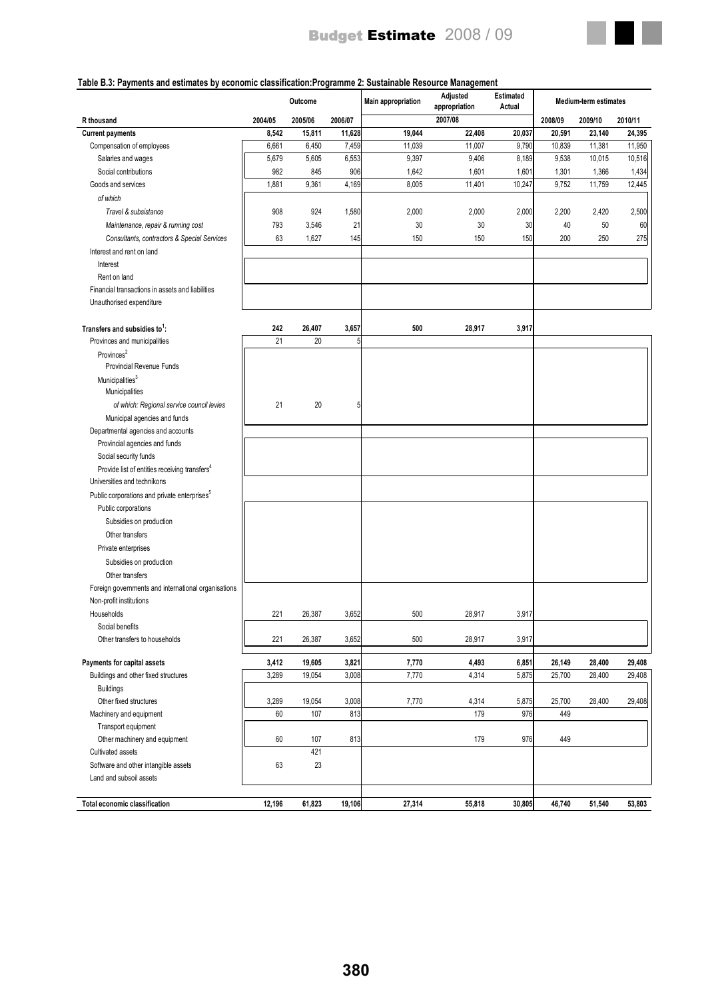

#### **Table B.3: Payments and estimates by economic classification:Programme 2: Sustainable Resource Management**

|                                                           |         | Outcome |         | <b>Main appropriation</b> | Adjusted<br>appropriation | <b>Estimated</b><br>Actual |         | Medium-term estimates |         |
|-----------------------------------------------------------|---------|---------|---------|---------------------------|---------------------------|----------------------------|---------|-----------------------|---------|
| R thousand                                                | 2004/05 | 2005/06 | 2006/07 |                           | 2007/08                   |                            | 2008/09 | 2009/10               | 2010/11 |
| <b>Current payments</b>                                   | 8,542   | 15,811  | 11,628  | 19,044                    | 22,408                    | 20,037                     | 20,591  | 23,140                | 24,395  |
| Compensation of employees                                 | 6,661   | 6,450   | 7,459   | 11,039                    | 11,007                    | 9,790                      | 10,839  | 11,381                | 11,950  |
| Salaries and wages                                        | 5,679   | 5,605   | 6,553   | 9,397                     | 9,406                     | 8,189                      | 9,538   | 10,015                | 10,516  |
| Social contributions                                      | 982     | 845     | 906     | 1,642                     | 1,601                     | 1,601                      | 1,301   | 1,366                 | 1,434   |
| Goods and services                                        | 1,881   | 9,361   | 4,169   | 8,005                     | 11,401                    | 10,247                     | 9,752   | 11,759                | 12,445  |
| of which                                                  |         |         |         |                           |                           |                            |         |                       |         |
| Travel & subsistance                                      | 908     | 924     | 1,580   | 2,000                     | 2,000                     | 2,000                      | 2,200   | 2,420                 | 2,500   |
| Maintenance, repair & running cost                        | 793     | 3,546   | 21      | 30                        | 30                        | 30                         | 40      | 50                    | 60      |
| Consultants, contractors & Special Services               | 63      | 1,627   | 145     | 150                       | 150                       | 150                        | 200     | 250                   | 275     |
| Interest and rent on land                                 |         |         |         |                           |                           |                            |         |                       |         |
| Interest                                                  |         |         |         |                           |                           |                            |         |                       |         |
| Rent on land                                              |         |         |         |                           |                           |                            |         |                       |         |
| Financial transactions in assets and liabilities          |         |         |         |                           |                           |                            |         |                       |         |
| Unauthorised expenditure                                  |         |         |         |                           |                           |                            |         |                       |         |
|                                                           |         |         |         |                           |                           |                            |         |                       |         |
| Transfers and subsidies to <sup>1</sup> :                 | 242     | 26,407  | 3,657   | 500                       | 28,917                    | 3,917                      |         |                       |         |
| Provinces and municipalities                              | 21      | 20      | 5       |                           |                           |                            |         |                       |         |
| Provinces <sup>2</sup>                                    |         |         |         |                           |                           |                            |         |                       |         |
| <b>Provincial Revenue Funds</b>                           |         |         |         |                           |                           |                            |         |                       |         |
| Municipalities <sup>3</sup>                               |         |         |         |                           |                           |                            |         |                       |         |
| Municipalities                                            |         |         |         |                           |                           |                            |         |                       |         |
| of which: Regional service council levies                 | 21      | 20      | 5       |                           |                           |                            |         |                       |         |
| Municipal agencies and funds                              |         |         |         |                           |                           |                            |         |                       |         |
| Departmental agencies and accounts                        |         |         |         |                           |                           |                            |         |                       |         |
| Provincial agencies and funds                             |         |         |         |                           |                           |                            |         |                       |         |
| Social security funds                                     |         |         |         |                           |                           |                            |         |                       |         |
| Provide list of entities receiving transfers <sup>4</sup> |         |         |         |                           |                           |                            |         |                       |         |
| Universities and technikons                               |         |         |         |                           |                           |                            |         |                       |         |
| Public corporations and private enterprises <sup>5</sup>  |         |         |         |                           |                           |                            |         |                       |         |
|                                                           |         |         |         |                           |                           |                            |         |                       |         |
| Public corporations                                       |         |         |         |                           |                           |                            |         |                       |         |
| Subsidies on production                                   |         |         |         |                           |                           |                            |         |                       |         |
| Other transfers                                           |         |         |         |                           |                           |                            |         |                       |         |
| Private enterprises                                       |         |         |         |                           |                           |                            |         |                       |         |
| Subsidies on production                                   |         |         |         |                           |                           |                            |         |                       |         |
| Other transfers                                           |         |         |         |                           |                           |                            |         |                       |         |
| Foreign governments and international organisations       |         |         |         |                           |                           |                            |         |                       |         |
| Non-profit institutions                                   |         |         |         |                           |                           |                            |         |                       |         |
| Households                                                | 221     | 26,387  | 3,652   | 500                       | 28,917                    | 3,917                      |         |                       |         |
| Social benefits                                           |         |         |         |                           |                           |                            |         |                       |         |
| Other transfers to households                             | 221     | 26,387  | 3,652   | 500                       | 28,917                    | 3,917                      |         |                       |         |
|                                                           |         |         |         |                           |                           |                            |         |                       |         |
| Payments for capital assets                               | 3,412   | 19,605  | 3,821   | 7,770                     | 4,493                     | 6,851                      | 26,149  | 28,400                | 29,408  |
| Buildings and other fixed structures                      | 3,289   | 19,054  | 3,008   | 7,770                     | 4,314                     | 5,875                      | 25,700  | 28,400                | 29,408  |
| <b>Buildings</b>                                          |         |         |         |                           |                           |                            |         |                       |         |
| Other fixed structures                                    | 3,289   | 19,054  | 3,008   | 7,770                     | 4,314                     | 5,875                      | 25,700  | 28,400                | 29,408  |
| Machinery and equipment                                   | 60      | 107     | 813     |                           | 179                       | 976                        | 449     |                       |         |
| Transport equipment                                       |         |         |         |                           |                           |                            |         |                       |         |
| Other machinery and equipment                             | 60      | 107     | 813     |                           | 179                       | 976                        | 449     |                       |         |
| Cultivated assets                                         |         | 421     |         |                           |                           |                            |         |                       |         |
| Software and other intangible assets                      | 63      | 23      |         |                           |                           |                            |         |                       |         |
| Land and subsoil assets                                   |         |         |         |                           |                           |                            |         |                       |         |
|                                                           |         |         |         |                           |                           |                            |         |                       |         |
| Total economic classification                             | 12,196  | 61,823  | 19,106  | 27,314                    | 55,818                    | 30,805                     | 46,740  | 51,540                | 53,803  |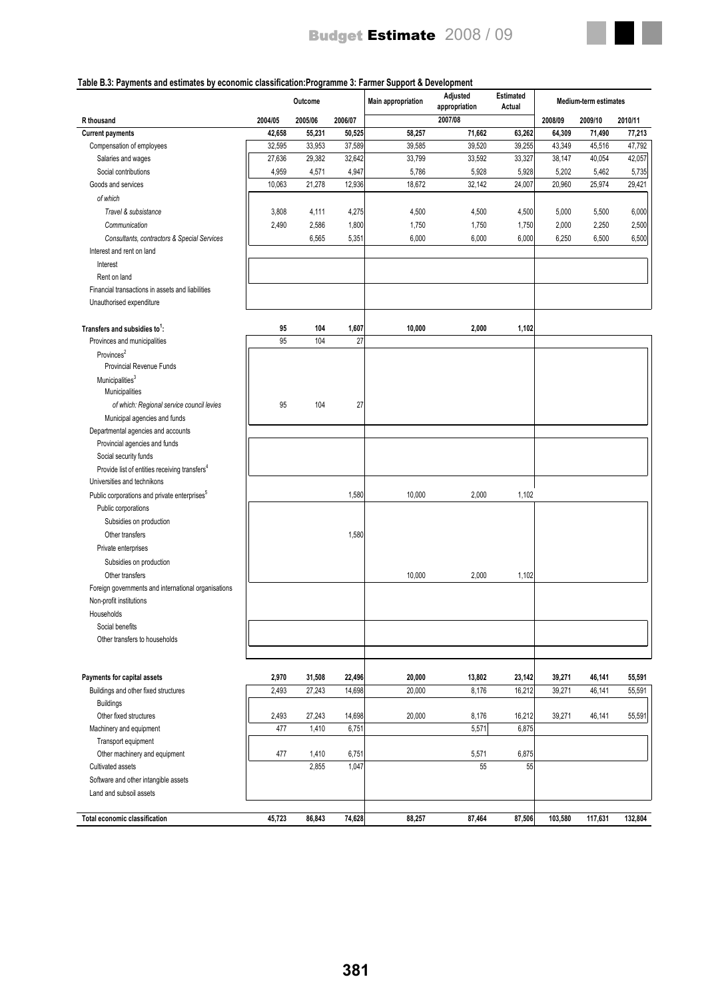

## **Table B.3: Payments and estimates by economic classification:Programme 3: Farmer Support & Development**

|                                                           |         | Outcome |         | <b>Main appropriation</b> | Adjusted<br>appropriation | <b>Estimated</b><br>Actual |         | <b>Medium-term estimates</b> |         |
|-----------------------------------------------------------|---------|---------|---------|---------------------------|---------------------------|----------------------------|---------|------------------------------|---------|
| R thousand                                                | 2004/05 | 2005/06 | 2006/07 |                           | 2007/08                   |                            | 2008/09 | 2009/10                      | 2010/11 |
| <b>Current payments</b>                                   | 42,658  | 55,231  | 50,525  | 58,257                    | 71,662                    | 63,262                     | 64,309  | 71,490                       | 77,213  |
| Compensation of employees                                 | 32,595  | 33,953  | 37,589  | 39,585                    | 39,520                    | 39,255                     | 43,349  | 45,516                       | 47,792  |
| Salaries and wages                                        | 27,636  | 29,382  | 32,642  | 33,799                    | 33,592                    | 33,327                     | 38,147  | 40,054                       | 42,057  |
| Social contributions                                      | 4,959   | 4,571   | 4,947   | 5,786                     | 5,928                     | 5,928                      | 5,202   | 5,462                        | 5,735   |
| Goods and services                                        | 10,063  | 21,278  | 12,936  | 18,672                    | 32,142                    | 24,007                     | 20,960  | 25,974                       | 29,421  |
| of which                                                  |         |         |         |                           |                           |                            |         |                              |         |
| Travel & subsistance                                      | 3,808   | 4,111   | 4,275   | 4,500                     | 4,500                     | 4,500                      | 5,000   | 5,500                        | 6,000   |
| Communication                                             | 2,490   | 2,586   | 1,800   | 1,750                     | 1,750                     | 1,750                      | 2,000   | 2,250                        | 2,500   |
| Consultants, contractors & Special Services               |         | 6,565   | 5,351   | 6,000                     | 6,000                     | 6,000                      | 6,250   | 6,500                        | 6,500   |
| Interest and rent on land                                 |         |         |         |                           |                           |                            |         |                              |         |
| Interest                                                  |         |         |         |                           |                           |                            |         |                              |         |
| Rent on land                                              |         |         |         |                           |                           |                            |         |                              |         |
| Financial transactions in assets and liabilities          |         |         |         |                           |                           |                            |         |                              |         |
| Unauthorised expenditure                                  |         |         |         |                           |                           |                            |         |                              |         |
|                                                           |         |         |         |                           |                           |                            |         |                              |         |
| Transfers and subsidies to <sup>1</sup> :                 | 95      | 104     | 1,607   | 10,000                    | 2,000                     | 1,102                      |         |                              |         |
| Provinces and municipalities                              | 95      | 104     | 27      |                           |                           |                            |         |                              |         |
| Provinces <sup>2</sup>                                    |         |         |         |                           |                           |                            |         |                              |         |
| <b>Provincial Revenue Funds</b>                           |         |         |         |                           |                           |                            |         |                              |         |
| Municipalities <sup>3</sup>                               |         |         |         |                           |                           |                            |         |                              |         |
| Municipalities                                            |         |         |         |                           |                           |                            |         |                              |         |
| of which: Regional service council levies                 | 95      | 104     | 27      |                           |                           |                            |         |                              |         |
| Municipal agencies and funds                              |         |         |         |                           |                           |                            |         |                              |         |
| Departmental agencies and accounts                        |         |         |         |                           |                           |                            |         |                              |         |
| Provincial agencies and funds                             |         |         |         |                           |                           |                            |         |                              |         |
| Social security funds                                     |         |         |         |                           |                           |                            |         |                              |         |
| Provide list of entities receiving transfers <sup>4</sup> |         |         |         |                           |                           |                            |         |                              |         |
| Universities and technikons                               |         |         |         |                           |                           |                            |         |                              |         |
| Public corporations and private enterprises <sup>5</sup>  |         |         | 1,580   | 10,000                    | 2,000                     | 1,102                      |         |                              |         |
| Public corporations                                       |         |         |         |                           |                           |                            |         |                              |         |
| Subsidies on production                                   |         |         |         |                           |                           |                            |         |                              |         |
| Other transfers                                           |         |         | 1,580   |                           |                           |                            |         |                              |         |
| Private enterprises                                       |         |         |         |                           |                           |                            |         |                              |         |
| Subsidies on production                                   |         |         |         |                           |                           |                            |         |                              |         |
| Other transfers                                           |         |         |         | 10,000                    | 2,000                     | 1,102                      |         |                              |         |
| Foreign governments and international organisations       |         |         |         |                           |                           |                            |         |                              |         |
| Non-profit institutions                                   |         |         |         |                           |                           |                            |         |                              |         |
| Households                                                |         |         |         |                           |                           |                            |         |                              |         |
| Social benefits                                           |         |         |         |                           |                           |                            |         |                              |         |
| Other transfers to households                             |         |         |         |                           |                           |                            |         |                              |         |
|                                                           |         |         |         |                           |                           |                            |         |                              |         |
|                                                           |         |         |         |                           |                           |                            |         |                              |         |
| Payments for capital assets                               | 2,970   | 31,508  | 22,496  | 20,000                    | 13,802                    | 23,142                     | 39,271  | 46,141                       | 55,591  |
| Buildings and other fixed structures                      | 2,493   | 27,243  | 14,698  | 20,000                    | 8,176                     | 16,212                     | 39,271  | 46,141                       | 55,591  |
| <b>Buildings</b>                                          |         |         |         |                           |                           |                            |         |                              |         |
| Other fixed structures                                    | 2,493   | 27,243  | 14,698  | 20,000                    | 8,176                     | 16,212                     | 39,271  | 46,141                       | 55,591  |
| Machinery and equipment                                   | 477     | 1,410   | 6,751   |                           | 5,571                     | 6,875                      |         |                              |         |
| Transport equipment                                       |         |         |         |                           |                           |                            |         |                              |         |
| Other machinery and equipment                             | 477     | 1,410   | 6,751   |                           | 5,571                     | 6,875                      |         |                              |         |
| Cultivated assets                                         |         | 2,855   | 1,047   |                           | 55                        | 55                         |         |                              |         |
| Software and other intangible assets                      |         |         |         |                           |                           |                            |         |                              |         |
| Land and subsoil assets                                   |         |         |         |                           |                           |                            |         |                              |         |
|                                                           |         |         |         |                           |                           |                            |         |                              |         |
| Total economic classification                             | 45,723  | 86,843  | 74,628  | 88,257                    | 87,464                    | 87,506                     | 103,580 | 117,631                      | 132,804 |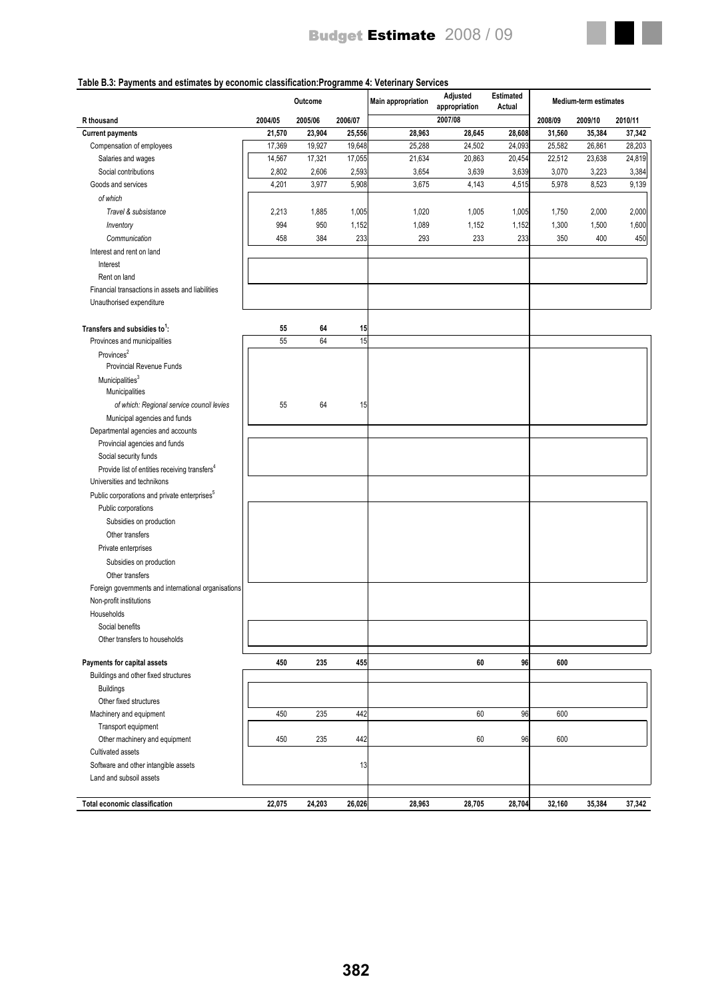

#### **Table B.3: Payments and estimates by economic classification:Programme 4: Veterinary Services**

|                                                           |         | Outcome |         | Main appropriation | Adjusted<br>appropriation | <b>Estimated</b><br>Actual |         | Medium-term estimates |         |
|-----------------------------------------------------------|---------|---------|---------|--------------------|---------------------------|----------------------------|---------|-----------------------|---------|
| R thousand                                                | 2004/05 | 2005/06 | 2006/07 |                    | 2007/08                   |                            | 2008/09 | 2009/10               | 2010/11 |
| <b>Current payments</b>                                   | 21,570  | 23,904  | 25,556  | 28,963             | 28,645                    | 28,608                     | 31,560  | 35,384                | 37,342  |
| Compensation of employees                                 | 17,369  | 19,927  | 19,648  | 25,288             | 24,502                    | 24,093                     | 25,582  | 26,861                | 28,203  |
| Salaries and wages                                        | 14,567  | 17,321  | 17,055  | 21,634             | 20,863                    | 20,454                     | 22,512  | 23,638                | 24,819  |
| Social contributions                                      | 2,802   | 2,606   | 2,593   | 3,654              | 3,639                     | 3,639                      | 3,070   | 3,223                 | 3,384   |
| Goods and services                                        | 4,201   | 3,977   | 5,908   | 3,675              | 4,143                     | 4,515                      | 5,978   | 8,523                 | 9,139   |
| of which                                                  |         |         |         |                    |                           |                            |         |                       |         |
| Travel & subsistance                                      | 2,213   | 1,885   | 1,005   | 1,020              | 1,005                     | 1,005                      | 1,750   | 2,000                 | 2,000   |
| Inventory                                                 | 994     | 950     | 1,152   | 1,089              | 1,152                     | 1,152                      | 1,300   | 1,500                 | 1,600   |
| Communication                                             | 458     | 384     | 233     | 293                | 233                       | 233                        | 350     | 400                   | 450     |
| Interest and rent on land                                 |         |         |         |                    |                           |                            |         |                       |         |
| Interest                                                  |         |         |         |                    |                           |                            |         |                       |         |
| Rent on land                                              |         |         |         |                    |                           |                            |         |                       |         |
| Financial transactions in assets and liabilities          |         |         |         |                    |                           |                            |         |                       |         |
| Unauthorised expenditure                                  |         |         |         |                    |                           |                            |         |                       |         |
|                                                           |         |         |         |                    |                           |                            |         |                       |         |
| Transfers and subsidies to <sup>1</sup> :                 | 55      | 64      | 15      |                    |                           |                            |         |                       |         |
| Provinces and municipalities                              | 55      | 64      | 15      |                    |                           |                            |         |                       |         |
| Provinces <sup>2</sup>                                    |         |         |         |                    |                           |                            |         |                       |         |
| <b>Provincial Revenue Funds</b>                           |         |         |         |                    |                           |                            |         |                       |         |
| Municipalities <sup>3</sup>                               |         |         |         |                    |                           |                            |         |                       |         |
| Municipalities                                            |         |         |         |                    |                           |                            |         |                       |         |
| of which: Regional service council levies                 | 55      | 64      | 15      |                    |                           |                            |         |                       |         |
| Municipal agencies and funds                              |         |         |         |                    |                           |                            |         |                       |         |
| Departmental agencies and accounts                        |         |         |         |                    |                           |                            |         |                       |         |
| Provincial agencies and funds                             |         |         |         |                    |                           |                            |         |                       |         |
| Social security funds                                     |         |         |         |                    |                           |                            |         |                       |         |
| Provide list of entities receiving transfers <sup>4</sup> |         |         |         |                    |                           |                            |         |                       |         |
| Universities and technikons                               |         |         |         |                    |                           |                            |         |                       |         |
| Public corporations and private enterprises <sup>5</sup>  |         |         |         |                    |                           |                            |         |                       |         |
| Public corporations                                       |         |         |         |                    |                           |                            |         |                       |         |
| Subsidies on production                                   |         |         |         |                    |                           |                            |         |                       |         |
| Other transfers                                           |         |         |         |                    |                           |                            |         |                       |         |
| Private enterprises                                       |         |         |         |                    |                           |                            |         |                       |         |
|                                                           |         |         |         |                    |                           |                            |         |                       |         |
| Subsidies on production                                   |         |         |         |                    |                           |                            |         |                       |         |
| Other transfers                                           |         |         |         |                    |                           |                            |         |                       |         |
| Foreign governments and international organisations       |         |         |         |                    |                           |                            |         |                       |         |
| Non-profit institutions                                   |         |         |         |                    |                           |                            |         |                       |         |
| Households                                                |         |         |         |                    |                           |                            |         |                       |         |
| Social benefits<br>Other transfers to households          |         |         |         |                    |                           |                            |         |                       |         |
|                                                           |         |         |         |                    |                           |                            |         |                       |         |
| Payments for capital assets                               | 450     | 235     | 455     |                    | 60                        | 96                         | 600     |                       |         |
| Buildings and other fixed structures                      |         |         |         |                    |                           |                            |         |                       |         |
| <b>Buildings</b>                                          |         |         |         |                    |                           |                            |         |                       |         |
| Other fixed structures                                    |         |         |         |                    |                           |                            |         |                       |         |
| Machinery and equipment                                   | 450     | 235     | 442     |                    | 60                        | 96                         | 600     |                       |         |
| Transport equipment                                       |         |         |         |                    |                           |                            |         |                       |         |
| Other machinery and equipment                             | 450     | 235     | 442     |                    | 60                        | 96                         | 600     |                       |         |
| Cultivated assets                                         |         |         |         |                    |                           |                            |         |                       |         |
| Software and other intangible assets                      |         |         | 13      |                    |                           |                            |         |                       |         |
| Land and subsoil assets                                   |         |         |         |                    |                           |                            |         |                       |         |
|                                                           |         |         |         |                    |                           |                            |         |                       |         |
| Total economic classification                             | 22,075  | 24,203  | 26,026  | 28,963             | 28,705                    | 28,704                     | 32,160  | 35,384                | 37,342  |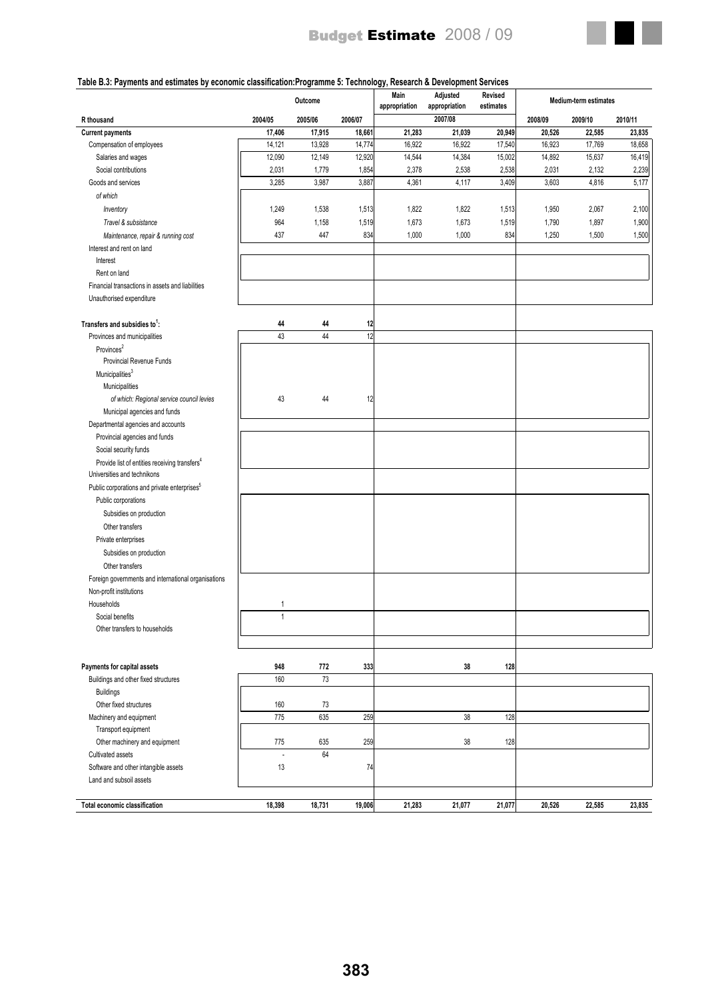

## **Table B.3: Payments and estimates by economic classification:Programme 5: Technology, Research & Development Services**

|                                                                                          |              | Outcome |         | Main<br>appropriation | Adjusted<br>appropriation | Revised<br>estimates |         | <b>Medium-term estimates</b> |         |
|------------------------------------------------------------------------------------------|--------------|---------|---------|-----------------------|---------------------------|----------------------|---------|------------------------------|---------|
| R thousand                                                                               | 2004/05      | 2005/06 | 2006/07 |                       | 2007/08                   |                      | 2008/09 | 2009/10                      | 2010/11 |
| <b>Current payments</b>                                                                  | 17,406       | 17,915  | 18,661  | 21,283                | 21,039                    | 20,949               | 20,526  | 22,585                       | 23,835  |
| Compensation of employees                                                                | 14,121       | 13,928  | 14,774  | 16,922                | 16,922                    | 17,540               | 16,923  | 17,769                       | 18,658  |
| Salaries and wages                                                                       | 12,090       | 12,149  | 12,920  | 14,544                | 14,384                    | 15,002               | 14,892  | 15,637                       | 16,419  |
| Social contributions                                                                     | 2,031        | 1,779   | 1,854   | 2,378                 | 2,538                     | 2,538                | 2,031   | 2,132                        | 2,239   |
| Goods and services                                                                       | 3,285        | 3,987   | 3,887   | 4,361                 | 4,117                     | 3,409                | 3,603   | 4,816                        | 5,177   |
| of which                                                                                 |              |         |         |                       |                           |                      |         |                              |         |
| Inventory                                                                                | 1,249        | 1,538   | 1,513   | 1,822                 | 1,822                     | 1,513                | 1,950   | 2,067                        | 2,100   |
| Travel & subsistance                                                                     | 964          | 1,158   | 1,519   | 1,673                 | 1,673                     | 1,519                | 1,790   | 1,897                        | 1,900   |
| Maintenance, repair & running cost                                                       | 437          | 447     | 834     | 1,000                 | 1,000                     | 834                  | 1,250   | 1,500                        | 1,500   |
| Interest and rent on land                                                                |              |         |         |                       |                           |                      |         |                              |         |
| Interest                                                                                 |              |         |         |                       |                           |                      |         |                              |         |
| Rent on land                                                                             |              |         |         |                       |                           |                      |         |                              |         |
| Financial transactions in assets and liabilities                                         |              |         |         |                       |                           |                      |         |                              |         |
| Unauthorised expenditure                                                                 |              |         |         |                       |                           |                      |         |                              |         |
|                                                                                          |              |         |         |                       |                           |                      |         |                              |         |
| Transfers and subsidies to <sup>1</sup> :                                                | 44           | 44      | 12      |                       |                           |                      |         |                              |         |
| Provinces and municipalities                                                             | 43           | 44      | 12      |                       |                           |                      |         |                              |         |
| Provinces <sup>2</sup>                                                                   |              |         |         |                       |                           |                      |         |                              |         |
| Provincial Revenue Funds                                                                 |              |         |         |                       |                           |                      |         |                              |         |
| Municipalities <sup>3</sup>                                                              |              |         |         |                       |                           |                      |         |                              |         |
| Municipalities                                                                           |              |         |         |                       |                           |                      |         |                              |         |
| of which: Regional service council levies                                                | 43           | 44      | 12      |                       |                           |                      |         |                              |         |
| Municipal agencies and funds                                                             |              |         |         |                       |                           |                      |         |                              |         |
| Departmental agencies and accounts                                                       |              |         |         |                       |                           |                      |         |                              |         |
| Provincial agencies and funds                                                            |              |         |         |                       |                           |                      |         |                              |         |
| Social security funds                                                                    |              |         |         |                       |                           |                      |         |                              |         |
| Provide list of entities receiving transfers <sup>4</sup><br>Universities and technikons |              |         |         |                       |                           |                      |         |                              |         |
| Public corporations and private enterprises <sup>5</sup>                                 |              |         |         |                       |                           |                      |         |                              |         |
| Public corporations                                                                      |              |         |         |                       |                           |                      |         |                              |         |
| Subsidies on production                                                                  |              |         |         |                       |                           |                      |         |                              |         |
| Other transfers                                                                          |              |         |         |                       |                           |                      |         |                              |         |
| Private enterprises                                                                      |              |         |         |                       |                           |                      |         |                              |         |
| Subsidies on production                                                                  |              |         |         |                       |                           |                      |         |                              |         |
| Other transfers                                                                          |              |         |         |                       |                           |                      |         |                              |         |
| Foreign governments and international organisations                                      |              |         |         |                       |                           |                      |         |                              |         |
| Non-profit institutions                                                                  |              |         |         |                       |                           |                      |         |                              |         |
| Households                                                                               | 1            |         |         |                       |                           |                      |         |                              |         |
| Social benefits                                                                          | $\mathbf{1}$ |         |         |                       |                           |                      |         |                              |         |
| Other transfers to households                                                            |              |         |         |                       |                           |                      |         |                              |         |
|                                                                                          |              |         |         |                       |                           |                      |         |                              |         |
|                                                                                          |              |         |         |                       |                           |                      |         |                              |         |
| Payments for capital assets                                                              | 948          | 772     | 333     |                       | 38                        | 128                  |         |                              |         |
| Buildings and other fixed structures                                                     | 160          | 73      |         |                       |                           |                      |         |                              |         |
| <b>Buildings</b>                                                                         |              |         |         |                       |                           |                      |         |                              |         |
| Other fixed structures                                                                   | 160          | 73      |         |                       |                           |                      |         |                              |         |
| Machinery and equipment                                                                  | 775          | 635     | 259     |                       | 38                        | 128                  |         |                              |         |
| Transport equipment                                                                      |              |         |         |                       |                           |                      |         |                              |         |
| Other machinery and equipment                                                            | 775          | 635     | 259     |                       | 38                        | 128                  |         |                              |         |
| Cultivated assets                                                                        | L            | 64      |         |                       |                           |                      |         |                              |         |
| Software and other intangible assets                                                     | 13           |         | 74      |                       |                           |                      |         |                              |         |
| Land and subsoil assets                                                                  |              |         |         |                       |                           |                      |         |                              |         |
|                                                                                          |              |         |         |                       |                           |                      |         |                              |         |
| Total economic classification                                                            | 18,398       | 18,731  | 19,006  | 21,283                | 21,077                    | 21,077               | 20,526  | 22,585                       | 23,835  |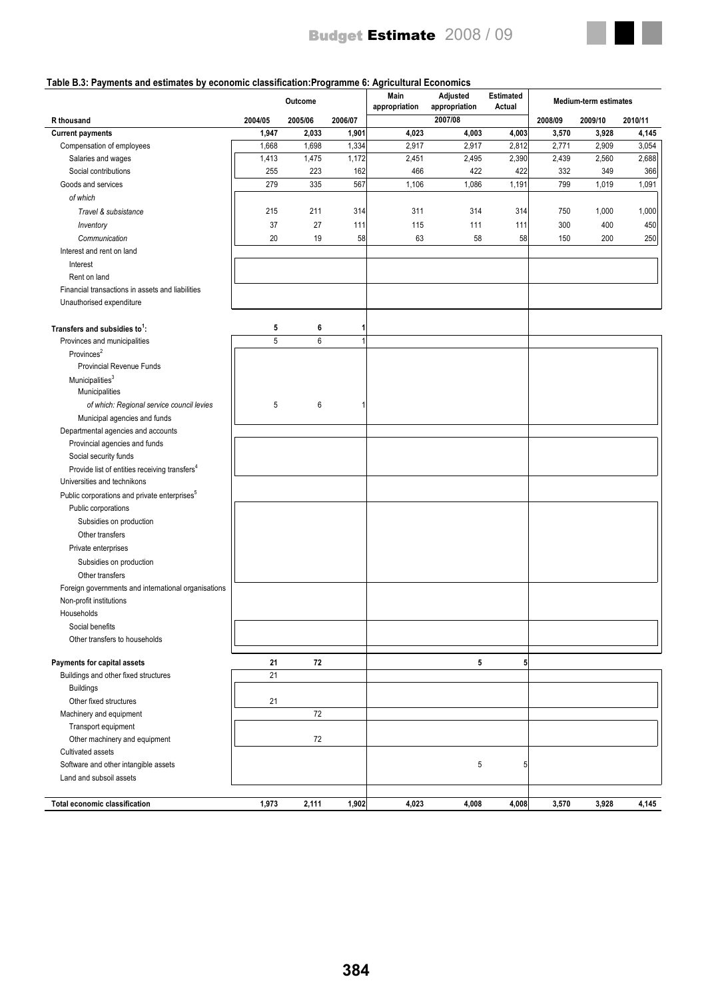

#### **Table B.3: Payments and estimates by economic classification:Programme 6: Agricultural Economics**

| 2007/08<br>R thousand<br>2004/05<br>2005/06<br>2006/07<br>2008/09                            | 2009/10 | 2010/11 |
|----------------------------------------------------------------------------------------------|---------|---------|
| 4,023<br>1,947<br>2,033<br>1,901<br>4,003<br>4,003<br>3,570<br><b>Current payments</b>       | 3,928   | 4,145   |
| 1,334<br>1,668<br>1,698<br>2,917<br>2,917<br>2,812<br>2,771<br>Compensation of employees     | 2,909   | 3,054   |
| 1,413<br>1,475<br>1,172<br>2,451<br>2,495<br>2,390<br>2,439<br>Salaries and wages            | 2,560   | 2,688   |
| 255<br>466<br>422<br>422<br>Social contributions<br>223<br>162<br>332                        | 349     | 366     |
| 279<br>335<br>567<br>1,106<br>1,086<br>1,191<br>799<br>Goods and services                    | 1,019   | 1,091   |
| of which                                                                                     |         |         |
| Travel & subsistance<br>215<br>211<br>314<br>311<br>314<br>314<br>750                        | 1,000   | 1,000   |
| 27<br>37<br>115<br>111<br>300<br>Inventory<br>111<br>111                                     | 400     | 450     |
| 19<br>20<br>58<br>63<br>58<br>58<br>150<br>Communication                                     | 200     | 250     |
| Interest and rent on land                                                                    |         |         |
| Interest                                                                                     |         |         |
| Rent on land                                                                                 |         |         |
| Financial transactions in assets and liabilities                                             |         |         |
| Unauthorised expenditure                                                                     |         |         |
|                                                                                              |         |         |
| 6<br>Transfers and subsidies to <sup>1</sup> :<br>5<br>1                                     |         |         |
| 5<br>6<br>Provinces and municipalities<br>1                                                  |         |         |
| Provinces <sup>2</sup>                                                                       |         |         |
| Provincial Revenue Funds                                                                     |         |         |
| Municipalities <sup>3</sup>                                                                  |         |         |
| Municipalities                                                                               |         |         |
| 5<br>6<br>of which: Regional service council levies<br>1                                     |         |         |
| Municipal agencies and funds                                                                 |         |         |
| Departmental agencies and accounts                                                           |         |         |
| Provincial agencies and funds                                                                |         |         |
| Social security funds                                                                        |         |         |
| Provide list of entities receiving transfers <sup>4</sup>                                    |         |         |
| Universities and technikons                                                                  |         |         |
| Public corporations and private enterprises <sup>5</sup>                                     |         |         |
| Public corporations                                                                          |         |         |
|                                                                                              |         |         |
| Subsidies on production                                                                      |         |         |
| Other transfers                                                                              |         |         |
| Private enterprises                                                                          |         |         |
| Subsidies on production                                                                      |         |         |
| Other transfers                                                                              |         |         |
| Foreign governments and international organisations                                          |         |         |
| Non-profit institutions                                                                      |         |         |
| Households                                                                                   |         |         |
| Social benefits                                                                              |         |         |
| Other transfers to households                                                                |         |         |
| 21<br>72<br>$5\phantom{.0}$                                                                  |         |         |
| Payments for capital assets<br>5 <sub>l</sub>                                                |         |         |
| 21<br>Buildings and other fixed structures                                                   |         |         |
| <b>Buildings</b>                                                                             |         |         |
| Other fixed structures<br>21<br>72                                                           |         |         |
| Machinery and equipment                                                                      |         |         |
| Transport equipment                                                                          |         |         |
| Other machinery and equipment<br>72                                                          |         |         |
| Cultivated assets                                                                            |         |         |
| Software and other intangible assets<br>5<br>5                                               |         |         |
| Land and subsoil assets                                                                      |         |         |
| 1,973<br>2,111<br>1,902<br>4,023<br>4,008<br>3,570<br>Total economic classification<br>4,008 | 3,928   | 4,145   |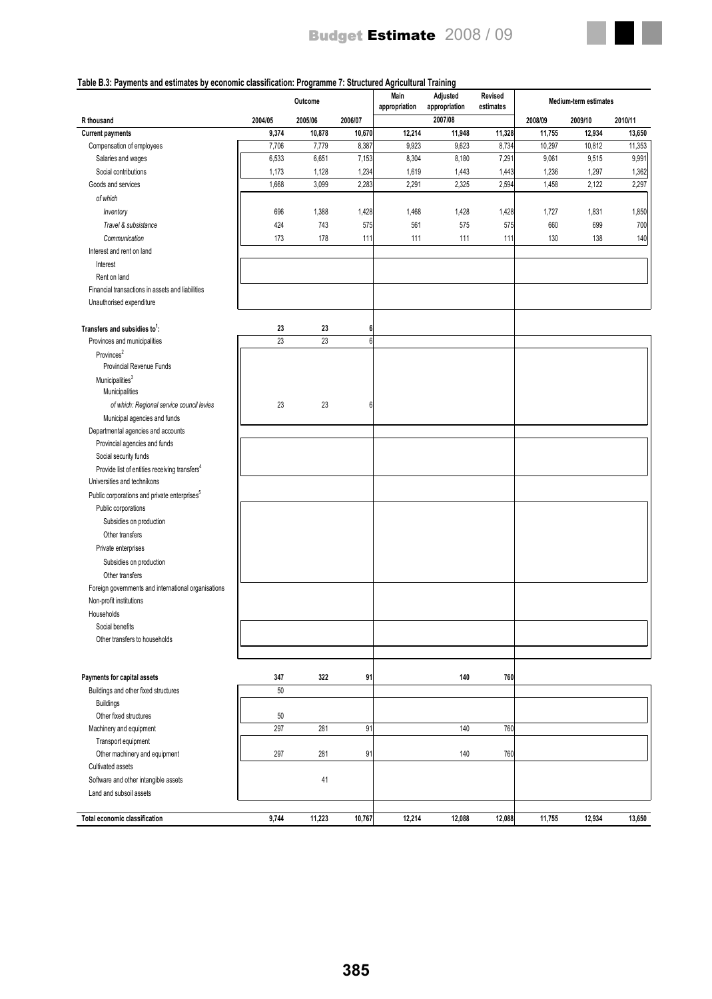

#### **Table B.3: Payments and estimates by economic classification: Programme 7: Structured Agricultural Training**

|                                                           | Outcome |         |         | Main<br>appropriation | Adjusted<br>appropriation | Revised<br>estimates | <b>Medium-term estimates</b> |         |         |  |
|-----------------------------------------------------------|---------|---------|---------|-----------------------|---------------------------|----------------------|------------------------------|---------|---------|--|
| R thousand                                                | 2004/05 | 2005/06 | 2006/07 |                       | 2007/08                   |                      | 2008/09                      | 2009/10 | 2010/11 |  |
| <b>Current payments</b>                                   | 9,374   | 10,878  | 10,670  | 12,214                | 11,948                    | 11,328               | 11,755                       | 12,934  | 13,650  |  |
| Compensation of employees                                 | 7,706   | 7,779   | 8,387   | 9,923                 | 9,623                     | 8,734                | 10,297                       | 10,812  | 11,353  |  |
| Salaries and wages                                        | 6,533   | 6,651   | 7,153   | 8,304                 | 8,180                     | 7,291                | 9,061                        | 9,515   | 9,991   |  |
| Social contributions                                      | 1,173   | 1,128   | 1,234   | 1,619                 | 1,443                     | 1,443                | 1,236                        | 1,297   | 1,362   |  |
| Goods and services                                        | 1,668   | 3,099   | 2,283   | 2,291                 | 2,325                     | 2,594                | 1,458                        | 2,122   | 2,297   |  |
| of which                                                  |         |         |         |                       |                           |                      |                              |         |         |  |
| Inventory                                                 | 696     | 1,388   | 1,428   | 1,468                 | 1,428                     | 1,428                | 1,727                        | 1,831   | 1,850   |  |
| Travel & subsistance                                      | 424     | 743     | 575     | 561                   | 575                       | 575                  | 660                          | 699     | 700     |  |
| Communication                                             | 173     | 178     | 111     | 111                   | 111                       | 111                  | 130                          | 138     | 140     |  |
| Interest and rent on land                                 |         |         |         |                       |                           |                      |                              |         |         |  |
| Interest                                                  |         |         |         |                       |                           |                      |                              |         |         |  |
| Rent on land                                              |         |         |         |                       |                           |                      |                              |         |         |  |
| Financial transactions in assets and liabilities          |         |         |         |                       |                           |                      |                              |         |         |  |
| Unauthorised expenditure                                  |         |         |         |                       |                           |                      |                              |         |         |  |
|                                                           |         |         |         |                       |                           |                      |                              |         |         |  |
| Transfers and subsidies to <sup>1</sup> :                 | 23      | 23      | 6       |                       |                           |                      |                              |         |         |  |
| Provinces and municipalities                              | 23      | 23      | 6       |                       |                           |                      |                              |         |         |  |
| Provinces <sup>2</sup>                                    |         |         |         |                       |                           |                      |                              |         |         |  |
| Provincial Revenue Funds                                  |         |         |         |                       |                           |                      |                              |         |         |  |
| Municipalities <sup>3</sup>                               |         |         |         |                       |                           |                      |                              |         |         |  |
| Municipalities                                            |         |         |         |                       |                           |                      |                              |         |         |  |
| of which: Regional service council levies                 | 23      | 23      | 6       |                       |                           |                      |                              |         |         |  |
| Municipal agencies and funds                              |         |         |         |                       |                           |                      |                              |         |         |  |
| Departmental agencies and accounts                        |         |         |         |                       |                           |                      |                              |         |         |  |
| Provincial agencies and funds                             |         |         |         |                       |                           |                      |                              |         |         |  |
| Social security funds                                     |         |         |         |                       |                           |                      |                              |         |         |  |
| Provide list of entities receiving transfers <sup>4</sup> |         |         |         |                       |                           |                      |                              |         |         |  |
| Universities and technikons                               |         |         |         |                       |                           |                      |                              |         |         |  |
| Public corporations and private enterprises <sup>5</sup>  |         |         |         |                       |                           |                      |                              |         |         |  |
| Public corporations                                       |         |         |         |                       |                           |                      |                              |         |         |  |
| Subsidies on production                                   |         |         |         |                       |                           |                      |                              |         |         |  |
| Other transfers                                           |         |         |         |                       |                           |                      |                              |         |         |  |
| Private enterprises                                       |         |         |         |                       |                           |                      |                              |         |         |  |
| Subsidies on production                                   |         |         |         |                       |                           |                      |                              |         |         |  |
| Other transfers                                           |         |         |         |                       |                           |                      |                              |         |         |  |
| Foreign governments and international organisations       |         |         |         |                       |                           |                      |                              |         |         |  |
| Non-profit institutions                                   |         |         |         |                       |                           |                      |                              |         |         |  |
| Households                                                |         |         |         |                       |                           |                      |                              |         |         |  |
| Social benefits                                           |         |         |         |                       |                           |                      |                              |         |         |  |
| Other transfers to households                             |         |         |         |                       |                           |                      |                              |         |         |  |
|                                                           |         |         |         |                       |                           |                      |                              |         |         |  |
|                                                           |         |         |         |                       |                           |                      |                              |         |         |  |
| Payments for capital assets                               | 347     | 322     | 91      |                       | 140                       | 760                  |                              |         |         |  |
| Buildings and other fixed structures                      | 50      |         |         |                       |                           |                      |                              |         |         |  |
| <b>Buildings</b>                                          |         |         |         |                       |                           |                      |                              |         |         |  |
| Other fixed structures                                    | 50      |         |         |                       |                           |                      |                              |         |         |  |
| Machinery and equipment                                   | 297     | 281     | 91      |                       | 140                       | 760                  |                              |         |         |  |
| Transport equipment                                       |         |         |         |                       |                           |                      |                              |         |         |  |
| Other machinery and equipment                             | 297     | 281     | 91      |                       | 140                       | 760                  |                              |         |         |  |
| Cultivated assets                                         |         |         |         |                       |                           |                      |                              |         |         |  |
| Software and other intangible assets                      |         | 41      |         |                       |                           |                      |                              |         |         |  |
| Land and subsoil assets                                   |         |         |         |                       |                           |                      |                              |         |         |  |
|                                                           |         |         |         |                       |                           |                      |                              |         |         |  |
| Total economic classification                             | 9,744   | 11,223  | 10,767  | 12,214                | 12,088                    | 12,088               | 11,755                       | 12,934  | 13,650  |  |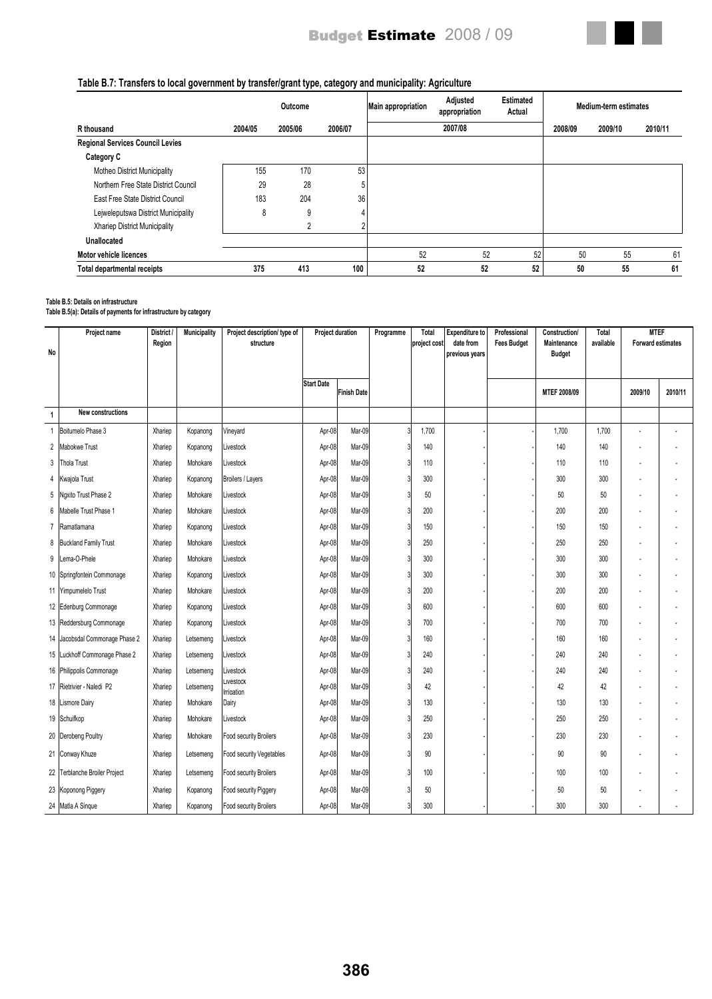

## **Table B.7: Transfers to local government by transfer/grant type, category and municipality: Agriculture**

|                                         |         | Outcome |         | <b>Main appropriation</b> | Adjusted<br>appropriation | <b>Estimated</b><br>Actual |         | Medium-term estimates |         |
|-----------------------------------------|---------|---------|---------|---------------------------|---------------------------|----------------------------|---------|-----------------------|---------|
| R thousand                              | 2004/05 | 2005/06 | 2006/07 |                           | 2007/08                   |                            | 2008/09 | 2009/10               | 2010/11 |
| <b>Regional Services Council Levies</b> |         |         |         |                           |                           |                            |         |                       |         |
| Category C                              |         |         |         |                           |                           |                            |         |                       |         |
| <b>Motheo District Municipality</b>     | 155     | 170     | 53      |                           |                           |                            |         |                       |         |
| Northern Free State District Council    | 29      | 28      |         |                           |                           |                            |         |                       |         |
| East Free State District Council        | 183     | 204     | 36      |                           |                           |                            |         |                       |         |
| Lejweleputswa District Municipality     | 8       | 9       |         |                           |                           |                            |         |                       |         |
| Xhariep District Municipality           |         | C.      |         |                           |                           |                            |         |                       |         |
| <b>Unallocated</b>                      |         |         |         |                           |                           |                            |         |                       |         |
| Motor vehicle licences                  |         |         |         | 52                        | 52                        | 52                         | 50      | 55                    | 61      |
| <b>Total departmental receipts</b>      | 375     | 413     | 100     | 52                        | 52                        | 52                         | 50      | 55                    | 61      |

#### **Table B.5: Details on infrastructure**

**Table B.5(a): Details of payments for infrastructure by category**

| No             | Project name                   | District /<br>Region | <b>Municipality</b> | Project description/ type of<br>structure | <b>Project duration</b> |                    |  |       |  |  |              |       | Programme | <b>Total</b><br>project cost | <b>Expenditure to</b><br>date from<br>previous years | Professional<br><b>Fees Budget</b> | Construction/<br>Maintenance<br><b>Budget</b> | <b>Total</b><br>available | <b>MTEF</b><br><b>Forward estimates</b> |  |
|----------------|--------------------------------|----------------------|---------------------|-------------------------------------------|-------------------------|--------------------|--|-------|--|--|--------------|-------|-----------|------------------------------|------------------------------------------------------|------------------------------------|-----------------------------------------------|---------------------------|-----------------------------------------|--|
|                |                                |                      |                     |                                           | <b>Start Date</b>       | <b>Finish Date</b> |  |       |  |  | MTEF 2008/09 |       | 2009/10   | 2010/11                      |                                                      |                                    |                                               |                           |                                         |  |
| $\overline{1}$ | New constructions              |                      |                     |                                           |                         |                    |  |       |  |  |              |       |           |                              |                                                      |                                    |                                               |                           |                                         |  |
| $\overline{1}$ | Boitumelo Phase 3              | Xhariep              | Kopanong            | Vineyard                                  | Apr-08                  | Mar-09             |  | 1,700 |  |  | 1,700        | 1,700 |           |                              |                                                      |                                    |                                               |                           |                                         |  |
| $\overline{2}$ | Mabokwe Trust                  | Xhariep              | Kopanong            | Livestock                                 | Apr-08                  | Mar-09             |  | 140   |  |  | 140          | 140   |           |                              |                                                      |                                    |                                               |                           |                                         |  |
| 3              | Thola Trust                    | Xhariep              | Mohokare            | Livestock                                 | Apr-08                  | Mar-09             |  | 110   |  |  | 110          | 110   |           |                              |                                                      |                                    |                                               |                           |                                         |  |
| 4              | Kwajola Trust                  | Xhariep              | Kopanong            | Broilers / Layers                         | Apr-08                  | Mar-09             |  | 300   |  |  | 300          | 300   |           |                              |                                                      |                                    |                                               |                           |                                         |  |
| 5              | Ngxito Trust Phase 2           | Xhariep              | Mohokare            | Livestock                                 | Apr-08                  | Mar-09             |  | 50    |  |  | 50           | 50    |           |                              |                                                      |                                    |                                               |                           |                                         |  |
| 6              | Mabelle Trust Phase 1          | Xhariep              | Mohokare            | Livestock                                 | Apr-08                  | Mar-09             |  | 200   |  |  | 200          | 200   |           |                              |                                                      |                                    |                                               |                           |                                         |  |
| $\overline{7}$ | Ramatlamana                    | Xhariep              | Kopanong            | Livestock                                 | Apr-08                  | Mar-09             |  | 150   |  |  | 150          | 150   |           |                              |                                                      |                                    |                                               |                           |                                         |  |
| 8              | <b>Buckland Family Trust</b>   | Xhariep              | Mohokare            | Livestock                                 | Apr-08                  | Mar-09             |  | 250   |  |  | 250          | 250   |           |                              |                                                      |                                    |                                               |                           |                                         |  |
|                | 9 Lema-O-Phele                 | Xhariep              | Mohokare            | Livestock                                 | Apr-08                  | Mar-09             |  | 300   |  |  | 300          | 300   |           |                              |                                                      |                                    |                                               |                           |                                         |  |
|                | 10 Springfontein Commonage     | Xhariep              | Kopanong            | Livestock                                 | Apr-08                  | Mar-09             |  | 300   |  |  | 300          | 300   |           |                              |                                                      |                                    |                                               |                           |                                         |  |
|                | 11 Yimpumelelo Trust           | Xhariep              | Mohokare            | Livestock                                 | Apr-08                  | Mar-09             |  | 200   |  |  | 200          | 200   |           |                              |                                                      |                                    |                                               |                           |                                         |  |
|                | 12 Edenburg Commonage          | Xhariep              | Kopanong            | Livestock                                 | Apr-08                  | Mar-09             |  | 600   |  |  | 600          | 600   |           |                              |                                                      |                                    |                                               |                           |                                         |  |
|                | 13 Reddersburg Commonage       | Xhariep              | Kopanong            | Livestock                                 | Apr-08                  | Mar-09             |  | 700   |  |  | 700          | 700   |           |                              |                                                      |                                    |                                               |                           |                                         |  |
|                | 14 Jacobsdal Commonage Phase 2 | Xhariep              | Letsemeng           | Livestock                                 | Apr-08                  | Mar-09             |  | 160   |  |  | 160          | 160   |           |                              |                                                      |                                    |                                               |                           |                                         |  |
| 15             | Luckhoff Commonage Phase 2     | Xhariep              | Letsemeng           | Livestock                                 | Apr-08                  | Mar-09             |  | 240   |  |  | 240          | 240   |           |                              |                                                      |                                    |                                               |                           |                                         |  |
|                | 16 Philippolis Commonage       | Xhariep              | Letsemeng           | Livestock                                 | Apr-08                  | Mar-09             |  | 240   |  |  | 240          | 240   |           |                              |                                                      |                                    |                                               |                           |                                         |  |
|                | 17 Rietrivier - Naledi P2      | Xhariep              | Letsemeng           | Livestock<br>Irrigation                   | Apr-08                  | Mar-09             |  | 42    |  |  | 42           | 42    |           |                              |                                                      |                                    |                                               |                           |                                         |  |
|                | 18 Lismore Dairy               | Xhariep              | Mohokare            | Dairy                                     | Apr-08                  | Mar-09             |  | 130   |  |  | 130          | 130   |           |                              |                                                      |                                    |                                               |                           |                                         |  |
|                | 19 Schuifkop                   | Xhariep              | Mohokare            | Livestock                                 | Apr-08                  | Mar-09             |  | 250   |  |  | 250          | 250   |           |                              |                                                      |                                    |                                               |                           |                                         |  |
|                | 20 Derobeng Poultry            | Xhariep              | Mohokare            | Food security Broilers                    | Apr-08                  | Mar-09             |  | 230   |  |  | 230          | 230   |           |                              |                                                      |                                    |                                               |                           |                                         |  |
|                | 21 Conway Khuze                | Xhariep              | Letsemeng           | Food security Vegetables                  | Apr-08                  | Mar-09             |  | 90    |  |  | 90           | 90    |           |                              |                                                      |                                    |                                               |                           |                                         |  |
|                | 22 Terblanche Broiler Project  | Xhariep              | Letsemeng           | Food security Broilers                    | Apr-08                  | Mar-09             |  | 100   |  |  | 100          | 100   |           |                              |                                                      |                                    |                                               |                           |                                         |  |
|                | 23 Koponong Piggery            | Xhariep              | Kopanong            | Food security Piggery                     | Apr-08                  | Mar-09             |  | 50    |  |  | 50           | 50    |           |                              |                                                      |                                    |                                               |                           |                                         |  |
|                | 24 Matla A Singue              | Xhariep              | Kopanong            | Food security Broilers                    | Apr-08                  | Mar-09             |  | 300   |  |  | 300          | 300   |           |                              |                                                      |                                    |                                               |                           |                                         |  |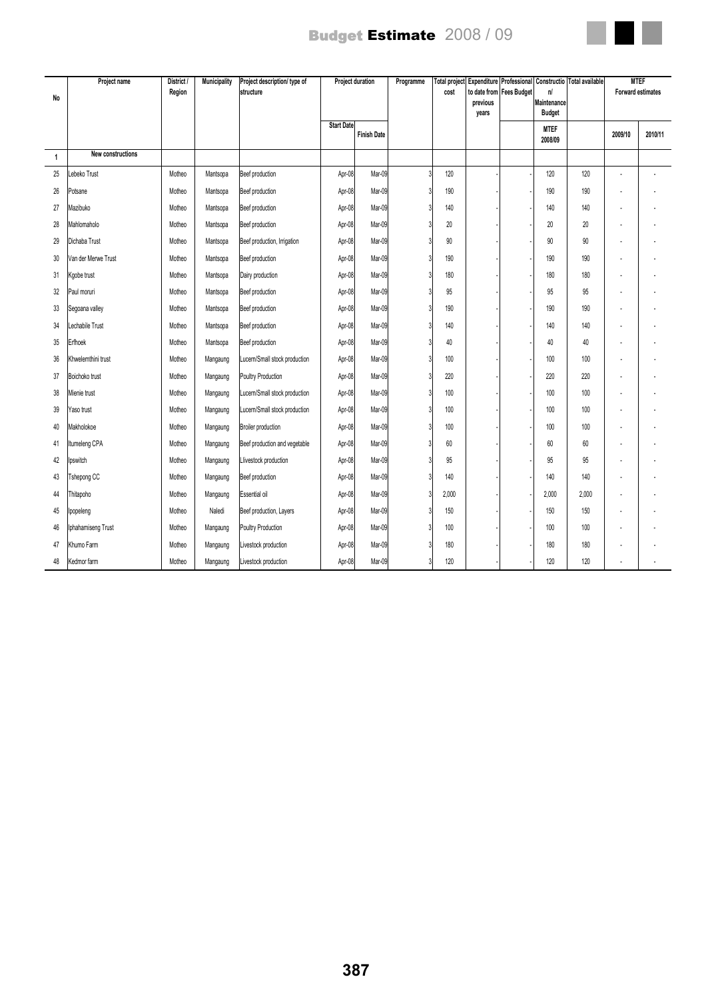

| <b>No</b>      | Project name        | District /<br>Region | <b>Municipality</b> | Project description/ type of<br>structure | <b>Project duration</b> |                    |  |       | Programme | Total project<br>cost | to date from<br>previous<br>years | Expenditure Professional<br><b>Fees Budget</b> | n<br>Maintenance<br><b>Budget</b> | Constructio   Total available |  | <b>MTEF</b><br><b>Forward estimates</b> |
|----------------|---------------------|----------------------|---------------------|-------------------------------------------|-------------------------|--------------------|--|-------|-----------|-----------------------|-----------------------------------|------------------------------------------------|-----------------------------------|-------------------------------|--|-----------------------------------------|
|                |                     |                      |                     |                                           | <b>Start Date</b>       | <b>Finish Date</b> |  |       |           |                       | <b>MTEF</b><br>2008/09            |                                                | 2009/10                           | 2010/11                       |  |                                         |
| $\overline{1}$ | New constructions   |                      |                     |                                           |                         |                    |  |       |           |                       |                                   |                                                |                                   |                               |  |                                         |
| 25             | ebeko Trust         | Motheo               | Mantsopa            | Beef production                           | Apr-08                  | Mar-09             |  | 120   |           |                       | 120                               | 120                                            | ä,                                |                               |  |                                         |
| 26             | Potsane             | Motheo               | Mantsopa            | Beef production                           | Apr-08                  | Mar-09             |  | 190   |           |                       | 190                               | 190                                            | J.                                |                               |  |                                         |
| 27             | Mazibuko            | Motheo               | Mantsopa            | Beef production                           | Apr-08                  | Mar-09             |  | 140   |           |                       | 140                               | 140                                            | ä,                                |                               |  |                                         |
| 28             | Mahlomaholo         | Motheo               | Mantsopa            | Beef production                           | Apr-08                  | Mar-09             |  | 20    |           |                       | 20                                | 20                                             | ÷.                                |                               |  |                                         |
| 29             | Dichaba Trust       | Motheo               | Mantsopa            | Beef production, Irrigation               | Apr-08                  | Mar-09             |  | 90    |           |                       | 90                                | 90                                             | ä,                                |                               |  |                                         |
| 30             | Van der Merwe Trust | Motheo               | Mantsopa            | Beef production                           | Apr-08                  | Mar-09             |  | 190   |           |                       | 190                               | 190                                            | ä,                                |                               |  |                                         |
| 31             | Kgobe trust         | Motheo               | Mantsopa            | Dairy production                          | Apr-08                  | Mar-09             |  | 180   |           |                       | 180                               | 180                                            | Ĭ.                                |                               |  |                                         |
| 32             | Paul moruri         | Motheo               | Mantsopa            | Beef production                           | Apr-08                  | Mar-09             |  | 95    |           |                       | 95                                | 95                                             | ÷.                                |                               |  |                                         |
| 33             | Segoana valley      | Motheo               | Mantsopa            | Beef production                           | Apr-08                  | Mar-09             |  | 190   |           |                       | 190                               | 190                                            | Ĭ.                                |                               |  |                                         |
| 34             | Lechabile Trust     | Motheo               | Mantsopa            | Beef production                           | Apr-08                  | Mar-09             |  | 140   |           |                       | 140                               | 140                                            |                                   |                               |  |                                         |
| 35             | Erfhoek             | Motheo               | Mantsopa            | Beef production                           | Apr-08                  | Mar-09             |  | 40    |           |                       | 40                                | 40                                             |                                   |                               |  |                                         |
| 36             | Khwelemthini trust  | Motheo               | Mangaung            | Lucern/Small stock production             | Apr-08                  | Mar-09             |  | 100   |           |                       | 100                               | 100                                            |                                   |                               |  |                                         |
| 37             | Boichoko trust      | Motheo               | Mangaung            | Poultry Production                        | Apr-08                  | Mar-09             |  | 220   |           |                       | 220                               | 220                                            | Ĭ.                                |                               |  |                                         |
| 38             | Mienie trust        | Motheo               | Mangaung            | Lucern/Small stock production             | Apr-08                  | Mar-09             |  | 100   |           |                       | 100                               | 100                                            | l,                                |                               |  |                                         |
| 39             | Yaso trust          | Motheo               | Mangaung            | Lucern/Small stock production             | Apr-08                  | Mar-09             |  | 100   |           |                       | 100                               | 100                                            |                                   |                               |  |                                         |
| 40             | Makholokoe          | Motheo               | Mangaung            | Broiler production                        | Apr-08                  | Mar-09             |  | 100   |           |                       | 100                               | 100                                            | Ĭ.                                |                               |  |                                         |
| 41             | Itumeleng CPA       | Motheo               | Mangaung            | Beef production and vegetable             | Apr-08                  | Mar-09             |  | 60    |           |                       | 60                                | 60                                             | ä,                                |                               |  |                                         |
| 42             | pswitch             | Motheo               | Mangaung            | Llivestock production                     | Apr-08                  | Mar-09             |  | 95    |           |                       | 95                                | 95                                             | ä,                                |                               |  |                                         |
| 43             | Tshepong CC         | Motheo               | Mangaung            | Beef production                           | Apr-08                  | Mar-09             |  | 140   |           |                       | 140                               | 140                                            | ä,                                |                               |  |                                         |
| 44             | Thitapoho           | Motheo               | Mangaung            | Essential oil                             | Apr-08                  | Mar-09             |  | 2,000 |           |                       | 2,000                             | 2,000                                          | Ĭ.                                |                               |  |                                         |
| 45             | Ipopeleng           | Motheo               | Naledi              | Beef production, Layers                   | Apr-08                  | Mar-09             |  | 150   |           |                       | 150                               | 150                                            | ä,                                |                               |  |                                         |
| 46             | Iphahamiseng Trust  | Motheo               | Mangaung            | Poultry Production                        | Apr-08                  | Mar-09             |  | 100   |           |                       | 100                               | 100                                            | ä,                                |                               |  |                                         |
| 47             | Khumo Farm          | Motheo               | Mangaung            | Livestock production                      | Apr-08                  | Mar-09             |  | 180   |           |                       | 180                               | 180                                            | Ĭ.                                |                               |  |                                         |
| 48             | Kedmor farm         | Motheo               | Mangaung            | Livestock production                      | Apr-08                  | Mar-09             |  | 120   |           |                       | 120                               | 120                                            |                                   |                               |  |                                         |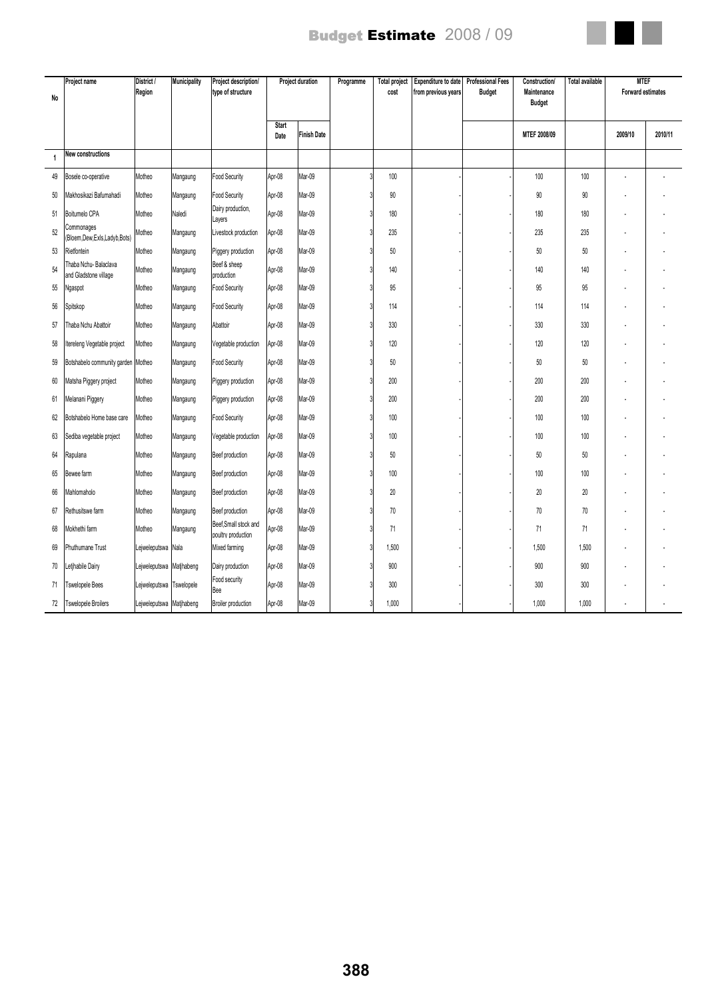| No | Project name                                  | District /<br>Region     | <b>Municipality</b> | Project description/<br>type of structure   | Project duration |                    | Programme | <b>Total project</b><br>cost | Expenditure to date<br>from previous years | <b>Professional Fees</b><br><b>Budget</b> | <b>Construction/</b><br>Maintenance | <b>Total available</b> | <b>MTEF</b><br><b>Forward estimates</b> |         |
|----|-----------------------------------------------|--------------------------|---------------------|---------------------------------------------|------------------|--------------------|-----------|------------------------------|--------------------------------------------|-------------------------------------------|-------------------------------------|------------------------|-----------------------------------------|---------|
|    |                                               |                          |                     |                                             |                  |                    |           |                              |                                            |                                           | <b>Budget</b>                       |                        |                                         |         |
|    |                                               |                          |                     |                                             | Start<br>Date    | <b>Finish Date</b> |           |                              |                                            |                                           | MTEF 2008/09                        |                        | 2009/10                                 | 2010/11 |
| 1  | New constructions                             |                          |                     |                                             |                  |                    |           |                              |                                            |                                           |                                     |                        |                                         |         |
| 49 | Bosele co-operative                           | Motheo                   | Mangaung            | <b>Food Security</b>                        | Apr-08           | Mar-09             |           | 100                          |                                            |                                           | 100                                 | 100                    |                                         |         |
| 50 | Makhosikazi Bafumahadi                        | Motheo                   | Mangaung            | <b>Food Security</b>                        | Apr-08           | Mar-09             |           | 90                           |                                            |                                           | 90                                  | 90                     |                                         |         |
| 51 | Boitumelo CPA                                 | Motheo                   | Naledi              | Dairy production,<br>Layers                 | Apr-08           | Mar-09             |           | 180                          |                                            |                                           | 180                                 | 180                    |                                         |         |
| 52 | Commonages<br>(Bloem,Dew,Exls,Ladyb,Bots)     | Motheo                   | Mangaung            | Livestock production                        | Apr-08           | Mar-09             |           | 235                          |                                            |                                           | 235                                 | 235                    |                                         |         |
| 53 | Rietfontein                                   | Motheo                   | Mangaung            | Piggery production                          | Apr-08           | Mar-09             |           | 50                           |                                            |                                           | 50                                  | 50                     |                                         |         |
| 54 | Thaba Nchu-Balaclava<br>and Gladstone village | Motheo                   | Mangaung            | Beef & sheep<br>production                  | Apr-08           | Mar-09             |           | 140                          |                                            |                                           | 140                                 | 140                    |                                         |         |
| 55 | Ngaspot                                       | Motheo                   | Mangaung            | Food Security                               | Apr-08           | Mar-09             |           | 95                           |                                            |                                           | 95                                  | 95                     |                                         |         |
| 56 | Spitskop                                      | Motheo                   | Mangaung            | <b>Food Security</b>                        | Apr-08           | Mar-09             |           | 114                          |                                            |                                           | 114                                 | 114                    |                                         |         |
| 57 | Thaba Nchu Abattoir                           | Motheo                   | Mangaung            | Abattoir                                    | Apr-08           | Mar-09             |           | 330                          |                                            |                                           | 330                                 | 330                    |                                         |         |
| 58 | tereleng Vegetable project                    | Motheo                   | Mangaung            | Vegetable production                        | Apr-08           | Mar-09             |           | 120                          |                                            |                                           | 120                                 | 120                    |                                         |         |
| 59 | Botshabelo community garden Motheo            |                          | Mangaung            | Food Security                               | Apr-08           | Mar-09             |           | 50                           |                                            |                                           | 50                                  | 50                     |                                         |         |
| 60 | Matsha Piggery project                        | Motheo                   | Mangaung            | Piggery production                          | Apr-08           | Mar-09             |           | 200                          |                                            |                                           | 200                                 | 200                    |                                         |         |
| 61 | Melanani Piggery                              | Motheo                   | Mangaung            | Piggery production                          | Apr-08           | Mar-09             |           | 200                          |                                            |                                           | 200                                 | 200                    |                                         |         |
| 62 | Botshabelo Home base care                     | Motheo                   | Mangaung            | <b>Food Security</b>                        | Apr-08           | Mar-09             |           | 100                          |                                            |                                           | 100                                 | 100                    |                                         |         |
| 63 | Sediba vegetable project                      | Motheo                   | Mangaung            | Vegetable production                        | Apr-08           | Mar-09             |           | 100                          |                                            |                                           | 100                                 | 100                    |                                         |         |
| 64 | Rapulana                                      | Motheo                   | Mangaung            | Beef production                             | Apr-08           | Mar-09             |           | 50                           |                                            |                                           | 50                                  | 50                     |                                         |         |
| 65 | Bewee farm                                    | Motheo                   | Mangaung            | Beef production                             | Apr-08           | Mar-09             |           | 100                          |                                            |                                           | 100                                 | 100                    |                                         |         |
| 66 | Mahlomaholo                                   | Motheo                   | Mangaung            | Beef production                             | Apr-08           | Mar-09             |           | 20                           |                                            |                                           | 20                                  | 20                     |                                         |         |
| 67 | Rethusitswe farm                              | Motheo                   | Mangaung            | Beef production                             | Apr-08           | Mar-09             |           | 70                           |                                            |                                           | 70                                  | 70                     |                                         |         |
| 68 | Mokhethi farm                                 | Motheo                   | Mangaung            | Beef, Small stock and<br>poultry production | Apr-08           | Mar-09             |           | 71                           |                                            |                                           | 71                                  | 71                     |                                         |         |
| 69 | Phuthumane Trust                              | Lejweleputswa Nala       |                     | Mixed farming                               | Apr-08           | Mar-09             |           | 1,500                        |                                            |                                           | 1,500                               | 1,500                  |                                         |         |
| 70 | etjhabile Dairy                               | Lejweleputswa Matjhabeng |                     | Dairy production                            | Apr-08           | Mar-09             |           | 900                          |                                            |                                           | 900                                 | 900                    |                                         |         |
| 71 | <b>Tswelopele Bees</b>                        | Lejweleputswa Tswelopele |                     | Food security<br>Bee                        | Apr-08           | Mar-09             |           | 300                          |                                            |                                           | 300                                 | 300                    |                                         |         |
| 72 | <b>Tswelopele Broilers</b>                    | Lejweleputswa Matjhabeng |                     | Broiler production                          | Apr-08           | Mar-09             |           | 1,000                        |                                            |                                           | 1,000                               | 1,000                  |                                         |         |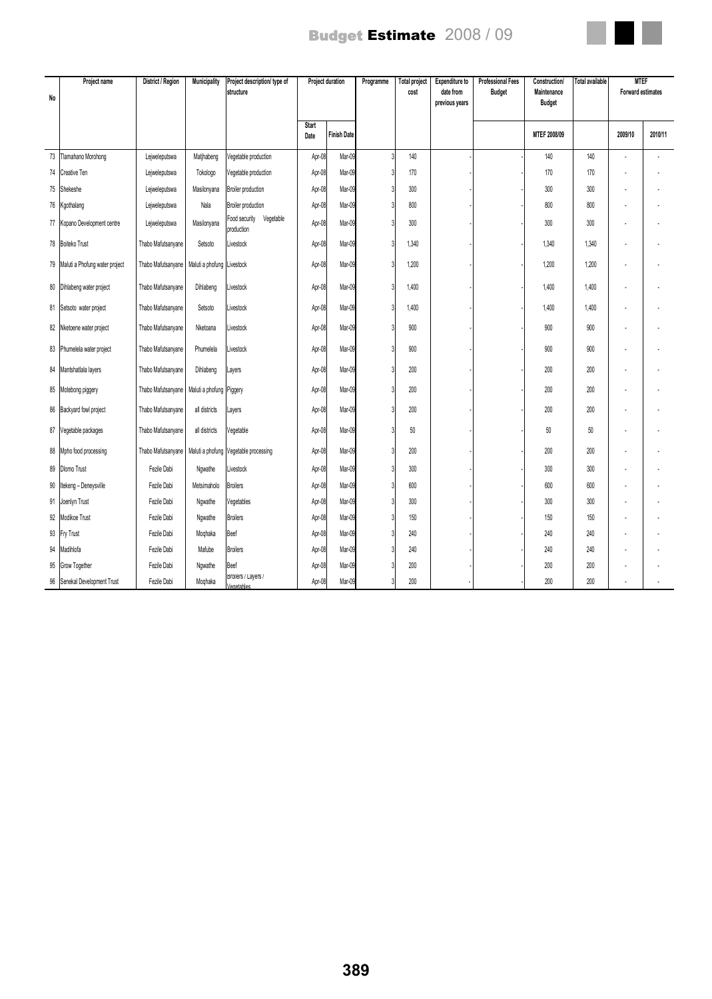| No | Project name                      | District / Region  | Municipality               | Project description/ type of<br>structure | Project duration     |                    |  |       | Programme | <b>Total project</b><br>cost | <b>Expenditure to</b><br>date from<br>previous years | <b>Professional Fees</b><br><b>Budget</b> | <b>Construction</b><br>Maintenance<br><b>Budget</b> | Total available | <b>MTEF</b><br>Forward estimates |  |
|----|-----------------------------------|--------------------|----------------------------|-------------------------------------------|----------------------|--------------------|--|-------|-----------|------------------------------|------------------------------------------------------|-------------------------------------------|-----------------------------------------------------|-----------------|----------------------------------|--|
|    |                                   |                    |                            |                                           | <b>Start</b><br>Date | <b>Finish Date</b> |  |       |           |                              | MTEF 2008/09                                         |                                           | 2009/10                                             | 2010/11         |                                  |  |
| 73 | Tlamahano Morohong                | Lejweleputswa      | Matjhabeng                 | /eqetable production                      | Apr-08               | Mar-09             |  | 140   |           |                              | 140                                                  | 140                                       |                                                     |                 |                                  |  |
| 74 | Creative Ten                      | Lejweleputswa      | Tokologo                   | Vegetable production                      | Apr-08               | Mar-09             |  | 170   |           |                              | 170                                                  | 170                                       |                                                     |                 |                                  |  |
| 75 | Shekeshe                          | Lejweleputswa      | Masilonyana                | Broiler production                        | Apr-08               | Mar-09             |  | 300   |           |                              | 300                                                  | 300                                       |                                                     |                 |                                  |  |
|    | 76 Kgothalang                     | Lejweleputswa      | Nala                       | Broiler production                        | Apr-08               | Mar-09             |  | 800   |           |                              | 800                                                  | 800                                       |                                                     |                 |                                  |  |
|    | 77 Kopano Development centre      | Lejweleputswa      | Masilonyana                | Vegetable<br>Food security<br>production  | Apr-08               | Mar-09             |  | 300   |           |                              | 300                                                  | 300                                       |                                                     |                 |                                  |  |
|    | 78 Boiteko Trust                  | Thabo Mafutsanyane | Setsoto                    | Livestock                                 | Apr-08               | Mar-09             |  | 1,340 |           |                              | 1,340                                                | 1,340                                     |                                                     |                 |                                  |  |
|    | 79 Maluti a Phofung water project | Thabo Mafutsanyane | Maluti a phofung Livestock |                                           | Apr-08               | Mar-09             |  | 1,200 |           |                              | 1,200                                                | 1,200                                     |                                                     |                 |                                  |  |
|    | 80 Dihlabeng water project        | Thabo Mafutsanyane | Dihlabeng                  | Livestock                                 | Apr-08               | Mar-09             |  | 1,400 |           |                              | 1,400                                                | 1,400                                     |                                                     |                 |                                  |  |
| 81 | Setsoto water project             | Thabo Mafutsanyane | Setsoto                    | Livestock                                 | Apr-08               | Mar-09             |  | 1,400 |           |                              | 1,400                                                | 1,400                                     |                                                     |                 |                                  |  |
| 82 | Nketoene water project            | Thabo Mafutsanyane | Nketoana                   | Livestock                                 | Apr-08               | Mar-09             |  | 900   |           |                              | 900                                                  | 900                                       |                                                     |                 |                                  |  |
|    | 83 Phumelela water project        | Thabo Mafutsanyane | Phumelela                  | Livestock                                 | Apr-08               | Mar-09             |  | 900   |           |                              | 900                                                  | 900                                       |                                                     |                 |                                  |  |
| 84 | Mantshatlala layers               | Thabo Mafutsanyane | Dihlabeng                  | Layers                                    | Apr-08               | Mar-09             |  | 200   |           |                              | 200                                                  | 200                                       |                                                     |                 |                                  |  |
| 85 | Motebong piggery                  | Thabo Mafutsanyane | Maluti a phofung Piggery   |                                           | Apr-08               | Mar-09             |  | 200   |           |                              | 200                                                  | 200                                       |                                                     |                 |                                  |  |
| 86 | Backyard fowl project             | Thabo Mafutsanyane | all districts              | Layers                                    | Apr-08               | Mar-09             |  | 200   |           |                              | 200                                                  | 200                                       |                                                     |                 |                                  |  |
| 87 | Vegetable packages                | Thabo Mafutsanyane | all districts              | Vegetable                                 | Apr-08               | Mar-09             |  | 50    |           |                              | 50                                                   | 50                                        |                                                     |                 |                                  |  |
| 88 | Mpho food processing              | Thabo Mafutsanyane |                            | Maluti a phofung Vegetable processing     | Apr-08               | Mar-09             |  | 200   |           |                              | 200                                                  | 200                                       |                                                     |                 |                                  |  |
| 89 | <b>Dlomo Trust</b>                | Fezile Dabi        | Ngwathe                    | Livestock                                 | Apr-08               | Mar-09             |  | 300   |           |                              | 300                                                  | 300                                       |                                                     |                 |                                  |  |
| 90 | Itekeng - Deneysville             | Fezile Dabi        | Metsimaholo                | <b>Broilers</b>                           | Apr-08               | Mar-09             |  | 600   |           |                              | 600                                                  | 600                                       |                                                     |                 |                                  |  |
|    | 91 Joenlyn Trust                  | Fezile Dabi        | Ngwathe                    | Vegetables                                | Apr-08               | Mar-09             |  | 300   |           |                              | 300                                                  | 300                                       |                                                     |                 |                                  |  |
| 92 | Modikoe Trust                     | Fezile Dabi        | Ngwathe                    | <b>Broilers</b>                           | Apr-08               | Mar-09             |  | 150   |           |                              | 150                                                  | 150                                       |                                                     |                 |                                  |  |
| 93 | <b>Fry Trust</b>                  | Fezile Dabi        | Moghaka                    | Beef                                      | Apr-08               | Mar-09             |  | 240   |           |                              | 240                                                  | 240                                       |                                                     |                 |                                  |  |
| 94 | Madihlofa                         | Fezile Dabi        | Mafube                     | <b>Broilers</b>                           | Apr-08               | Mar-09             |  | 240   |           |                              | 240                                                  | 240                                       |                                                     |                 |                                  |  |
| 95 | Grow Together                     | Fezile Dabi        | Ngwathe                    | Beef                                      | Apr-08               | Mar-09             |  | 200   |           |                              | 200                                                  | 200                                       |                                                     |                 |                                  |  |
|    | 96 Senekal Development Trust      | Fezile Dabi        | Moqhaka                    | Broilers / Layers /<br>Vegetables         | Apr-08               | Mar-09             |  | 200   |           |                              | 200                                                  | 200                                       |                                                     |                 |                                  |  |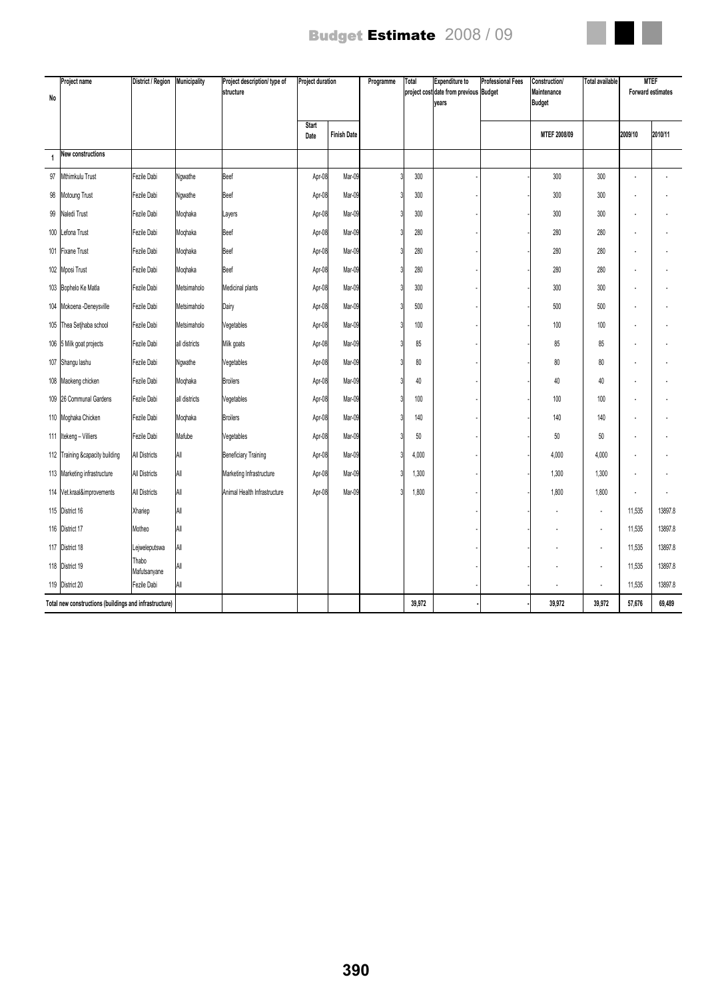

| No  | Project name                                           | District / Region     | Municipality  | Project description/ type of<br>structure | <b>Project duration</b> |                    | Programme | Total  | <b>Expenditure to</b><br>project cost date from previous Budget<br>years | <b>Professional Fees</b> | Construction/<br>Maintenance<br><b>Budget</b> | <b>Total available</b> |         | <b>MTEF</b><br><b>Forward estimates</b> |
|-----|--------------------------------------------------------|-----------------------|---------------|-------------------------------------------|-------------------------|--------------------|-----------|--------|--------------------------------------------------------------------------|--------------------------|-----------------------------------------------|------------------------|---------|-----------------------------------------|
|     |                                                        |                       |               |                                           | <b>Start</b><br>Date    | <b>Finish Date</b> |           |        |                                                                          |                          | MTEF 2008/09                                  |                        | 2009/10 | 2010/11                                 |
| 1   | New constructions                                      |                       |               |                                           |                         |                    |           |        |                                                                          |                          |                                               |                        |         |                                         |
| 97  | Mthimkulu Trust                                        | Fezile Dabi           | Ngwathe       | Beef                                      | Apr-08                  | Mar-09             |           | 300    |                                                                          |                          | 300                                           | 300                    |         |                                         |
| 98  | Motoung Trust                                          | Fezile Dabi           | Ngwathe       | Beef                                      | Apr-08                  | Mar-09             |           | 300    |                                                                          |                          | 300                                           | 300                    |         |                                         |
| 99  | Naledi Trust                                           | Fezile Dabi           | Moqhaka       | Layers                                    | Apr-08                  | Mar-09             |           | 300    |                                                                          |                          | 300                                           | 300                    |         |                                         |
| 100 | Lefona Trust                                           | Fezile Dabi           | Moqhaka       | Beef                                      | Apr-08                  | Mar-09             |           | 280    |                                                                          |                          | 280                                           | 280                    |         |                                         |
| 101 | <b>Fixane Trust</b>                                    | Fezile Dabi           | Moqhaka       | Beef                                      | Apr-08                  | Mar-09             |           | 280    |                                                                          |                          | 280                                           | 280                    |         |                                         |
|     | 102 Mposi Trust                                        | Fezile Dabi           | Moqhaka       | Beef                                      | Apr-08                  | Mar-09             |           | 280    |                                                                          |                          | 280                                           | 280                    |         |                                         |
|     | 103 Bophelo Ke Matla                                   | Fezile Dabi           | Metsimaholo   | Medicinal plants                          | Apr-08                  | Mar-09             |           | 300    |                                                                          |                          | 300                                           | 300                    |         |                                         |
|     | 104 Mokoena - Deneysville                              | Fezile Dabi           | Metsimaholo   | Dairy                                     | Apr-08                  | Mar-09             |           | 500    |                                                                          |                          | 500                                           | 500                    |         |                                         |
|     | 105 Thea Setjhaba school                               | Fezile Dabi           | Metsimaholo   | Vegetables                                | Apr-08                  | Mar-09             |           | 100    |                                                                          |                          | 100                                           | 100                    |         |                                         |
|     | 106 5 Milk goat projects                               | Fezile Dabi           | all districts | Milk goats                                | Apr-08                  | Mar-09             |           | 85     |                                                                          |                          | 85                                            | 85                     |         |                                         |
|     | 107 Shangu lashu                                       | Fezile Dabi           | Ngwathe       | Vegetables                                | Apr-08                  | Mar-09             |           | 80     |                                                                          |                          | 80                                            | 80                     |         |                                         |
|     | 108   Maokeng chicken                                  | Fezile Dabi           | Moqhaka       | <b>Broilers</b>                           | Apr-08                  | Mar-09             |           | 40     |                                                                          |                          | 40                                            | 40                     |         |                                         |
|     | 109 26 Communal Gardens                                | Fezile Dabi           | all districts | Vegetables                                | Apr-08                  | Mar-09             |           | 100    |                                                                          |                          | 100                                           | 100                    |         |                                         |
|     | 110 Moghaka Chicken                                    | Fezile Dabi           | Moqhaka       | <b>Broilers</b>                           | Apr-08                  | Mar-09             |           | 140    |                                                                          |                          | 140                                           | 140                    |         |                                         |
|     | 111 Itekeng - Villiers                                 | Fezile Dabi           | Mafube        | Vegetables                                | Apr-08                  | Mar-09             |           | 50     |                                                                          |                          | 50                                            | 50                     |         |                                         |
|     | 112 Training &capacity building                        | <b>All Districts</b>  | All           | <b>Beneficiary Training</b>               | Apr-08                  | Mar-09             |           | 4,000  |                                                                          |                          | 4,000                                         | 4,000                  |         |                                         |
|     | 113 Marketing infrastructure                           | <b>All Districts</b>  | All           | Marketing Infrastructure                  | Apr-08                  | Mar-09             |           | 1,300  |                                                                          |                          | 1,300                                         | 1,300                  |         |                                         |
|     | 114 Vet.kraal&improvements                             | <b>All Districts</b>  | All           | Animal Health Infrastructure              | Apr-08                  | Mar-09             |           | 1,800  |                                                                          |                          | 1,800                                         | 1,800                  |         |                                         |
|     | 115 District 16                                        | Xhariep               | All           |                                           |                         |                    |           |        |                                                                          |                          |                                               | ÷,                     | 11,535  | 13897.8                                 |
|     | 116 District 17                                        | Motheo                | All           |                                           |                         |                    |           |        |                                                                          |                          |                                               |                        | 11,535  | 13897.8                                 |
|     | 117 District 18                                        | Lejweleputswa         | All           |                                           |                         |                    |           |        |                                                                          |                          |                                               | $\overline{a}$         | 11,535  | 13897.8                                 |
|     | 118 District 19                                        | Thabo<br>Mafutsanyane | All           |                                           |                         |                    |           |        |                                                                          |                          |                                               | ٠                      | 11,535  | 13897.8                                 |
|     | 119 District 20                                        | Fezile Dabi           | All           |                                           |                         |                    |           |        |                                                                          |                          |                                               |                        | 11,535  | 13897.8                                 |
|     | Total new constructions (buildings and infrastructure) |                       |               |                                           |                         |                    |           | 39,972 |                                                                          |                          | 39,972                                        | 39,972                 | 57,676  | 69,489                                  |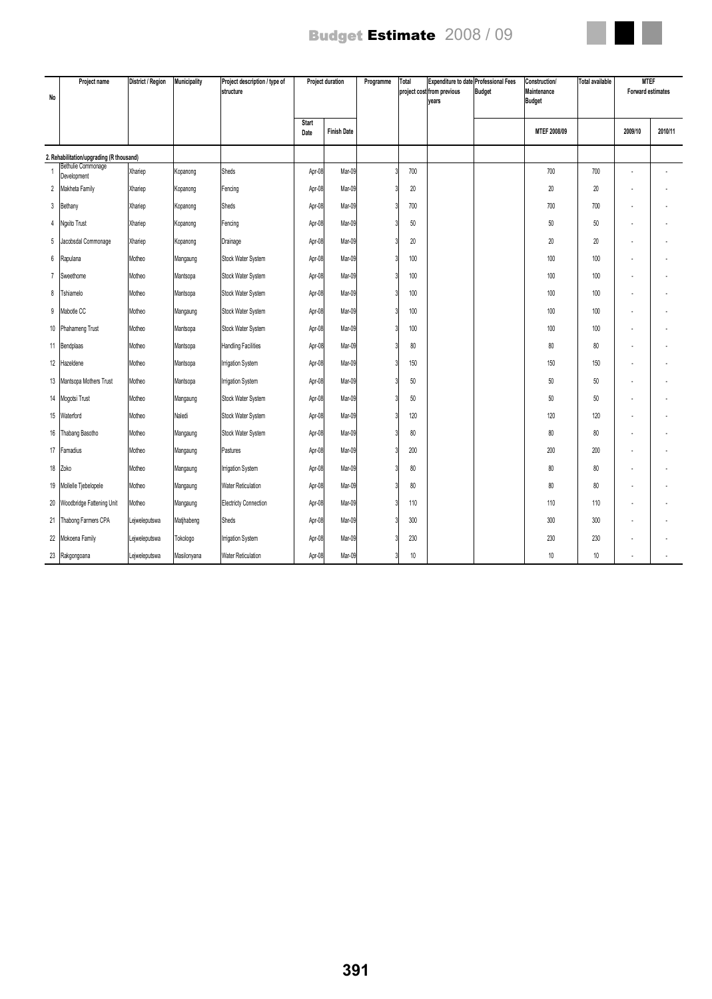

| No             | Project name                             | District / Region | Municipality | Project description / type of<br><b>Istructure</b> | Project duration |                    |  |     | Programme | Total | <b>Expenditure to date Professional Fees</b><br>project cost from previous<br>years | <b>Budget</b> | <b>Construction/</b><br>Maintenance<br><b>Budget</b> | <b>Total available</b> | <b>MTEF</b><br><b>Forward estimates</b> |  |
|----------------|------------------------------------------|-------------------|--------------|----------------------------------------------------|------------------|--------------------|--|-----|-----------|-------|-------------------------------------------------------------------------------------|---------------|------------------------------------------------------|------------------------|-----------------------------------------|--|
|                |                                          |                   |              |                                                    | Start<br>Date    | <b>Finish Date</b> |  |     |           |       | MTEF 2008/09                                                                        |               | 2009/10                                              | 2010/11                |                                         |  |
|                | 2. Rehabilitation/upgrading (R thousand) |                   |              |                                                    |                  |                    |  |     |           |       |                                                                                     |               |                                                      |                        |                                         |  |
|                | Bethulie Commonage<br>Development        | Xhariep           | Kopanong     | Sheds                                              | Apr-08           | Mar-09             |  | 700 |           |       | 700                                                                                 | 700           |                                                      |                        |                                         |  |
| $\overline{2}$ | Makheta Family                           | Xhariep           | Kopanong     | Fencing                                            | Apr-08           | Mar-09             |  | 20  |           |       | 20                                                                                  | 20            |                                                      |                        |                                         |  |
| 3              | Bethany                                  | Xhariep           | Kopanong     | Sheds                                              | Apr-08           | Mar-09             |  | 700 |           |       | 700                                                                                 | 700           |                                                      |                        |                                         |  |
| 4              | Ngxito Trust                             | Xhariep           | Kopanong     | Fencing                                            | Apr-08           | Mar-09             |  | 50  |           |       | 50                                                                                  | 50            |                                                      |                        |                                         |  |
| 5              | Jacobsdal Commonage                      | Xhariep           | Kopanong     | Drainage                                           | Apr-08           | Mar-09             |  | 20  |           |       | 20                                                                                  | 20            |                                                      |                        |                                         |  |
| $6\phantom{1}$ | Rapulana                                 | Motheo            | Mangaung     | Stock Water System                                 | Apr-08           | Mar-09             |  | 100 |           |       | 100                                                                                 | 100           |                                                      |                        |                                         |  |
| $\overline{7}$ | Sweethome                                | Motheo            | Mantsopa     | Stock Water System                                 | Apr-08           | Mar-09             |  | 100 |           |       | 100                                                                                 | 100           |                                                      |                        |                                         |  |
| 8              | Tshiamelo                                | Motheo            | Mantsopa     | Stock Water System                                 | Apr-08           | Mar-09             |  | 100 |           |       | 100                                                                                 | 100           |                                                      |                        |                                         |  |
| 9              | Mabotle CC                               | Motheo            | Mangaung     | Stock Water System                                 | Apr-08           | Mar-09             |  | 100 |           |       | 100                                                                                 | 100           |                                                      |                        |                                         |  |
| 10             | Phahameng Trust                          | Motheo            | Mantsopa     | Stock Water System                                 | Apr-08           | Mar-09             |  | 100 |           |       | 100                                                                                 | 100           |                                                      |                        |                                         |  |
|                | 11 Bendplaas                             | Motheo            | Mantsopa     | <b>Handling Facilities</b>                         | Apr-08           | Mar-09             |  | 80  |           |       | 80                                                                                  | 80            |                                                      |                        |                                         |  |
| 12             | Hazeldene                                | Motheo            | Mantsopa     | <b>Irrigation System</b>                           | Apr-08           | Mar-09             |  | 150 |           |       | 150                                                                                 | 150           |                                                      |                        |                                         |  |
| 13             | Mantsopa Mothers Trust                   | Motheo            | Mantsopa     | Irrigation System                                  | Apr-08           | Mar-09             |  | 50  |           |       | 50                                                                                  | 50            |                                                      |                        |                                         |  |
| 14             | Mogotsi Trust                            | Motheo            | Mangaung     | Stock Water System                                 | Apr-08           | Mar-09             |  | 50  |           |       | 50                                                                                  | 50            |                                                      |                        |                                         |  |
| 15             | Waterford                                | Motheo            | Naledi       | Stock Water System                                 | Apr-08           | Mar-09             |  | 120 |           |       | 120                                                                                 | 120           |                                                      |                        |                                         |  |
| 16             | Thabang Basotho                          | Motheo            | Mangaung     | Stock Water System                                 | Apr-08           | Mar-09             |  | 80  |           |       | 80                                                                                  | 80            |                                                      |                        |                                         |  |
| 17             | Famadius                                 | Motheo            | Mangaung     | Pastures                                           | Apr-08           | Mar-09             |  | 200 |           |       | 200                                                                                 | 200           |                                                      |                        |                                         |  |
| 18             | Zoko                                     | Motheo            | Mangaung     | <b>Irrigation System</b>                           | Apr-08           | Mar-09             |  | 80  |           |       | 80                                                                                  | 80            |                                                      |                        |                                         |  |
| 19             | Mollelle Tjebelopele                     | Motheo            | Mangaung     | <b>Water Reticulation</b>                          | Apr-08           | Mar-09             |  | 80  |           |       | 80                                                                                  | 80            |                                                      |                        |                                         |  |
| 20             | Woodbridge Fattening Unit                | Motheo            | Mangaung     | <b>Electricty Connection</b>                       | Apr-08           | Mar-09             |  | 110 |           |       | 110                                                                                 | 110           |                                                      |                        |                                         |  |
| 21             | Thabong Farmers CPA                      | Lejweleputswa     | Matjhabeng   | Sheds                                              | Apr-08           | Mar-09             |  | 300 |           |       | 300                                                                                 | 300           |                                                      |                        |                                         |  |
| 22             | Mokoena Family                           | Lejweleputswa     | Tokologo     | Irrigation System                                  | Apr-08           | Mar-09             |  | 230 |           |       | 230                                                                                 | 230           |                                                      |                        |                                         |  |
|                | 23 Rakgongoana                           | Leiweleputswa     | Masilonyana  | <b>Water Reticulation</b>                          | Apr-08           | Mar-09             |  | 10  |           |       | 10                                                                                  | 10            |                                                      |                        |                                         |  |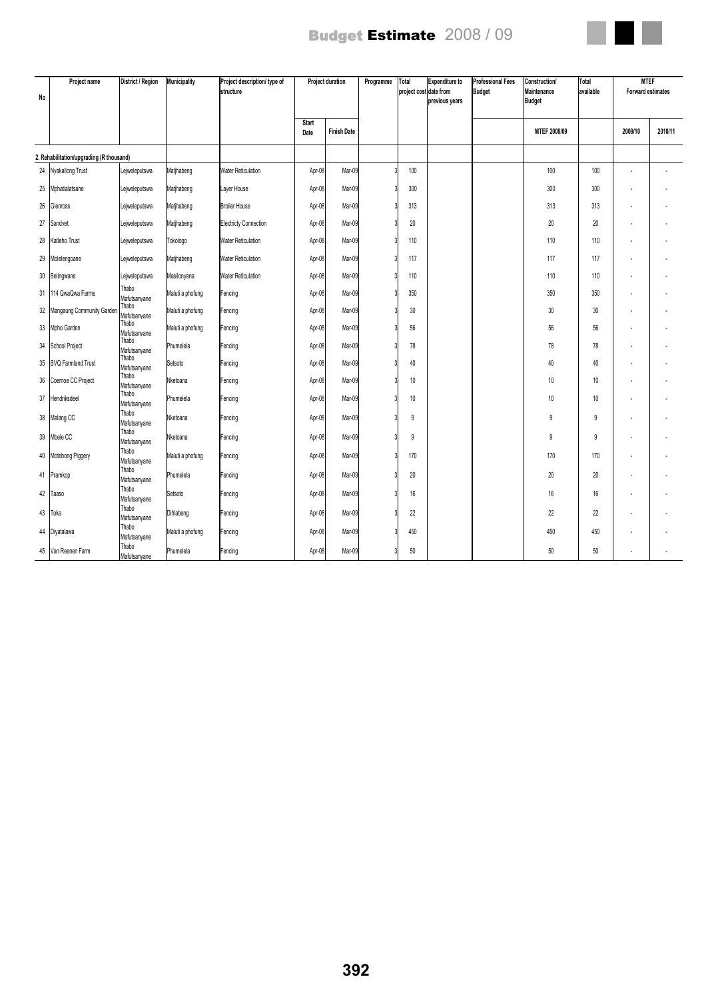

| No | Project name                             | District / Region     | Municipality     | Project description/ type of<br>structure | <b>Project duration</b> |                    | Programme | Total<br>project cost date from | <b>Expenditure to</b><br>previous years | <b>Professional Fees</b><br><b>Budget</b> | Construction/<br>Maintenance<br><b>Budget</b> | Total<br>available | <b>MTEF</b><br><b>Forward estimates</b> |         |
|----|------------------------------------------|-----------------------|------------------|-------------------------------------------|-------------------------|--------------------|-----------|---------------------------------|-----------------------------------------|-------------------------------------------|-----------------------------------------------|--------------------|-----------------------------------------|---------|
|    |                                          |                       |                  |                                           | Start<br>Date           | <b>Finish Date</b> |           |                                 |                                         |                                           | MTEF 2008/09                                  |                    | 2009/10                                 | 2010/11 |
|    | 2. Rehabilitation/upgrading (R thousand) |                       |                  |                                           |                         |                    |           |                                 |                                         |                                           |                                               |                    |                                         |         |
|    | 24 Nyakallong Trust                      | Lejweleputswa         | Matjhabeng       | <b>Water Reticulation</b>                 | Apr-08                  | Mar-09             |           | 100                             |                                         |                                           | 100                                           | 100                |                                         |         |
| 25 | Mphatlalatsane                           | Lejweleputswa         | Matjhabeng       | Layer House                               | Apr-08                  | Mar-09             |           | 300                             |                                         |                                           | 300                                           | 300                |                                         |         |
| 26 | Glenross                                 | Lejweleputswa         | Matjhabeng       | <b>Broiler House</b>                      | Apr-08                  | Mar-09             |           | 313                             |                                         |                                           | 313                                           | 313                |                                         |         |
| 27 | Sandvet                                  | Lejweleputswa         | Matjhabeng       | <b>Electricty Connection</b>              | Apr-08                  | Mar-09             |           | 20                              |                                         |                                           | 20                                            | 20                 |                                         |         |
| 28 | Katleho Trust                            | Lejweleputswa         | Tokologo         | <b>Water Reticulation</b>                 | Apr-08                  | Mar-09             |           | 110                             |                                         |                                           | 110                                           | 110                |                                         |         |
| 29 | Molelengoane                             | Lejweleputswa         | Matjhabeng       | <b>Water Reticulation</b>                 | Apr-08                  | Mar-09             |           | 117                             |                                         |                                           | 117                                           | 117                |                                         |         |
| 30 | Belingwane                               | Lejweleputswa         | Masilonyana      | <b>Water Reticulation</b>                 | Apr-08                  | Mar-09             |           | 110                             |                                         |                                           | 110                                           | 110                |                                         |         |
| 31 | 114 QwaQwa Farms                         | Thabo<br>Mafutsanyane | Maluti a phofung | Fencing                                   | Apr-08                  | Mar-09             |           | 350                             |                                         |                                           | 350                                           | 350                |                                         |         |
| 32 | Mangaung Community Garden                | Thabo<br>Mafutsanyane | Maluti a phofung | Fencing                                   | Apr-08                  | Mar-09             |           | 30                              |                                         |                                           | 30                                            | 30                 |                                         |         |
| 33 | Mpho Garden                              | Thabo<br>Mafutsanyane | Maluti a phofung | Fencing                                   | Apr-08                  | Mar-09             |           | 56                              |                                         |                                           | 56                                            | 56                 |                                         |         |
|    | 34 School Project                        | Thabo<br>Mafutsanyane | Phumelela        | Fencing                                   | Apr-08                  | Mar-09             |           | 78                              |                                         |                                           | 78                                            | 78                 |                                         |         |
| 35 | <b>BVQ Farmland Trust</b>                | Thabo<br>Mafutsanvane | Setsoto          | Fencing                                   | Apr-08                  | Mar-09             |           | 40                              |                                         |                                           | 40                                            | 40                 |                                         |         |
| 36 | Coemoe CC Project                        | Thabo<br>Mafutsanvane | Nketoana         | Fencing                                   | Apr-08                  | Mar-09             |           | 10                              |                                         |                                           | 10                                            | 10                 |                                         |         |
| 37 | Hendriksdeel                             | Thabo<br>Mafutsanyane | Phumelela        | Fencing                                   | Apr-08                  | Mar-09             |           | 10                              |                                         |                                           | 10                                            | 10                 |                                         |         |
|    | 38 Malang CC                             | Thabo<br>Mafutsanyane | Nketoana         | Fencing                                   | Apr-08                  | Mar-09             |           | 9                               |                                         |                                           | 9                                             | 9                  |                                         |         |
| 39 | Mbele CC                                 | Thabo<br>Mafutsanyane | Nketoana         | Fencing                                   | Apr-08                  | Mar-09             |           | 9                               |                                         |                                           | 9                                             | 9                  |                                         |         |
|    | 40 Motebong Piggery                      | Thabo                 | Maluti a phofung | Fencing                                   | Apr-08                  | Mar-09             |           | 170                             |                                         |                                           | 170                                           | 170                |                                         |         |
| 41 | Pramkop                                  | Mafutsanyane<br>Thabo | Phumelela        | Fencing                                   | Apr-08                  | Mar-09             |           | 20                              |                                         |                                           | 20                                            | 20                 |                                         |         |
| 42 | Taaso                                    | Mafutsanyane<br>Thabo | Setsoto          | Fencing                                   | Apr-08                  | Mar-09             |           | 16                              |                                         |                                           | 16                                            | 16                 |                                         |         |
|    |                                          | Mafutsanyane<br>Thabo |                  |                                           |                         |                    |           |                                 |                                         |                                           |                                               |                    |                                         |         |
| 43 | Toka                                     | Mafutsanyane<br>Thabo | Dihlabeng        | Fencing                                   | Apr-08                  | Mar-09             |           | 22                              |                                         |                                           | 22                                            | 22                 |                                         |         |
|    | 44 Diyatalawa                            | Mafutsanyane          | Maluti a phofung | Fencing                                   | Apr-08                  | Mar-09             |           | 450                             |                                         |                                           | 450                                           | 450                |                                         |         |
|    | 45 Van Reenen Farm                       | Thabo<br>Mafutsanyane | Phumelela        | Fencing                                   | Apr-08                  | Mar-09             |           | 50                              |                                         |                                           | 50                                            | 50                 |                                         |         |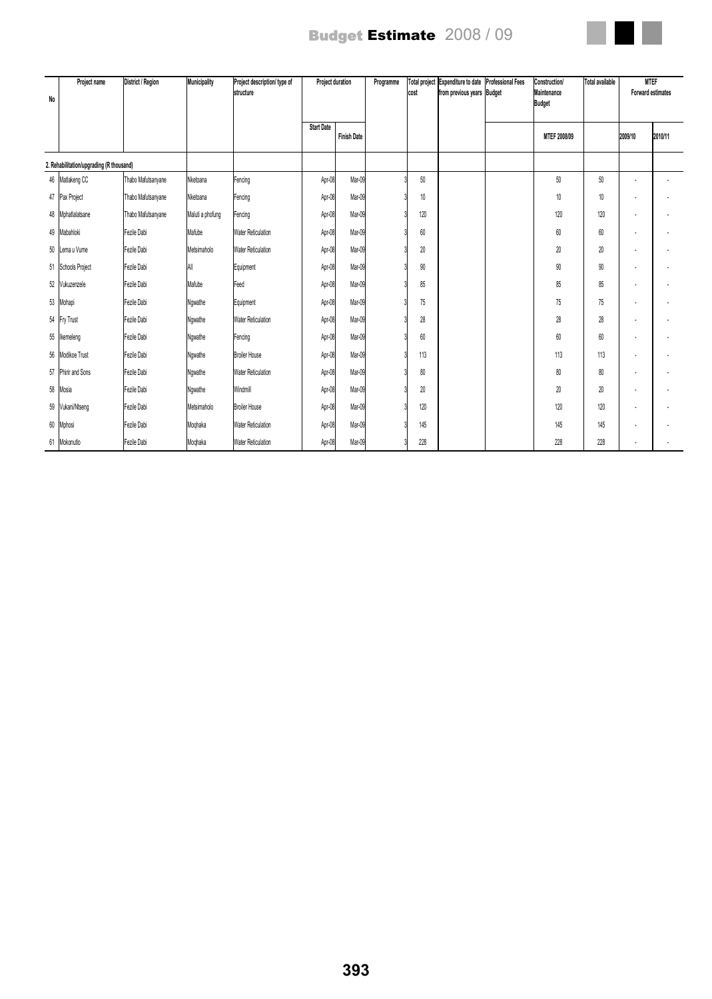

| No | Project name                             | District / Region  | Municipality     | Project description/ type of<br><i>structure</i> | Project duration  |                    |  |        |  |  | Programme           | <b>Total project</b><br>cost | Expenditure to date<br>from previous years Budget | <b>Professional Fees</b> | <b>Construction/</b><br>Maintenance<br><b>Budget</b> | <b>Total available</b> | <b>MTEF</b><br>Forward estimates |  |
|----|------------------------------------------|--------------------|------------------|--------------------------------------------------|-------------------|--------------------|--|--------|--|--|---------------------|------------------------------|---------------------------------------------------|--------------------------|------------------------------------------------------|------------------------|----------------------------------|--|
|    |                                          |                    |                  |                                                  | <b>Start Date</b> | <b>Finish Date</b> |  |        |  |  | <b>MTEF 2008/09</b> |                              | 2009/10                                           | 2010/11                  |                                                      |                        |                                  |  |
|    | 2. Rehabilitation/upgrading (R thousand) |                    |                  |                                                  |                   |                    |  |        |  |  |                     |                              |                                                   |                          |                                                      |                        |                                  |  |
|    | 46 Matlakeng CC                          | Thabo Mafutsanyane | Nketoana         | Fencing                                          | Apr-08            | Mar-09             |  | 50     |  |  | 50                  | 50                           |                                                   |                          |                                                      |                        |                                  |  |
|    | 47 Pax Project                           | Thabo Mafutsanyane | Nketoana         | Fencing                                          | Apr-08            | Mar-09             |  | $10\,$ |  |  | $10\,$              | 10                           |                                                   |                          |                                                      |                        |                                  |  |
|    | 48 Mphatlalatsane                        | Thabo Mafutsanyane | Maluti a phofung | Fencing                                          | Apr-08            | Mar-09             |  | 120    |  |  | 120                 | 120                          |                                                   |                          |                                                      |                        |                                  |  |
|    | 49 Mabahloki                             | Fezile Dabi        | Mafube           | <b>Water Reticulation</b>                        | Apr-08            | Mar-09             |  | 60     |  |  | 60                  | 60                           | ×                                                 |                          |                                                      |                        |                                  |  |
|    | 50 Lema u Vume                           | Fezile Dabi        | Metsimaholo      | <b>Water Reticulation</b>                        | Apr-08            | Mar-09             |  | 20     |  |  | 20                  | 20                           |                                                   |                          |                                                      |                        |                                  |  |
|    | 51 Schools Project                       | Fezile Dabi        | All              | Equipment                                        | Apr-08            | Mar-09             |  | 90     |  |  | 90                  | 90                           |                                                   |                          |                                                      |                        |                                  |  |
|    | 52 Vukuzenzele                           | Fezile Dabi        | Mafube           | Feed                                             | Apr-08            | Mar-09             |  | 85     |  |  | 85                  | 85                           |                                                   |                          |                                                      |                        |                                  |  |
|    | 53 Mohapi                                | Fezile Dabi        | Ngwathe          | Equipment                                        | Apr-08            | Mar-09             |  | 75     |  |  | 75                  | 75                           | ×                                                 |                          |                                                      |                        |                                  |  |
|    | 54 Fry Trust                             | Fezile Dabi        | Ngwathe          | <b>Water Reticulation</b>                        | Apr-08            | Mar-09             |  | 28     |  |  | 28                  | 28                           | ×                                                 |                          |                                                      |                        |                                  |  |
|    | 55 Ikemeleng                             | Fezile Dabi        | Ngwathe          | Fencing                                          | Apr-08            | Mar-09             |  | 60     |  |  | 60                  | 60                           |                                                   |                          |                                                      |                        |                                  |  |
|    | 56 Modikoe Trust                         | Fezile Dabi        | Nqwathe          | <b>Broiler House</b>                             | Apr-08            | Mar-09             |  | 113    |  |  | 113                 | 113                          | ٠                                                 |                          |                                                      |                        |                                  |  |
|    | 57 Phirir and Sons                       | Fezile Dabi        | Ngwathe          | <b>Water Reticulation</b>                        | Apr-08            | Mar-09             |  | 80     |  |  | 80                  | 80                           |                                                   |                          |                                                      |                        |                                  |  |
|    | 58 Mosia                                 | Fezile Dabi        | Ngwathe          | Windmill                                         | Apr-08            | Mar-09             |  | 20     |  |  | $20\,$              | 20                           | ×                                                 |                          |                                                      |                        |                                  |  |
|    | 59 Vukani/Ntseng                         | Fezile Dabi        | Metsimaholo      | <b>Broiler House</b>                             | Apr-08            | Mar-09             |  | 120    |  |  | 120                 | 120                          | ×                                                 |                          |                                                      |                        |                                  |  |
|    | 60 Mphosi                                | Fezile Dabi        | Moghaka          | <b>Water Reticulation</b>                        | Apr-08            | Mar-09             |  | 145    |  |  | 145                 | 145                          |                                                   |                          |                                                      |                        |                                  |  |
|    | 61 Mokonutlo                             | Fezile Dabi        | Moghaka          | <b>Water Reticulation</b>                        | Apr-08            | Mar-09             |  | 228    |  |  | 228                 | 228                          |                                                   |                          |                                                      |                        |                                  |  |